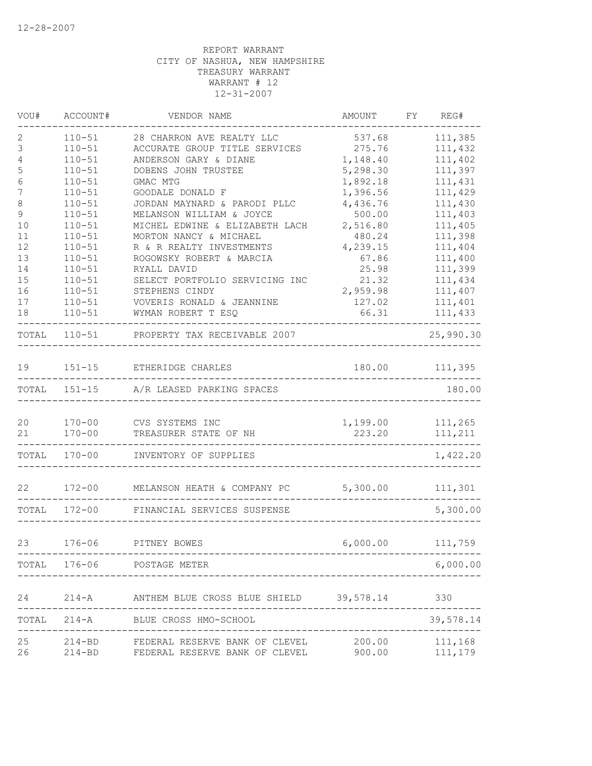| VOU#              | ACCOUNT#                 | VENDOR NAME                                                                                                  | AMOUNT             | FY REG#            |
|-------------------|--------------------------|--------------------------------------------------------------------------------------------------------------|--------------------|--------------------|
| 2                 | $110 - 51$               | 28 CHARRON AVE REALTY LLC                                                                                    | 537.68             | 111,385            |
| 3                 | $110 - 51$               | ACCURATE GROUP TITLE SERVICES                                                                                | 275.76             | 111,432            |
| 4                 | $110 - 51$               | ANDERSON GARY & DIANE                                                                                        | 1,148.40           | 111,402            |
| 5                 | $110 - 51$               | DOBENS JOHN TRUSTEE                                                                                          | 5,298.30           | 111,397            |
| $\epsilon$        | $110 - 51$               | GMAC MTG                                                                                                     | 1,892.18           | 111,431            |
| $\boldsymbol{7}$  | $110 - 51$               | GOODALE DONALD F                                                                                             | 1,396.56           | 111,429            |
| $\,8\,$           | $110 - 51$               | JORDAN MAYNARD & PARODI PLLC                                                                                 | 4,436.76           | 111,430            |
| $\mathsf 9$<br>10 | $110 - 51$<br>$110 - 51$ | MELANSON WILLIAM & JOYCE                                                                                     | 500.00<br>2,516.80 | 111,403<br>111,405 |
| 11                | $110 - 51$               | MICHEL EDWINE & ELIZABETH LACH<br>MORTON NANCY & MICHAEL                                                     | 480.24             | 111,398            |
| 12                | $110 - 51$               | R & R REALTY INVESTMENTS                                                                                     | 4,239.15           | 111,404            |
| 13                | $110 - 51$               | ROGOWSKY ROBERT & MARCIA                                                                                     | 67.86              | 111,400            |
| 14                | $110 - 51$               | RYALL DAVID                                                                                                  | 25.98              | 111,399            |
| 15                | $110 - 51$               | SELECT PORTFOLIO SERVICING INC                                                                               | 21.32              | 111,434            |
| 16                | $110 - 51$               | STEPHENS CINDY                                                                                               | 2,959.98           | 111,407            |
| 17                | $110 - 51$               | VOVERIS RONALD & JEANNINE                                                                                    | 127.02             | 111,401            |
| 18                | $110 - 51$               | WYMAN ROBERT T ESQ                                                                                           | 66.31              | 111,433            |
| TOTAL             | $110 - 51$               | PROPERTY TAX RECEIVABLE 2007                                                                                 |                    | 25,990.30          |
| 19                |                          | 151-15 ETHERIDGE CHARLES                                                                                     | 180.00             | 111,395            |
|                   |                          | TOTAL 151-15 A/R LEASED PARKING SPACES                                                                       |                    | 180.00             |
| 20                |                          | 170-00 CVS SYSTEMS INC                                                                                       | 1,199.00           | 111,265            |
| 21                | $170 - 00$               | TREASURER STATE OF NH                                                                                        | 223.20             | 111,211            |
|                   | TOTAL 170-00             | INVENTORY OF SUPPLIES                                                                                        |                    | 1,422.20           |
| 22                |                          | 172-00 MELANSON HEATH & COMPANY PC 5,300.00 111,301                                                          |                    |                    |
|                   | TOTAL 172-00             | FINANCIAL SERVICES SUSPENSE                                                                                  |                    | 5,300.00           |
| 23                |                          | 176-06 PITNEY BOWES                                                                                          |                    | 6,000.00 111,759   |
|                   |                          | TOTAL 176-06 POSTAGE METER                                                                                   |                    | 6,000.00           |
|                   |                          |                                                                                                              |                    |                    |
| 24                |                          | 214-A ANTHEM BLUE CROSS BLUE SHIELD 39,578.14 330                                                            |                    |                    |
|                   |                          | TOTAL 214-A BLUE CROSS HMO-SCHOOL                                                                            |                    | 39,578.14          |
| 25<br>26          |                          | 214-BD FEDERAL RESERVE BANK OF CLEVEL 200.00 111,168<br>214-BD FEDERAL RESERVE BANK OF CLEVEL 900.00 111,179 |                    |                    |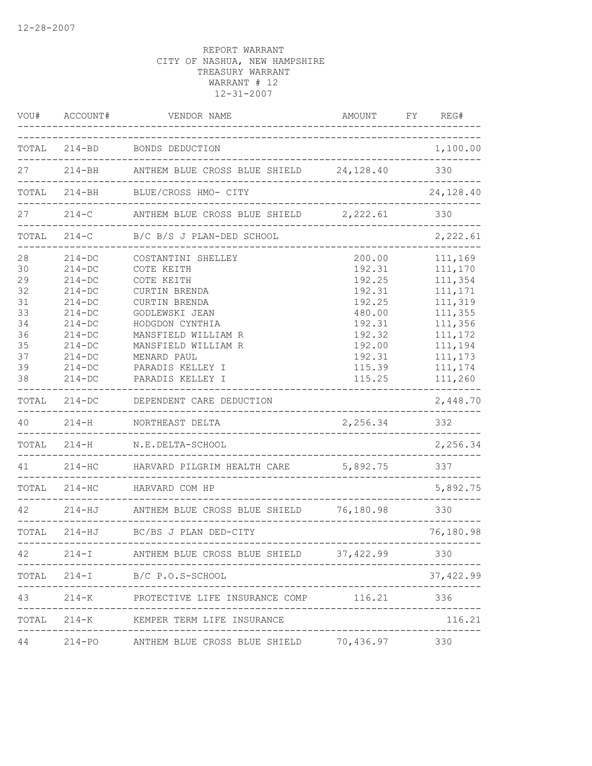| VOU#                                                                 | ACCOUNT#                                                                                                                                                       | VENDOR NAME                                                                                                                                                                                                                       | AMOUNT                                                                                                               | FY | REG#                                                                                                                             |
|----------------------------------------------------------------------|----------------------------------------------------------------------------------------------------------------------------------------------------------------|-----------------------------------------------------------------------------------------------------------------------------------------------------------------------------------------------------------------------------------|----------------------------------------------------------------------------------------------------------------------|----|----------------------------------------------------------------------------------------------------------------------------------|
| TOTAL                                                                |                                                                                                                                                                | 214-BD BONDS DEDUCTION                                                                                                                                                                                                            |                                                                                                                      |    | 1,100.00                                                                                                                         |
| 27                                                                   |                                                                                                                                                                | ___________________________________<br>214-BH ANTHEM BLUE CROSS BLUE SHIELD 24,128.40                                                                                                                                             |                                                                                                                      |    | 330                                                                                                                              |
| TOTAL                                                                | $214 - BH$                                                                                                                                                     | BLUE/CROSS HMO- CITY                                                                                                                                                                                                              |                                                                                                                      |    | 24,128.40                                                                                                                        |
| 27                                                                   | $214-C$                                                                                                                                                        | ANTHEM BLUE CROSS BLUE SHIELD 2,222.61                                                                                                                                                                                            |                                                                                                                      |    | 330                                                                                                                              |
| TOTAL                                                                | $214-C$                                                                                                                                                        | B/C B/S J PLAN-DED SCHOOL                                                                                                                                                                                                         |                                                                                                                      |    | 2,222.61                                                                                                                         |
| 28<br>30<br>29<br>32<br>31<br>33<br>34<br>36<br>35<br>37<br>39<br>38 | $214 - DC$<br>$214-DC$<br>$214 - DC$<br>$214-DC$<br>$214-DC$<br>$214 - DC$<br>$214 - DC$<br>$214 - DC$<br>$214 - DC$<br>$214 - DC$<br>$214 - DC$<br>$214 - DC$ | COSTANTINI SHELLEY<br>COTE KEITH<br>COTE KEITH<br><b>CURTIN BRENDA</b><br>CURTIN BRENDA<br>GODLEWSKI JEAN<br>HODGDON CYNTHIA<br>MANSFIELD WILLIAM R<br>MANSFIELD WILLIAM R<br>MENARD PAUL<br>PARADIS KELLEY I<br>PARADIS KELLEY I | 200.00<br>192.31<br>192.25<br>192.31<br>192.25<br>480.00<br>192.31<br>192.32<br>192.00<br>192.31<br>115.39<br>115.25 |    | 111,169<br>111,170<br>111,354<br>111,171<br>111,319<br>111,355<br>111,356<br>111,172<br>111,194<br>111,173<br>111,174<br>111,260 |
| TOTAL                                                                | $214 - DC$                                                                                                                                                     | DEPENDENT CARE DEDUCTION                                                                                                                                                                                                          |                                                                                                                      |    | 2,448.70                                                                                                                         |
| 40                                                                   | $214-H$                                                                                                                                                        | NORTHEAST DELTA                                                                                                                                                                                                                   | 2,256.34                                                                                                             |    | 332                                                                                                                              |
|                                                                      | TOTAL 214-H                                                                                                                                                    | N.E.DELTA-SCHOOL                                                                                                                                                                                                                  | --------------                                                                                                       |    | 2,256.34                                                                                                                         |
| 41 \,                                                                | $214 - HC$                                                                                                                                                     | HARVARD PILGRIM HEALTH CARE                                                                                                                                                                                                       | 5,892.75                                                                                                             |    | 337                                                                                                                              |
|                                                                      | TOTAL 214-HC                                                                                                                                                   | HARVARD COM HP                                                                                                                                                                                                                    |                                                                                                                      |    | 5,892.75                                                                                                                         |
| 42                                                                   | $214 - HJ$                                                                                                                                                     | ANTHEM BLUE CROSS BLUE SHIELD 76,180.98                                                                                                                                                                                           |                                                                                                                      |    | 330                                                                                                                              |
|                                                                      |                                                                                                                                                                | TOTAL 214-HJ BC/BS J PLAN DED-CITY                                                                                                                                                                                                |                                                                                                                      |    | 76,180.98                                                                                                                        |
| 42                                                                   | -------                                                                                                                                                        | --------------<br>214-I ANTHEM BLUE CROSS BLUE SHIELD 37,422.99                                                                                                                                                                   |                                                                                                                      |    | 330                                                                                                                              |
|                                                                      |                                                                                                                                                                | TOTAL 214-I B/C P.O.S-SCHOOL                                                                                                                                                                                                      |                                                                                                                      |    | 37, 422.99                                                                                                                       |
| 43                                                                   |                                                                                                                                                                | 214-K PROTECTIVE LIFE INSURANCE COMP                                                                                                                                                                                              | 116.21                                                                                                               |    | 336                                                                                                                              |
| TOTAL                                                                |                                                                                                                                                                | 214-K KEMPER TERM LIFE INSURANCE                                                                                                                                                                                                  |                                                                                                                      |    | 116.21                                                                                                                           |
| 44                                                                   |                                                                                                                                                                | 214-PO ANTHEM BLUE CROSS BLUE SHIELD 70,436.97                                                                                                                                                                                    |                                                                                                                      |    | 330                                                                                                                              |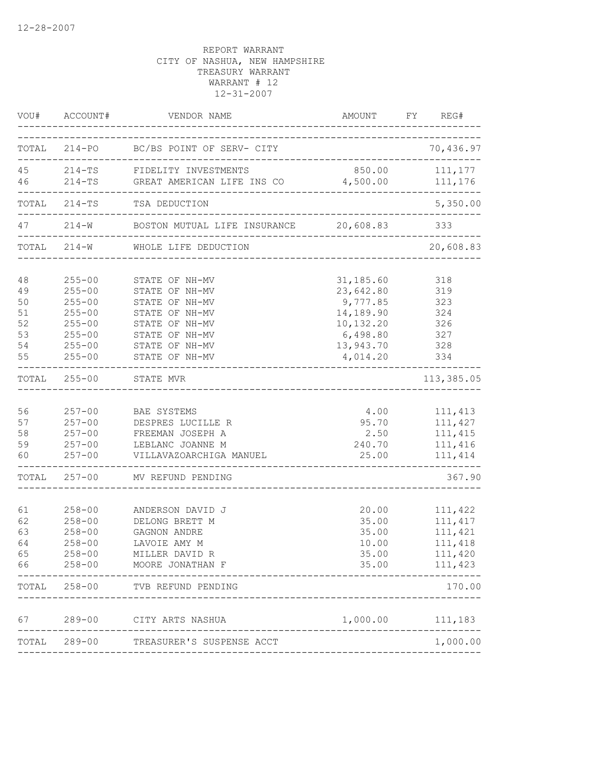|                                              | VOU# ACCOUNT#                                                                                                | VENDOR NAME                                                                                                                                  | AMOUNT FY REG#                                                                                    |                                                                 |
|----------------------------------------------|--------------------------------------------------------------------------------------------------------------|----------------------------------------------------------------------------------------------------------------------------------------------|---------------------------------------------------------------------------------------------------|-----------------------------------------------------------------|
|                                              |                                                                                                              | TOTAL 214-PO BC/BS POINT OF SERV- CITY                                                                                                       |                                                                                                   | 70,436.97                                                       |
| 46                                           |                                                                                                              | 45 214-TS FIDELITY INVESTMENTS<br>214-TS GREAT AMERICAN LIFE INS CO                                                                          | 850.00 111,177<br>4,500.00                                                                        | 111,176                                                         |
|                                              |                                                                                                              | ______________________________________<br>TOTAL 214-TS TSA DEDUCTION                                                                         |                                                                                                   | 5,350.00                                                        |
| 47                                           | $214-W$                                                                                                      | BOSTON MUTUAL LIFE INSURANCE 20,608.83<br>_______________________                                                                            |                                                                                                   | 333                                                             |
|                                              | TOTAL 214-W                                                                                                  | WHOLE LIFE DEDUCTION                                                                                                                         |                                                                                                   | 20,608.83                                                       |
| 48<br>49<br>50<br>51<br>52<br>53<br>54<br>55 | $255 - 00$<br>$255 - 00$<br>$255 - 00$<br>$255 - 00$<br>$255 - 00$<br>$255 - 00$<br>$255 - 00$<br>$255 - 00$ | STATE OF NH-MV<br>STATE OF NH-MV<br>STATE OF NH-MV<br>STATE OF NH-MV<br>STATE OF NH-MV<br>STATE OF NH-MV<br>STATE OF NH-MV<br>STATE OF NH-MV | 31,185.60<br>23,642.80<br>9,777.85<br>14,189.90<br>10,132.20<br>6,498.80<br>13,943.70<br>4,014.20 | 318<br>319<br>323<br>324<br>326<br>327<br>328<br>334            |
| TOTAL                                        | $255 - 00$                                                                                                   | ------------------------<br>STATE MVR<br>______________________________                                                                      |                                                                                                   | -----<br>113,385.05                                             |
| 56<br>57<br>58<br>59<br>60                   | $257 - 00$<br>$257 - 00$<br>$257 - 00$<br>$257 - 00$<br>$257 - 00$                                           | BAE SYSTEMS<br>DESPRES LUCILLE R<br>FREEMAN JOSEPH A<br>LEBLANC JOANNE M<br>VILLAVAZOARCHIGA MANUEL                                          | 4.00<br>95.70<br>2.50<br>240.70<br>25.00                                                          | 111, 413<br>111,427<br>111,415<br>111,416<br>111, 414           |
|                                              |                                                                                                              | TOTAL 257-00 MV REFUND PENDING                                                                                                               |                                                                                                   | 367.90                                                          |
| 61<br>62<br>63<br>64<br>65<br>66             | $258 - 00$<br>$258 - 00$<br>$258 - 00$<br>$258 - 00$<br>$258 - 00$<br>$258 - 00$                             | ANDERSON DAVID J<br>DELONG BRETT M<br>GAGNON ANDRE<br>LAVOIE AMY M<br>MILLER DAVID R<br>MOORE JONATHAN F                                     | 20.00<br>35.00<br>35.00<br>10.00<br>35.00<br>35.00                                                | 111,422<br>111, 417<br>111,421<br>111,418<br>111,420<br>111,423 |
|                                              |                                                                                                              | TOTAL 258-00 TVB REFUND PENDING                                                                                                              |                                                                                                   | 170.00                                                          |
| 67                                           |                                                                                                              | 289-00 CITY ARTS NASHUA                                                                                                                      | 1,000.00 111,183                                                                                  |                                                                 |
|                                              |                                                                                                              | TOTAL 289-00 TREASURER'S SUSPENSE ACCT                                                                                                       |                                                                                                   | 1,000.00                                                        |
|                                              |                                                                                                              |                                                                                                                                              |                                                                                                   |                                                                 |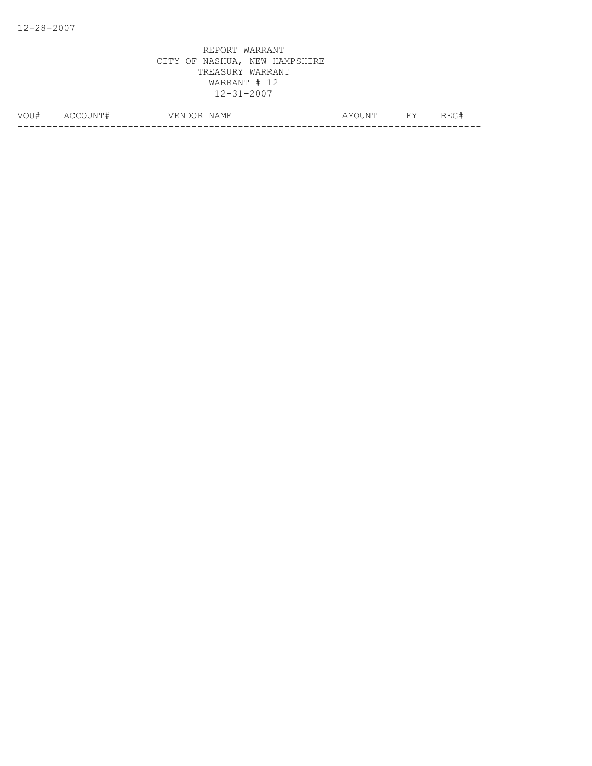| VOU# | $\Delta($<br>I IXI. | ∴N E<br>\ / H'<br>່∖ພ<br>$\sim$ $\sim$ $\sim$ $\sim$ $\sim$ $\sim$ $\sim$ | $\sim$ $\sim$ $\sim$<br>NAMH.<br><b>ALIA</b> | AM∩HN™ | $-1$<br>. . | ---<br>____ |
|------|---------------------|---------------------------------------------------------------------------|----------------------------------------------|--------|-------------|-------------|
|      |                     |                                                                           |                                              |        |             | __          |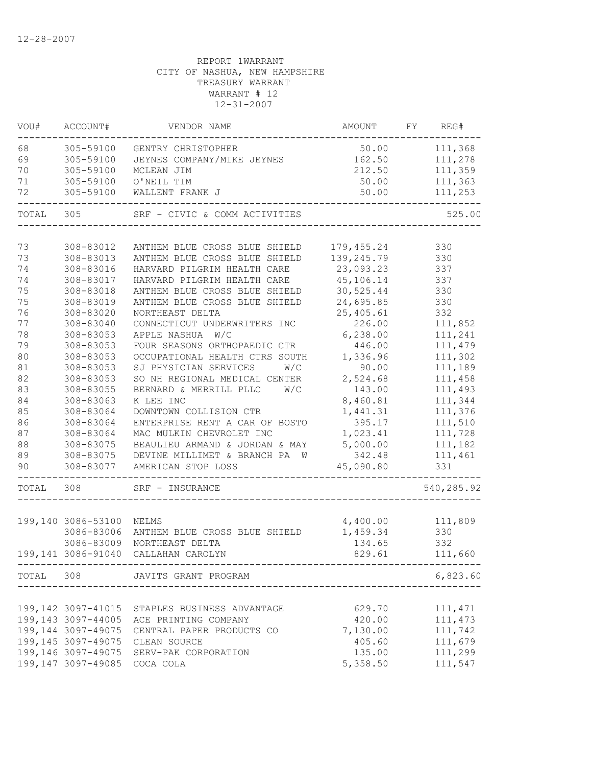| VOU#  | ACCOUNT#                     | VENDOR NAME                                   | AMOUNT                                  | FY | REG#       |
|-------|------------------------------|-----------------------------------------------|-----------------------------------------|----|------------|
| 68    | 305-59100                    | GENTRY CHRISTOPHER                            | 50.00                                   |    | 111,368    |
| 69    | 305-59100                    | JEYNES COMPANY/MIKE JEYNES                    | 162.50                                  |    | 111,278    |
| 70    | 305-59100                    | MCLEAN JIM                                    | 212.50                                  |    | 111,359    |
| 71    | 305-59100                    | O'NEIL TIM                                    | 50.00                                   |    | 111,363    |
| 72    | 305-59100                    | WALLENT FRANK J                               | 50.00                                   |    | 111,253    |
| TOTAL | 305                          | SRF - CIVIC & COMM ACTIVITIES                 |                                         |    | 525.00     |
| 73    | 308-83012                    | ANTHEM BLUE CROSS BLUE SHIELD                 |                                         |    | 330        |
| 73    | 308-83013                    | ANTHEM BLUE CROSS BLUE SHIELD                 | 179,455.24<br>139,245.79                |    | 330        |
| 74    | 308-83016                    | HARVARD PILGRIM HEALTH CARE                   | 23,093.23                               |    | 337        |
| 74    | 308-83017                    | HARVARD PILGRIM HEALTH CARE                   | 45,106.14                               |    | 337        |
| 75    | 308-83018                    | ANTHEM BLUE CROSS BLUE SHIELD                 | 30,525.44                               |    | 330        |
| 75    | 308-83019                    | ANTHEM BLUE CROSS BLUE SHIELD                 | 24,695.85                               |    | 330        |
| 76    | 308-83020                    | NORTHEAST DELTA                               |                                         |    | 332        |
|       |                              |                                               | 25,405.61<br>226.00                     |    |            |
| 77    | 308-83040                    | CONNECTICUT UNDERWRITERS INC                  |                                         |    | 111,852    |
| 78    | 308-83053                    | APPLE NASHUA W/C                              | 6, 238.00                               |    | 111,241    |
| 79    | 308-83053                    | FOUR SEASONS ORTHOPAEDIC CTR                  | 446.00                                  |    | 111,479    |
| 80    | 308-83053                    | OCCUPATIONAL HEALTH CTRS SOUTH                | 1,336.96                                |    | 111,302    |
| 81    | 308-83053                    | SJ PHYSICIAN SERVICES<br>W/C                  | 90.00                                   |    | 111,189    |
| 82    | 308-83053                    | SO NH REGIONAL MEDICAL CENTER                 | 2,524.68                                |    | 111,458    |
| 83    | 308-83055                    | W/C<br>BERNARD & MERRILL PLLC                 | 143.00                                  |    | 111,493    |
| 84    | 308-83063                    | K LEE INC                                     | 8,460.81                                |    | 111,344    |
| 85    | 308-83064                    | DOWNTOWN COLLISION CTR                        | 1,441.31                                |    | 111,376    |
| 86    | 308-83064                    | ENTERPRISE RENT A CAR OF BOSTO                | 395.17                                  |    | 111,510    |
| 87    | 308-83064                    | MAC MULKIN CHEVROLET INC                      | 1,023.41                                |    | 111,728    |
| 88    | 308-83075                    | BEAULIEU ARMAND & JORDAN & MAY                | 5,000.00                                |    | 111,182    |
| 89    | 308-83075                    | DEVINE MILLIMET & BRANCH PA W                 | 342.48                                  |    | 111,461    |
| 90    | 308-83077                    | AMERICAN STOP LOSS                            | 45,090.80                               |    | 331        |
| TOTAL | 308                          | SRF - INSURANCE                               |                                         |    | 540,285.92 |
|       | 199,140 3086-53100 NELMS     |                                               |                                         |    |            |
|       | 3086-83006                   |                                               | 4,400.00                                |    | 111,809    |
|       |                              | ANTHEM BLUE CROSS BLUE SHIELD                 | 1,459.34                                |    | 330        |
|       | 3086-83009                   | NORTHEAST DELTA                               | 134.65                                  |    | 332        |
|       |                              | 199,141 3086-91040 CALLAHAN CAROLYN           | 829.61<br>----------------------------- |    | 111,660    |
|       |                              | TOTAL 308 JAVITS GRANT PROGRAM                |                                         |    | 6,823.60   |
|       |                              |                                               |                                         |    |            |
|       |                              | 199,142 3097-41015 STAPLES BUSINESS ADVANTAGE | 629.70                                  |    | 111, 471   |
|       |                              | 199,143 3097-44005 ACE PRINTING COMPANY       | 420.00                                  |    | 111, 473   |
|       | 199,144 3097-49075           | CENTRAL PAPER PRODUCTS CO                     | 7,130.00                                |    | 111,742    |
|       | 199,145 3097-49075           | CLEAN SOURCE                                  | 405.60                                  |    | 111,679    |
|       |                              | 199,146 3097-49075 SERV-PAK CORPORATION       | 135.00                                  |    | 111,299    |
|       | 199,147 3097-49085 COCA COLA |                                               | 5,358.50                                |    | 111,547    |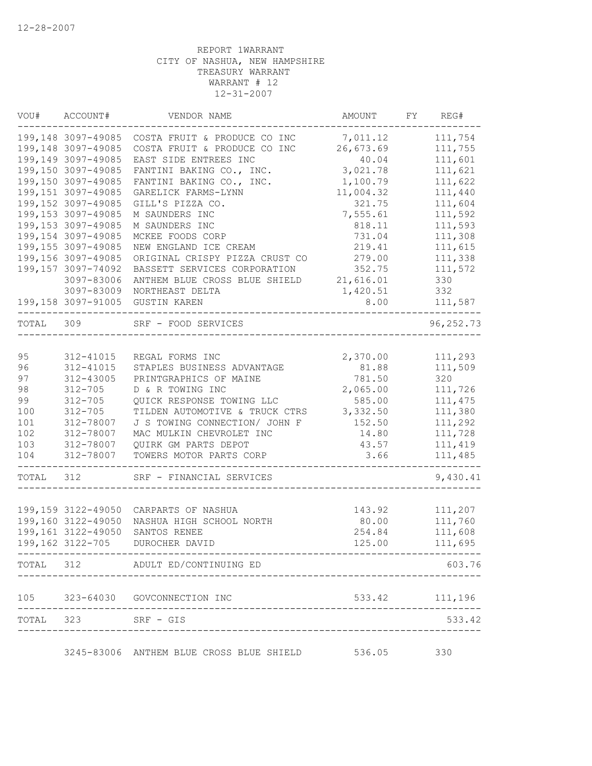| VOU#      | ACCOUNT#                                  | VENDOR NAME                                                   | AMOUNT             | FY | REG#               |
|-----------|-------------------------------------------|---------------------------------------------------------------|--------------------|----|--------------------|
|           | 199,148 3097-49085                        | COSTA FRUIT & PRODUCE CO INC                                  | 7,011.12           |    | 111,754            |
|           | 199,148 3097-49085                        | COSTA FRUIT & PRODUCE CO INC                                  | 26,673.69          |    | 111,755            |
|           | 199,149 3097-49085                        | EAST SIDE ENTREES INC                                         | 40.04              |    | 111,601            |
|           | 199,150 3097-49085                        | FANTINI BAKING CO., INC.                                      | 3,021.78           |    | 111,621            |
|           | 199,150 3097-49085                        | FANTINI BAKING CO., INC.                                      | 1,100.79           |    | 111,622            |
|           | 199,151 3097-49085                        | GARELICK FARMS-LYNN                                           | 11,004.32          |    | 111,440            |
|           | 199,152 3097-49085                        | GILL'S PIZZA CO.                                              | 321.75             |    | 111,604            |
|           | 199, 153 3097-49085                       | M SAUNDERS INC                                                | 7,555.61           |    | 111,592            |
|           | 199,153 3097-49085                        | M SAUNDERS INC                                                | 818.11             |    | 111,593            |
|           | 199, 154 3097-49085                       | MCKEE FOODS CORP                                              | 731.04             |    | 111,308            |
|           | 199, 155 3097-49085                       | NEW ENGLAND ICE CREAM                                         | 219.41             |    | 111,615            |
|           | 199,156 3097-49085<br>199, 157 3097-74092 | ORIGINAL CRISPY PIZZA CRUST CO                                | 279.00<br>352.75   |    | 111,338            |
|           | 3097-83006                                | BASSETT SERVICES CORPORATION<br>ANTHEM BLUE CROSS BLUE SHIELD | 21,616.01          |    | 111,572<br>330     |
|           | 3097-83009                                | NORTHEAST DELTA                                               | 1,420.51           |    | 332                |
|           |                                           | 199,158 3097-91005 GUSTIN KAREN                               | 8.00               |    | 111,587            |
|           |                                           |                                                               |                    |    |                    |
| TOTAL 309 |                                           | SRF - FOOD SERVICES                                           |                    |    | 96, 252.73         |
|           |                                           |                                                               |                    |    |                    |
| 95        | 312-41015                                 | REGAL FORMS INC                                               | 2,370.00           |    | 111,293            |
| 96        | 312-41015                                 | STAPLES BUSINESS ADVANTAGE                                    | 81.88              |    | 111,509            |
| 97<br>98  | 312-43005                                 | PRINTGRAPHICS OF MAINE                                        | 781.50             |    | 320                |
| 99        | $312 - 705$<br>$312 - 705$                | D & R TOWING INC<br>QUICK RESPONSE TOWING LLC                 | 2,065.00<br>585.00 |    | 111,726<br>111,475 |
| 100       | $312 - 705$                               | TILDEN AUTOMOTIVE & TRUCK CTRS                                | 3,332.50           |    | 111,380            |
| 101       | 312-78007                                 | J S TOWING CONNECTION/ JOHN F                                 | 152.50             |    | 111,292            |
| 102       | 312-78007                                 | MAC MULKIN CHEVROLET INC                                      | 14.80              |    | 111,728            |
| 103       | 312-78007                                 | QUIRK GM PARTS DEPOT                                          | 43.57              |    | 111,419            |
| 104       | 312-78007                                 | TOWERS MOTOR PARTS CORP                                       | 3.66               |    | 111,485            |
| TOTAL     | 312                                       | SRF - FINANCIAL SERVICES                                      |                    |    | 9,430.41           |
|           |                                           |                                                               |                    |    |                    |
|           | 199,159 3122-49050                        | CARPARTS OF NASHUA                                            | 143.92             |    | 111,207            |
|           | 199,160 3122-49050                        | NASHUA HIGH SCHOOL NORTH                                      | 80.00              |    | 111,760            |
|           | 199,161 3122-49050                        | SANTOS RENEE                                                  | 254.84             |    | 111,608            |
|           | 199,162 3122-705                          | DUROCHER DAVID<br>_____________________________________       | 125.00             |    | 111,695            |
|           |                                           | TOTAL 312 ADULT ED/CONTINUING ED                              |                    |    | 603.76             |
|           |                                           | 105 323-64030 GOVCONNECTION INC                               |                    |    | 533.42 111,196     |
|           | TOTAL 323 SRF - GIS                       |                                                               |                    |    | 533.42             |
|           |                                           |                                                               |                    |    |                    |
|           |                                           | 3245-83006 ANTHEM BLUE CROSS BLUE SHIELD                      | 536.05             |    | 330                |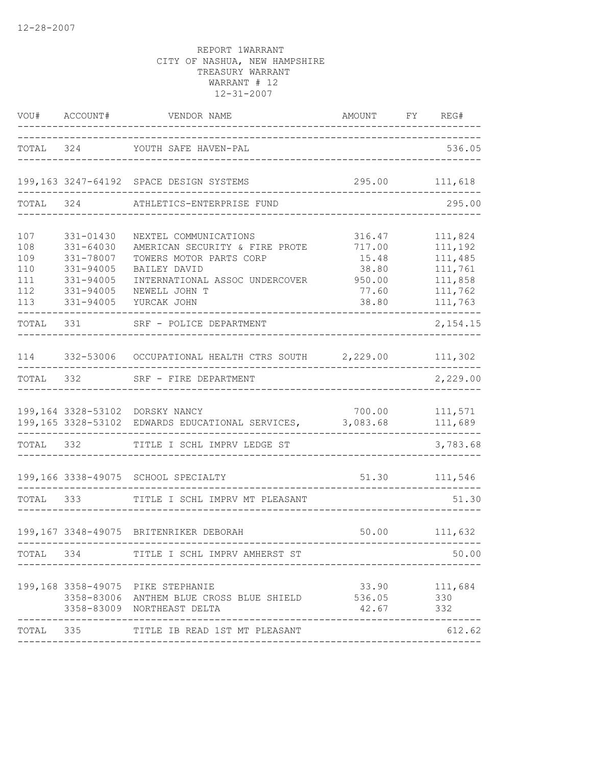|                                               | VOU# ACCOUNT#                                                                           | VENDOR NAME                                                                                                                                                                 | AMOUNT FY REG#                                       |                                                                           |
|-----------------------------------------------|-----------------------------------------------------------------------------------------|-----------------------------------------------------------------------------------------------------------------------------------------------------------------------------|------------------------------------------------------|---------------------------------------------------------------------------|
|                                               |                                                                                         | TOTAL 324 YOUTH SAFE HAVEN-PAL                                                                                                                                              |                                                      | 536.05                                                                    |
|                                               |                                                                                         | 199,163 3247-64192 SPACE DESIGN SYSTEMS                                                                                                                                     | 295.00                                               | 111,618                                                                   |
| TOTAL                                         | 324                                                                                     | ATHLETICS-ENTERPRISE FUND                                                                                                                                                   |                                                      | 295.00                                                                    |
| 107<br>108<br>109<br>110<br>111<br>112<br>113 | 331-01430<br>331-64030<br>331-78007<br>331-94005<br>331-94005<br>331-94005<br>331-94005 | NEXTEL COMMUNICATIONS<br>AMERICAN SECURITY & FIRE PROTE<br>TOWERS MOTOR PARTS CORP<br>BAILEY DAVID<br>INTERNATIONAL ASSOC UNDERCOVER 950.00<br>NEWELL JOHN T<br>YURCAK JOHN | 316.47<br>717.00<br>15.48<br>38.80<br>77.60<br>38.80 | 111,824<br>111,192<br>111,485<br>111,761<br>111,858<br>111,762<br>111,763 |
| TOTAL                                         | 331                                                                                     | SRF - POLICE DEPARTMENT                                                                                                                                                     |                                                      | 2,154.15                                                                  |
| 114                                           |                                                                                         | 332-53006 OCCUPATIONAL HEALTH CTRS SOUTH 2, 229.00 111, 302                                                                                                                 |                                                      |                                                                           |
| TOTAL                                         | 332                                                                                     | SRF - FIRE DEPARTMENT                                                                                                                                                       |                                                      | 2,229.00                                                                  |
|                                               |                                                                                         | 199,164 3328-53102 DORSKY NANCY<br>199,165 3328-53102 EDWARDS EDUCATIONAL SERVICES, 3,083.68                                                                                |                                                      | 700.00 111,571<br>111,689                                                 |
|                                               | TOTAL 332                                                                               | TITLE I SCHL IMPRV LEDGE ST                                                                                                                                                 |                                                      | 3,783.68                                                                  |
|                                               |                                                                                         | 199,166 3338-49075 SCHOOL SPECIALTY                                                                                                                                         |                                                      | 51.30 111,546                                                             |
| TOTAL 333                                     |                                                                                         | TITLE I SCHL IMPRV MT PLEASANT                                                                                                                                              |                                                      | 51.30                                                                     |
|                                               |                                                                                         | 199,167 3348-49075 BRITENRIKER DEBORAH                                                                                                                                      |                                                      | 50.00 111,632<br>. - - - - - - .                                          |
| TOTAL 334                                     |                                                                                         | TITLE I SCHL IMPRV AMHERST ST                                                                                                                                               |                                                      | 50.00                                                                     |
|                                               |                                                                                         | 199,168 3358-49075 PIKE STEPHANIE<br>3358-83006 ANTHEM BLUE CROSS BLUE SHIELD 536.05<br>3358-83009 NORTHEAST DELTA                                                          | 42.67                                                | 33.90 111,684<br>330<br>332                                               |
| TOTAL 335                                     |                                                                                         | TITLE IB READ 1ST MT PLEASANT                                                                                                                                               |                                                      | 612.62                                                                    |
|                                               |                                                                                         |                                                                                                                                                                             |                                                      |                                                                           |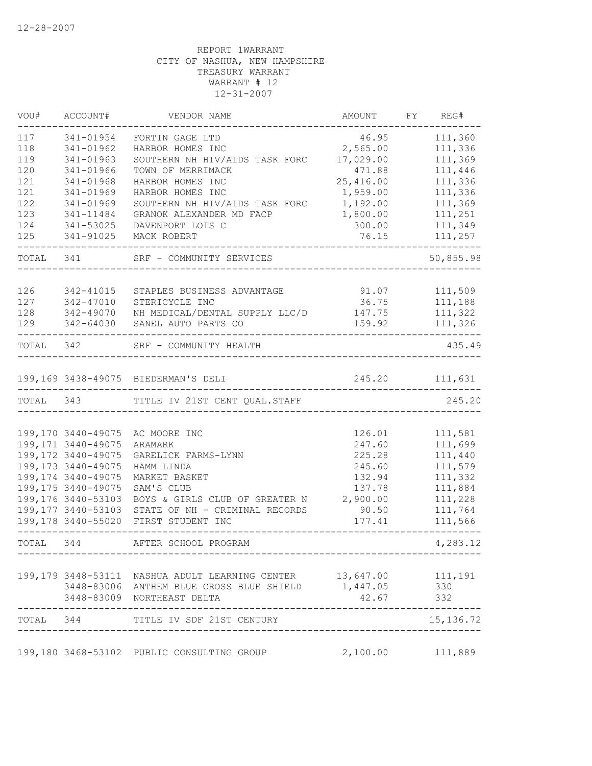| VOU#      | ACCOUNT#            | VENDOR NAME                                                                     | AMOUNT                          | FY | REG#           |
|-----------|---------------------|---------------------------------------------------------------------------------|---------------------------------|----|----------------|
| 117       | 341-01954           | FORTIN GAGE LTD                                                                 | 46.95                           |    | 111,360        |
| 118       | 341-01962           | HARBOR HOMES INC                                                                | 2,565.00                        |    | 111,336        |
| 119       | 341-01963           | SOUTHERN NH HIV/AIDS TASK FORC                                                  | 17,029.00                       |    | 111,369        |
| 120       | 341-01966           | TOWN OF MERRIMACK                                                               | 471.88                          |    | 111,446        |
| 121       | 341-01968           | HARBOR HOMES INC                                                                | 25,416.00                       |    | 111,336        |
| 121       | 341-01969           | HARBOR HOMES INC                                                                | 1,959.00                        |    | 111,336        |
| 122       | 341-01969           | SOUTHERN NH HIV/AIDS TASK FORC                                                  | 1,192.00                        |    | 111,369        |
| 123       | 341-11484           | GRANOK ALEXANDER MD FACP                                                        | 1,800.00                        |    | 111,251        |
| 124       | 341-53025           | DAVENPORT LOIS C                                                                | 300.00                          |    | 111,349        |
| 125       | 341-91025           | MACK ROBERT                                                                     | 76.15                           |    | 111,257        |
| TOTAL     | 341                 | SRF - COMMUNITY SERVICES                                                        |                                 |    | 50,855.98      |
| 126       | 342-41015           | STAPLES BUSINESS ADVANTAGE                                                      | 91.07                           |    | 111,509        |
| 127       | 342-47010           | STERICYCLE INC                                                                  | 36.75                           |    | 111,188        |
| 128       | 342-49070           | NH MEDICAL/DENTAL SUPPLY LLC/D                                                  | 147.75                          |    | 111,322        |
| 129       | 342-64030           | SANEL AUTO PARTS CO                                                             | 159.92                          |    | 111,326        |
| TOTAL 342 |                     | SRF - COMMUNITY HEALTH                                                          |                                 |    | 435.49         |
|           |                     | 199,169 3438-49075 BIEDERMAN'S DELI                                             |                                 |    | 245.20 111,631 |
| TOTAL 343 |                     | TITLE IV 21ST CENT QUAL. STAFF                                                  |                                 |    | 245.20         |
|           |                     |                                                                                 |                                 |    |                |
|           | 199,170 3440-49075  | AC MOORE INC                                                                    | 126.01                          |    | 111,581        |
|           | 199, 171 3440-49075 | ARAMARK                                                                         | 247.60                          |    | 111,699        |
|           | 199,172 3440-49075  | GARELICK FARMS-LYNN                                                             | 225.28                          |    | 111,440        |
|           | 199, 173 3440-49075 | HAMM LINDA                                                                      | 245.60                          |    | 111,579        |
|           | 199, 174 3440-49075 | MARKET BASKET                                                                   | 132.94                          |    | 111,332        |
|           | 199, 175 3440-49075 | SAM'S CLUB                                                                      | 137.78                          |    | 111,884        |
|           | 199,176 3440-53103  | BOYS & GIRLS CLUB OF GREATER N                                                  | 2,900.00                        |    | 111,228        |
|           | 199,177 3440-53103  | STATE OF NH - CRIMINAL RECORDS                                                  | 90.50                           |    | 111,764        |
|           | 199,178 3440-55020  | FIRST STUDENT INC                                                               | 177.41                          |    | 111,566        |
| TOTAL     | 344                 | AFTER SCHOOL PROGRAM                                                            |                                 |    | 4,283.12       |
|           |                     |                                                                                 |                                 |    |                |
|           |                     | 199,179 3448-53111 NASHUA ADULT LEARNING CENTER 13,647.00 111,191               |                                 |    |                |
|           |                     | 3448-83006 ANTHEM BLUE CROSS BLUE SHIELD 1,447.05<br>3448-83009 NORTHEAST DELTA | 42.67                           |    | 330<br>332     |
|           |                     | TOTAL 344 TITLE IV SDF 21ST CENTURY                                             |                                 |    | 15, 136.72     |
|           |                     |                                                                                 | ------------------------------- |    |                |
|           |                     | 199,180 3468-53102 PUBLIC CONSULTING GROUP                                      | 2,100.00                        |    | 111,889        |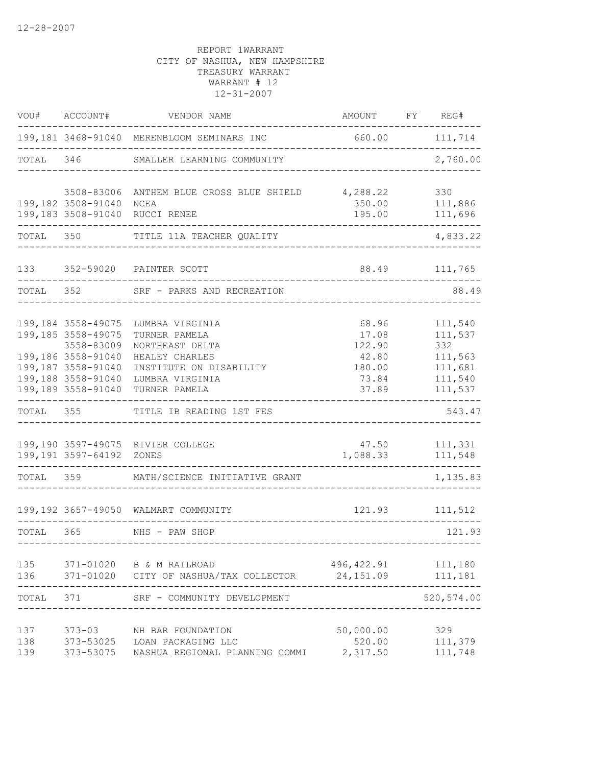| VOU#              | ACCOUNT#                                                                                                                                       | VENDOR NAME                                                                                                                          | AMOUNT                                                        | FY REG#                                                               |
|-------------------|------------------------------------------------------------------------------------------------------------------------------------------------|--------------------------------------------------------------------------------------------------------------------------------------|---------------------------------------------------------------|-----------------------------------------------------------------------|
|                   |                                                                                                                                                | 199,181 3468-91040 MERENBLOOM SEMINARS INC<br>_____________                                                                          | 660.00 111,714                                                |                                                                       |
| TOTAL             |                                                                                                                                                | 346 SMALLER LEARNING COMMUNITY                                                                                                       |                                                               | 2,760.00                                                              |
|                   | 3508-83006<br>199,182 3508-91040 NCEA                                                                                                          | ANTHEM BLUE CROSS BLUE SHIELD 4,288.22<br>199,183 3508-91040 RUCCI RENEE                                                             | 350.00<br>195.00                                              | 330<br>111,886<br>111,696                                             |
| TOTAL 350         |                                                                                                                                                | TITLE 11A TEACHER QUALITY                                                                                                            |                                                               | 4,833.22                                                              |
|                   |                                                                                                                                                | 133 352-59020 PAINTER SCOTT                                                                                                          | 88.49                                                         | 111,765                                                               |
| TOTAL 352         |                                                                                                                                                | SRF - PARKS AND RECREATION                                                                                                           |                                                               | 88.49                                                                 |
|                   | 199,184 3558-49075<br>199,185 3558-49075<br>3558-83009<br>199,186 3558-91040<br>199,187 3558-91040<br>199,188 3558-91040<br>199,189 3558-91040 | LUMBRA VIRGINIA<br>TURNER PAMELA<br>NORTHEAST DELTA<br>HEALEY CHARLES<br>INSTITUTE ON DISABILITY<br>LUMBRA VIRGINIA<br>TURNER PAMELA | 68.96<br>17.08<br>122.90<br>42.80<br>180.00<br>73.84<br>37.89 | 111,540<br>111,537<br>332<br>111,563<br>111,681<br>111,540<br>111,537 |
| TOTAL 355         |                                                                                                                                                | TITLE IB READING 1ST FES                                                                                                             |                                                               | 543.47                                                                |
|                   | 199,191 3597-64192                                                                                                                             | 199,190 3597-49075 RIVIER COLLEGE<br>ZONES                                                                                           | 47.50<br>1,088.33                                             | 111,331<br>111,548                                                    |
| TOTAL 359         |                                                                                                                                                | MATH/SCIENCE INITIATIVE GRANT                                                                                                        |                                                               | 1,135.83                                                              |
|                   |                                                                                                                                                | 199,192 3657-49050 WALMART COMMUNITY                                                                                                 | 121.93                                                        | 111,512                                                               |
| TOTAL 365         |                                                                                                                                                | NHS - PAW SHOP                                                                                                                       |                                                               | 121.93                                                                |
| 136               |                                                                                                                                                | 135 371-01020 B & M RAILROAD<br>371-01020 CITY OF NASHUA/TAX COLLECTOR                                                               | 496, 422.91<br>24,151.09                                      | 111,180<br>111,181                                                    |
| TOTAL             | 371                                                                                                                                            | SRF - COMMUNITY DEVELOPMENT                                                                                                          |                                                               | 520, 574.00                                                           |
| 137<br>138<br>139 | $373 - 03$                                                                                                                                     | NH BAR FOUNDATION<br>373-53025 LOAN PACKAGING LLC<br>373-53075 NASHUA REGIONAL PLANNING COMMI                                        | 50,000.00<br>520.00<br>2,317.50                               | 329<br>111,379<br>111,748                                             |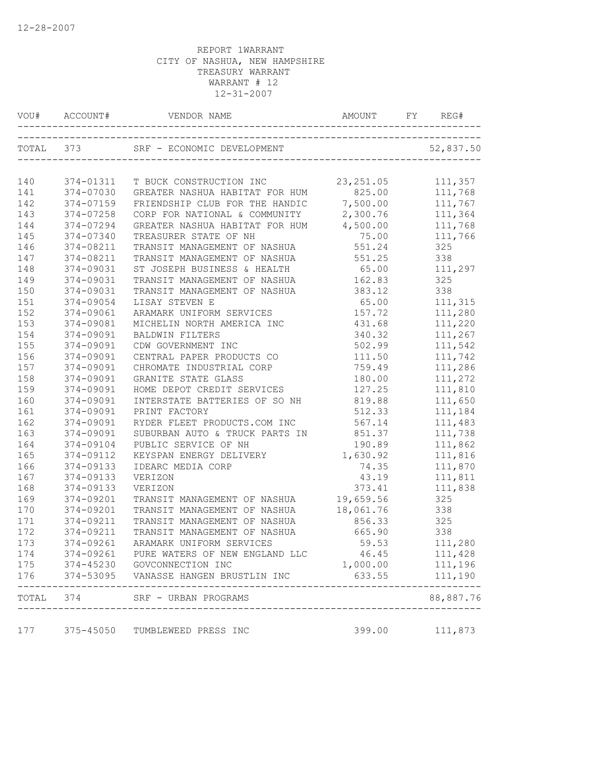|            | VOU# ACCOUNT# |                                                               | AMOUNT FY REG#     |                    |
|------------|---------------|---------------------------------------------------------------|--------------------|--------------------|
|            | TOTAL 373     |                                                               |                    |                    |
| 140        | 374-01311     | T BUCK CONSTRUCTION INC 23, 251.05 111, 357                   |                    |                    |
| 141        | 374-07030     | GREATER NASHUA HABITAT FOR HUM 825.00 111,768                 |                    |                    |
| 142        | 374-07159     | FRIENDSHIP CLUB FOR THE HANDIC 7,500.00                       |                    | 111,767            |
| 143        | 374-07258     | CORP FOR NATIONAL & COMMUNITY                                 | 2,300.76           | 111,364            |
| 144        | 374-07294     | GREATER NASHUA HABITAT FOR HUM                                | 4,500.00           | 111,768            |
| 145        | 374-07340     | TREASURER STATE OF NH                                         | 75.00              | 111,766            |
| 146        | 374-08211     | TRANSIT MANAGEMENT OF NASHUA                                  | 551.24             | 325                |
| 147        | 374-08211     | TRANSIT MANAGEMENT OF NASHUA                                  | 551.25             | 338                |
| 148        | 374-09031     | ST JOSEPH BUSINESS & HEALTH 65.00                             |                    | 111,297            |
| 149        | 374-09031     | TRANSIT MANAGEMENT OF NASHUA 162.83                           |                    | 325                |
| 150        | 374-09031     | TRANSIT MANAGEMENT OF NASHUA                                  | 383.12             | 338                |
| 151        | 374-09054     | LISAY STEVEN E                                                | 65.00              | 111,315            |
| 152        | 374-09061     | ARAMARK UNIFORM SERVICES                                      | 157.72             | 111,280            |
| 153        | 374-09081     | MICHELIN NORTH AMERICA INC                                    | 431.68             | 111,220            |
| 154        | 374-09091     | <b>BALDWIN FILTERS</b>                                        | 340.32             | 111,267            |
| 155        | 374-09091     | CDW GOVERNMENT INC                                            | 502.99             | 111,542            |
| 156        | 374-09091     | CENTRAL PAPER PRODUCTS CO                                     | 111.50             | 111,742            |
| 157        | 374-09091     | CHROMATE INDUSTRIAL CORP                                      | 759.49             | 111,286            |
| 158        | 374-09091     | GRANITE STATE GLASS                                           | 180.00             | 111,272            |
| 159        | 374-09091     | HOME DEPOT CREDIT SERVICES                                    | 127.25             | 111,810            |
| 160        | 374-09091     | INTERSTATE BATTERIES OF SO NH 819.88                          |                    | 111,650            |
| 161        | 374-09091     | PRINT FACTORY                                                 | 512.33             | 111,184            |
| 162        | 374-09091     | RYDER FLEET PRODUCTS.COM INC                                  | 567.14             | 111,483            |
| 163        | 374-09091     | SUBURBAN AUTO & TRUCK PARTS IN                                | 851.37             | 111,738            |
| 164        | 374-09104     | PUBLIC SERVICE OF NH                                          | 190.89             | 111,862            |
| 165        | 374-09112     | KEYSPAN ENERGY DELIVERY                                       | 1,630.92           | 111,816            |
| 166        | 374-09133     | IDEARC MEDIA CORP                                             | 74.35              | 111,870            |
| 167        | 374-09133     | VERIZON                                                       | 43.19              | 111,811            |
| 168        | 374-09133     | VERIZON                                                       | 373.41             | 111,838            |
| 169        | 374-09201     | TRANSIT MANAGEMENT OF NASHUA                                  | 19,659.56          | 325                |
| 170        | 374-09201     | TRANSIT MANAGEMENT OF NASHUA                                  | 18,061.76          | 338                |
| 171        | 374-09211     | TRANSIT MANAGEMENT OF NASHUA                                  | 856.33             | 325                |
| 172        | 374-09211     | TRANSIT MANAGEMENT OF NASHUA                                  | 665.90             | 338                |
| 173        |               | 374-09261 ARAMARK UNIFORM SERVICES                            | 59.53              | 111,280            |
|            |               |                                                               |                    |                    |
| 174        | 374-09261     | PURE WATERS OF NEW ENGLAND LLC<br>374-45230 GOVCONNECTION INC | 46.45              | 111,428            |
| 175<br>176 |               | 374-53095 VANASSE HANGEN BRUSTLIN INC                         | 1,000.00<br>633.55 | 111,196<br>111,190 |
| TOTAL      | 374           | SRF - URBAN PROGRAMS                                          |                    | 88,887.76          |
| 177        | $375 - 45050$ | TUMBLEWEED PRESS INC                                          | 399.00             | 111,873            |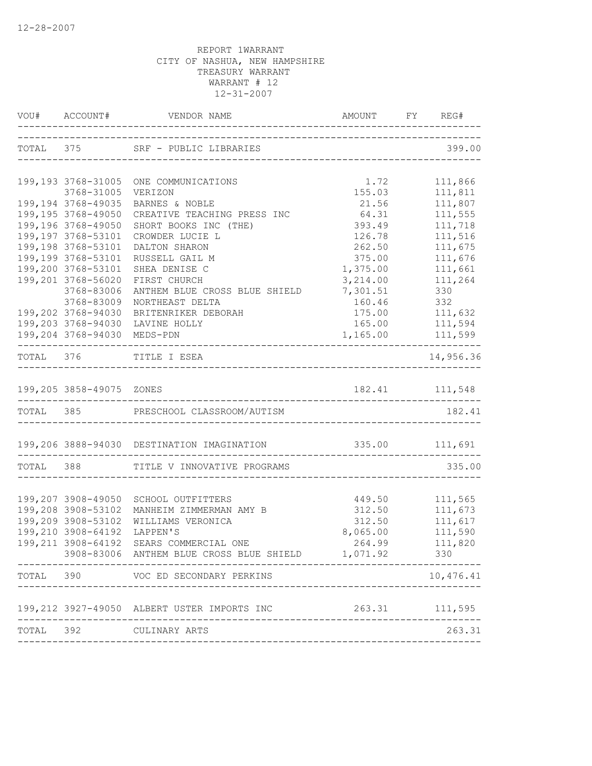|                          | VOU# ACCOUNT# VENDOR NAME AMOUNT FY REG#                  |                                    |                             |
|--------------------------|-----------------------------------------------------------|------------------------------------|-----------------------------|
|                          | TOTAL 375 SRF - PUBLIC LIBRARIES                          |                                    |                             |
| 199, 193 3768-31005      | ONE COMMUNICATIONS                                        | 1.72                               | 111,866                     |
| 3768-31005               | VERIZON                                                   | 155.03                             | 111,811                     |
| 199,194 3768-49035       | BARNES & NOBLE                                            | 21.56                              | 111,807                     |
| 199,195 3768-49050       | CREATIVE TEACHING PRESS INC                               | 64.31                              | 111,555                     |
| 199,196 3768-49050       | SHORT BOOKS INC (THE)                                     | 393.49                             | 111,718                     |
| 199,197 3768-53101       | CROWDER LUCIE L                                           | 126.78                             | 111,516                     |
| 199,198 3768-53101       | DALTON SHARON                                             | 262.50                             | 111,675                     |
| 199,199 3768-53101       | RUSSELL GAIL M                                            | 375.00                             | 111,676                     |
| 199,200 3768-53101       | SHEA DENISE C                                             | 1,375.00                           | 111,661                     |
| 199,201 3768-56020       | FIRST CHURCH                                              | 3,214.00                           | 111,264                     |
| 3768-83006               | ANTHEM BLUE CROSS BLUE SHIELD                             | 7,301.51                           | 330                         |
| 3768-83009               | NORTHEAST DELTA                                           | 160.46                             | 332                         |
| 199,202 3768-94030       | BRITENRIKER DEBORAH<br>199,203 3768-94030 LAVINE HOLLY    | 175.00                             | 111,632                     |
|                          | 199,204 3768-94030 MEDS-PDN                               | 165.00 111,594<br>1,165.00 111,599 |                             |
|                          |                                                           |                                    | . _ _ _ _ _ _ _ _ _ _ _ _ _ |
|                          | TOTAL 376 TITLE I ESEA                                    |                                    | 14,956.36                   |
|                          |                                                           |                                    |                             |
| 199,205 3858-49075 ZONES |                                                           | 182.41 111,548                     |                             |
|                          | TOTAL 385 PRESCHOOL CLASSROOM/AUTISM                      |                                    | 182.41                      |
|                          |                                                           |                                    |                             |
|                          | 199,206 3888-94030 DESTINATION IMAGINATION 335.00 111,691 |                                    |                             |
|                          | TOTAL 388 TITLE V INNOVATIVE PROGRAMS                     |                                    | 335.00                      |
|                          |                                                           |                                    |                             |
| 199,207 3908-49050       | SCHOOL OUTFITTERS                                         | 449.50                             | 111,565                     |
| 199,208 3908-53102       | MANHEIM ZIMMERMAN AMY B                                   |                                    | 312.50 111,673              |
| 199,209 3908-53102       | WILLIAMS VERONICA                                         | 312.50                             | 111,617<br>111,590          |
| 199,210 3908-64192       | LAPPEN'S                                                  | 8,065.00                           |                             |
|                          | 199,211 3908-64192 SEARS COMMERCIAL ONE                   | 264.99                             | 111,820                     |
|                          | 3908-83006 ANTHEM BLUE CROSS BLUE SHIELD 1,071.92         |                                    | 330                         |
|                          | TOTAL 390 VOC ED SECONDARY PERKINS                        |                                    | 10,476.41                   |
|                          | 199, 212 3927-49050 ALBERT USTER IMPORTS INC              | 263.31 111,595                     |                             |
|                          |                                                           |                                    |                             |
|                          | TOTAL 392 CULINARY ARTS                                   |                                    | 263.31                      |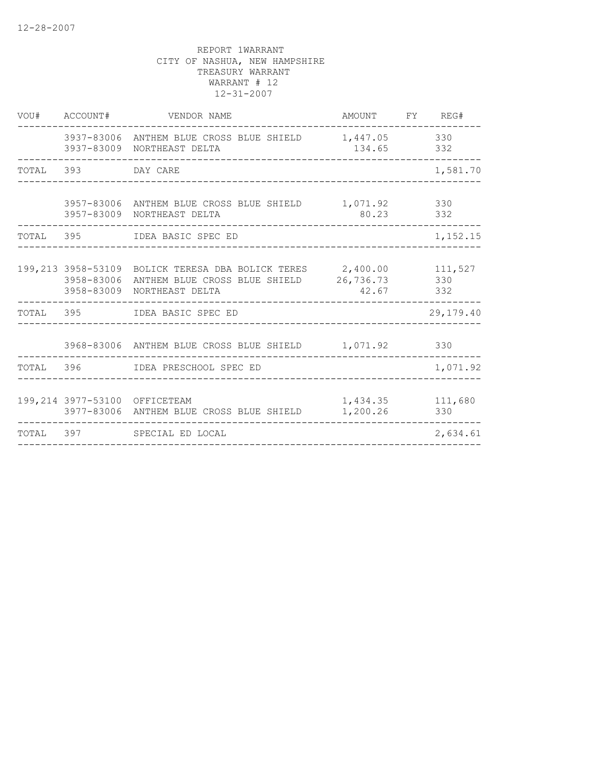|       | VOU# ACCOUNT#                 | VENDOR NAME                                                                                                                                            | AMOUNT FY REG#        |                |
|-------|-------------------------------|--------------------------------------------------------------------------------------------------------------------------------------------------------|-----------------------|----------------|
|       |                               | 3937-83006 ANTHEM BLUE CROSS BLUE SHIELD 1,447.05 330<br>3937-83009 NORTHEAST DELTA                                                                    | 134.65 332            |                |
|       | TOTAL 393 DAY CARE            |                                                                                                                                                        |                       | 1,581.70       |
|       |                               | 3957-83006 ANTHEM BLUE CROSS BLUE SHIELD<br>3957-83009 NORTHEAST DELTA                                                                                 | 1,071.92 330<br>80.23 | 332            |
| TOTAL |                               |                                                                                                                                                        |                       | 1,152.15       |
|       |                               | 199,213 3958-53109 BOLICK TERESA DBA BOLICK TERES 2,400.00 111,527<br>3958-83006 ANTHEM BLUE CROSS BLUE SHIELD 26,736.73<br>3958-83009 NORTHEAST DELTA | 42.67                 | 330<br>332     |
|       |                               | TOTAL 395 IDEA BASIC SPEC ED                                                                                                                           |                       | 29,179.40      |
|       |                               | 3968-83006 ANTHEM BLUE CROSS BLUE SHIELD 1,071.92                                                                                                      |                       | 330            |
|       |                               | TOTAL 396 IDEA PRESCHOOL SPEC ED                                                                                                                       |                       | 1,071.92       |
|       | 199,214 3977-53100 OFFICETEAM | 3977-83006 ANTHEM BLUE CROSS BLUE SHIELD                                                                                                               | 1,434.35<br>1,200.26  | 111,680<br>330 |
|       |                               | TOTAL 397 SPECIAL ED LOCAL                                                                                                                             |                       | 2,634.61       |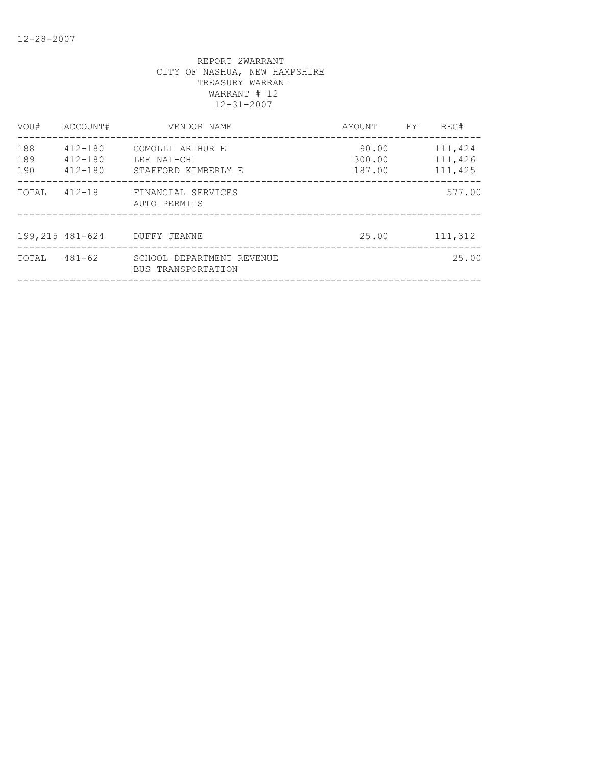| VOU#              | ACCOUNT#                                  | VENDOR NAME                                            | AMOUNT                    | FY. | REG#                          |
|-------------------|-------------------------------------------|--------------------------------------------------------|---------------------------|-----|-------------------------------|
| 188<br>189<br>190 | $412 - 180$<br>$412 - 180$<br>$412 - 180$ | COMOLLI ARTHUR E<br>LEE NAI-CHI<br>STAFFORD KIMBERLY E | 90.00<br>300.00<br>187.00 |     | 111,424<br>111,426<br>111,425 |
| TOTAL             | $412 - 18$                                | FINANCIAL SERVICES<br>AUTO PERMITS                     |                           |     | 577.00                        |
| 199,215 481-624   |                                           | DUFFY JEANNE                                           | 25.00                     |     | 111,312                       |
| TOTAL             | $481 - 62$                                | SCHOOL DEPARTMENT REVENUE<br>BUS TRANSPORTATION        |                           |     | 25.00                         |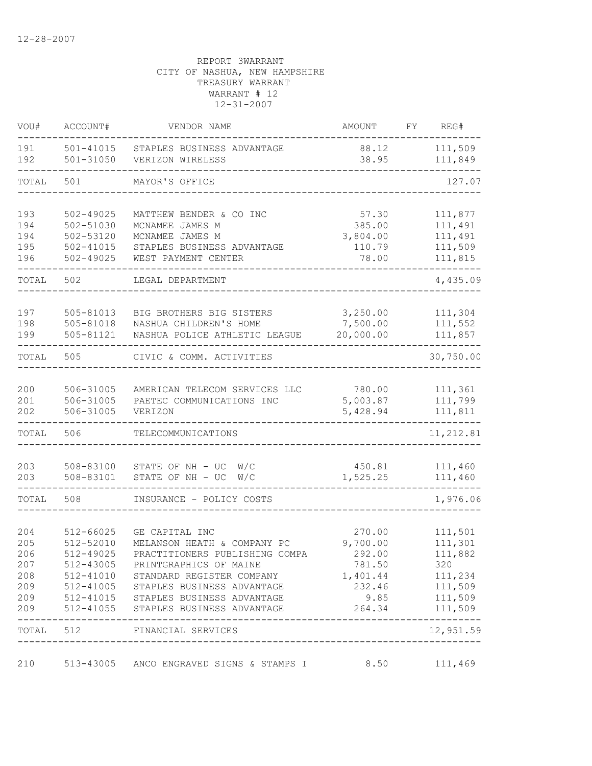| VOU#       | ACCOUNT#                   | VENDOR NAME                                           | AMOUNT                        | FY | REG#               |
|------------|----------------------------|-------------------------------------------------------|-------------------------------|----|--------------------|
| 191<br>192 | 501-41015<br>$501 - 31050$ | STAPLES BUSINESS ADVANTAGE<br>VERIZON WIRELESS        | 88.12<br>38.95                |    | 111,509<br>111,849 |
| TOTAL      | 501                        | MAYOR'S OFFICE                                        |                               |    | 127.07             |
| 193        | $502 - 49025$              | MATTHEW BENDER & CO INC                               | 57.30                         |    | 111,877            |
| 194        | 502-51030                  | MCNAMEE JAMES M                                       | 385.00                        |    | 111,491            |
| 194        | 502-53120                  | MCNAMEE JAMES M                                       | 3,804.00                      |    | 111,491            |
| 195        | $502 - 41015$              | STAPLES BUSINESS ADVANTAGE                            | 110.79                        |    | 111,509            |
| 196        | $502 - 49025$              | WEST PAYMENT CENTER                                   | 78.00                         |    | 111,815            |
| TOTAL      | 502                        | LEGAL DEPARTMENT                                      |                               |    | 4,435.09           |
| 197        | 505-81013                  | BIG BROTHERS BIG SISTERS                              | 3,250.00                      |    | 111,304            |
| 198        | 505-81018                  | NASHUA CHILDREN'S HOME                                | 7,500.00                      |    | 111,552            |
| 199        | 505-81121                  | NASHUA POLICE ATHLETIC LEAGUE                         | 20,000.00                     |    | 111,857            |
| TOTAL      | 505                        | CIVIC & COMM. ACTIVITIES                              |                               |    | 30,750.00          |
| 200        | 506-31005                  | AMERICAN TELECOM SERVICES LLC                         | 780.00                        |    | 111,361            |
| 201        | 506-31005                  | PAETEC COMMUNICATIONS INC                             | 5,003.87                      |    | 111,799            |
| 202        | 506-31005                  | VERIZON                                               | 5,428.94                      |    | 111,811            |
| TOTAL      | 506                        | TELECOMMUNICATIONS                                    |                               |    | 11, 212.81         |
| 203        | 508-83100                  | STATE OF NH - UC<br>W/C                               | 450.81                        |    | 111,460            |
| 203        | 508-83101                  | STATE OF NH - UC<br>W/C                               | 1,525.25                      |    | 111,460            |
| TOTAL      | 508                        | INSURANCE - POLICY COSTS                              |                               |    | 1,976.06           |
|            |                            |                                                       |                               |    | 111,501            |
| 204<br>205 | 512-66025<br>512-52010     | GE CAPITAL INC<br>MELANSON HEATH & COMPANY PC         | 270.00<br>9,700.00            |    | 111,301            |
| 206        | 512-49025                  | PRACTITIONERS PUBLISHING COMPA                        | 292.00                        |    | 111,882            |
| 207        |                            | 512-43005 PRINTGRAPHICS OF MAINE                      | 781.50                        |    | 320                |
| 208        |                            | 512-41010 STANDARD REGISTER COMPANY                   | 1,401.44                      |    | 111,234            |
| 209        |                            | 512-41005 STAPLES BUSINESS ADVANTAGE                  |                               |    | 232.46 111,509     |
| 209        |                            | 512-41015 STAPLES BUSINESS ADVANTAGE                  | 9.85                          |    | 111,509            |
| 209        |                            | 512-41055 STAPLES BUSINESS ADVANTAGE                  | 264.34                        |    | 111,509            |
|            | TOTAL 512                  | FINANCIAL SERVICES                                    | ----------------------------- |    | 12,951.59          |
| 210        |                            | 513-43005 ANCO ENGRAVED SIGNS & STAMPS I 8.50 111,469 |                               |    |                    |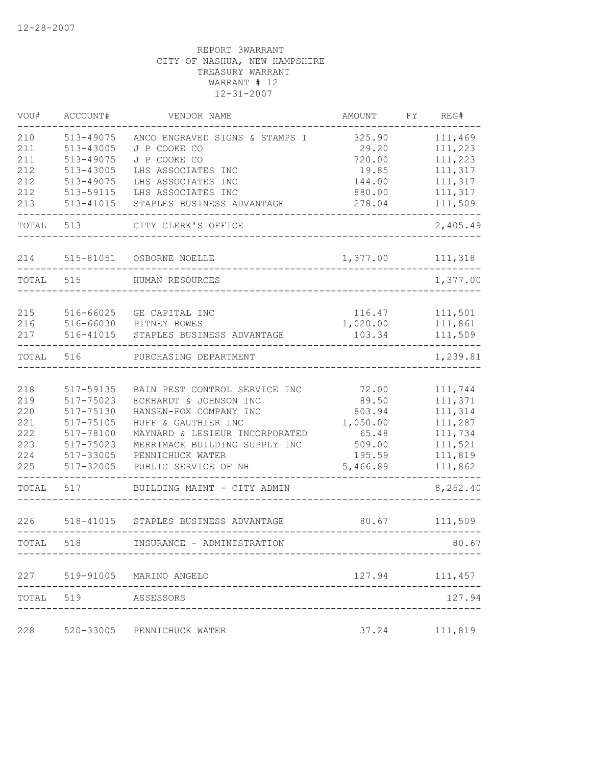| VOU#       | ACCOUNT#            | VENDOR NAME                                             | AMOUNT           | FY | REG#               |
|------------|---------------------|---------------------------------------------------------|------------------|----|--------------------|
| 210        | 513-49075           | ANCO ENGRAVED SIGNS & STAMPS I                          | 325.90           |    | 111,469            |
| 211        | 513-43005           | J P COOKE CO                                            | 29.20            |    | 111,223            |
| 211        | 513-49075           | J P COOKE CO                                            | 720.00           |    | 111,223            |
| 212        | 513-43005           | LHS ASSOCIATES INC                                      | 19.85            |    | 111,317            |
| 212        | 513-49075           | LHS ASSOCIATES INC                                      | 144.00           |    | 111,317            |
| 212        | 513-59115           | LHS ASSOCIATES INC                                      | 880.00           |    | 111,317            |
| 213        | 513-41015           | STAPLES BUSINESS ADVANTAGE                              | 278.04           |    | 111,509            |
| TOTAL      | 513                 | CITY CLERK'S OFFICE                                     |                  |    | 2,405.49           |
| 214        | 515-81051           | OSBORNE NOELLE                                          | 1,377.00         |    | 111,318            |
| TOTAL      | 515                 | HUMAN RESOURCES                                         |                  |    | 1,377.00           |
|            |                     |                                                         |                  |    |                    |
| 215        | 516-66025           | GE CAPITAL INC                                          | 116.47           |    | 111,501            |
| 216        | 516-66030           | PITNEY BOWES                                            | 1,020.00         |    | 111,861            |
| 217        | 516-41015           | STAPLES BUSINESS ADVANTAGE                              | 103.34           |    | 111,509            |
| TOTAL      | 516                 | PURCHASING DEPARTMENT                                   |                  |    | 1,239.81           |
|            | 517-59135           |                                                         |                  |    |                    |
| 218<br>219 | 517-75023           | BAIN PEST CONTROL SERVICE INC<br>ECKHARDT & JOHNSON INC | 72.00<br>89.50   |    | 111,744<br>111,371 |
| 220        | 517-75130           | HANSEN-FOX COMPANY INC                                  | 803.94           |    | 111,314            |
| 221        | 517-75105           | HUFF & GAUTHIER INC                                     | 1,050.00         |    | 111,287            |
| 222        | 517-78100           | MAYNARD & LESIEUR INCORPORATED                          | 65.48            |    | 111,734            |
| 223        | 517-75023           |                                                         |                  |    | 111,521            |
| 224        | 517-33005           | MERRIMACK BUILDING SUPPLY INC<br>PENNICHUCK WATER       | 509.00<br>195.59 |    | 111,819            |
| 225        | 517-32005           | PUBLIC SERVICE OF NH                                    | 5,466.89         |    | 111,862            |
| TOTAL      | 517                 | BUILDING MAINT - CITY ADMIN                             |                  |    | 8,252.40           |
| 226        | 518-41015           | STAPLES BUSINESS ADVANTAGE                              | 80.67            |    | 111,509            |
| TOTAL      | 518                 | INSURANCE - ADMINISTRATION                              |                  |    | 80.67              |
|            |                     |                                                         |                  |    |                    |
|            |                     | 227 519-91005 MARINO ANGELO                             | 127.94           |    | 111,457            |
|            | TOTAL 519 ASSESSORS |                                                         |                  |    | 127.94             |
| 228        |                     | 520-33005 PENNICHUCK WATER                              |                  |    | 37.24 111,819      |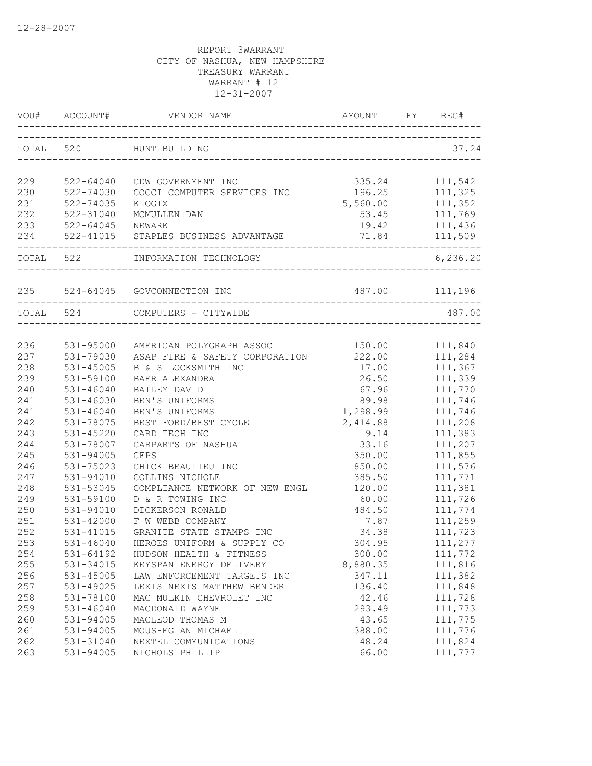|     | VOU# ACCOUNT#          | VENDOR NAME                                                     |                    | REG#                            |
|-----|------------------------|-----------------------------------------------------------------|--------------------|---------------------------------|
|     |                        | TOTAL 520 HUNT BUILDING                                         |                    | 37.24                           |
| 229 | 522-64040              | CDW GOVERNMENT INC                                              | 335.24             | 111,542                         |
| 230 | 522-74030              | COCCI COMPUTER SERVICES INC                                     |                    | 111,325                         |
| 231 | 522-74035              | KLOGIX                                                          | 196.25<br>5,560.00 |                                 |
| 232 | 522-31040              | MCMULLEN DAN                                                    |                    | 560.00 111,352<br>53.45 111,769 |
| 233 | 522-64045 NEWARK       |                                                                 | 19.42 111,436      |                                 |
|     |                        | 234 522-41015 STAPLES BUSINESS ADVANTAGE                        |                    | 71.84 111,509                   |
|     |                        | TOTAL 522 INFORMATION TECHNOLOGY<br>--------------------------- |                    | 6,236.20                        |
|     |                        | 235 524-64045 GOVCONNECTION INC                                 | 487.00 111,196     |                                 |
|     |                        | TOTAL 524 COMPUTERS - CITYWIDE                                  |                    | 487.00                          |
|     |                        |                                                                 |                    |                                 |
| 236 | 531-95000              | AMERICAN POLYGRAPH ASSOC                                        | 150.00 111,840     |                                 |
| 237 | 531-79030              | ASAP FIRE & SAFETY CORPORATION 222.00                           |                    | 111,284                         |
| 238 | 531-45005              | B & S LOCKSMITH INC                                             | 17.00              | 111,367                         |
| 239 | 531-59100              | <b>BAER ALEXANDRA</b>                                           | 26.50              | 111,339                         |
| 240 | $531 - 46040$          | BAILEY DAVID                                                    | 67.96              | 111,770                         |
| 241 | $531 - 46030$          | BEN'S UNIFORMS                                                  | 89.98              | 111,746                         |
| 241 | $531 - 46040$          | BEN'S UNIFORMS                                                  | 1,298.99           | 111,746                         |
| 242 | 531-78075              | BEST FORD/BEST CYCLE                                            | 2,414.88           | 111,208                         |
| 243 | 531-45220              | CARD TECH INC                                                   | 9.14               | 111,383                         |
| 244 | 531-78007              | CARPARTS OF NASHUA                                              | 33.16              | 111,207                         |
| 245 | 531-94005              | <b>CFPS</b>                                                     | 350.00             | 111,855                         |
| 246 | 531-75023              | CHICK BEAULIEU INC                                              | 850.00             | 111,576                         |
| 247 | 531-94010              | COLLINS NICHOLE                                                 | 385.50             | 111,771                         |
| 248 | 531-53045              | COMPLIANCE NETWORK OF NEW ENGL                                  | 120.00             | 111,381                         |
| 249 | 531-59100              | D & R TOWING INC                                                | 60.00              | 111,726                         |
| 250 | 531-94010              | DICKERSON RONALD                                                | 484.50             | 111,774                         |
| 251 | 531-42000              | F W WEBB COMPANY                                                | 7.87               | 111,259                         |
| 252 | 531-41015              | GRANITE STATE STAMPS INC                                        | 34.38              | 111,723                         |
| 253 | $531 - 46040$          | HEROES UNIFORM & SUPPLY CO                                      | 304.95             | 111,277                         |
| 254 | 531-64192              | HUDSON HEALTH & FITNESS                                         | 300.00             | 111,772                         |
| 255 | 531-34015              | KEYSPAN ENERGY DELIVERY                                         | 8,880.35           | 111,816                         |
| 256 | 531-45005              | LAW ENFORCEMENT TARGETS INC                                     | 347.11             | 111,382                         |
| 257 | 531-49025              | LEXIS NEXIS MATTHEW BENDER                                      | 136.40             | 111,848                         |
| 258 | 531-78100              | MAC MULKIN CHEVROLET INC                                        | 42.46              | 111,728                         |
| 259 | $531 - 46040$          | MACDONALD WAYNE                                                 | 293.49             | 111,773                         |
| 260 | 531-94005              | MACLEOD THOMAS M                                                | 43.65              | 111,775                         |
| 261 | 531-94005              | MOUSHEGIAN MICHAEL                                              | 388.00             | 111,776                         |
| 262 | 531-31040<br>531-94005 | NEXTEL COMMUNICATIONS                                           | 48.24              | 111,824                         |
| 263 |                        | NICHOLS PHILLIP                                                 | 66.00              | 111,777                         |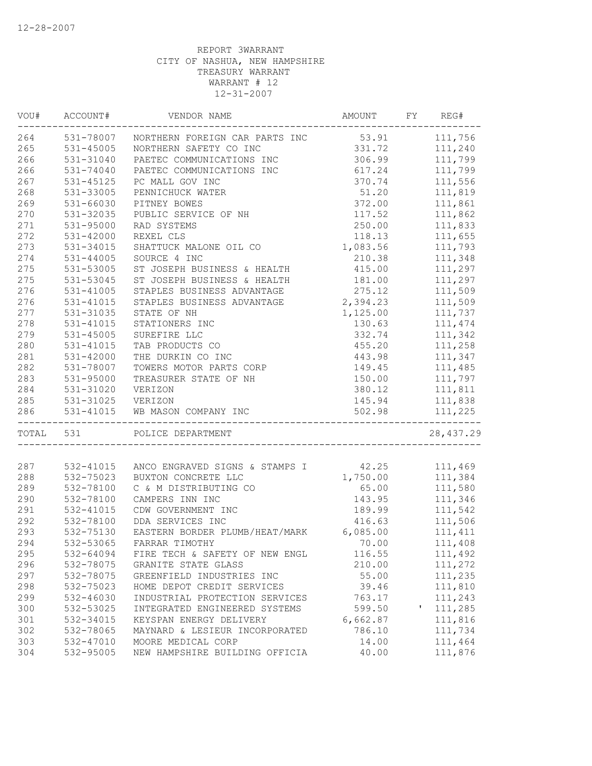| VOU# | ACCOUNT#          | VENDOR NAME                                    | AMOUNT   | FY | REG#       |
|------|-------------------|------------------------------------------------|----------|----|------------|
| 264  |                   | 531-78007 NORTHERN FOREIGN CAR PARTS INC 53.91 |          |    | 111,756    |
| 265  | 531-45005         | NORTHERN SAFETY CO INC                         | 331.72   |    | 111,240    |
| 266  | 531-31040         | PAETEC COMMUNICATIONS INC                      | 306.99   |    | 111,799    |
| 266  | 531-74040         | PAETEC COMMUNICATIONS INC                      | 617.24   |    | 111,799    |
| 267  | 531-45125         | PC MALL GOV INC                                | 370.74   |    | 111,556    |
| 268  | 531-33005         | PENNICHUCK WATER                               | 51.20    |    | 111,819    |
| 269  | 531-66030         | PITNEY BOWES                                   | 372.00   |    | 111,861    |
| 270  | 531-32035         | PUBLIC SERVICE OF NH                           | 117.52   |    | 111,862    |
| 271  | 531-95000         | RAD SYSTEMS                                    | 250.00   |    | 111,833    |
| 272  | $531 - 42000$     | REXEL CLS                                      | 118.13   |    | 111,655    |
| 273  | 531-34015         | SHATTUCK MALONE OIL CO                         | 1,083.56 |    | 111,793    |
| 274  | 531-44005         | SOURCE 4 INC                                   | 210.38   |    | 111,348    |
| 275  | 531-53005         | ST JOSEPH BUSINESS & HEALTH                    | 415.00   |    | 111,297    |
| 275  | 531-53045         | ST JOSEPH BUSINESS & HEALTH                    | 181.00   |    | 111,297    |
| 276  | 531-41005         | STAPLES BUSINESS ADVANTAGE                     | 275.12   |    | 111,509    |
| 276  | 531-41015         | STAPLES BUSINESS ADVANTAGE                     | 2,394.23 |    | 111,509    |
| 277  | 531-31035         | STATE OF NH                                    | 1,125.00 |    | 111,737    |
| 278  | 531-41015         | STATIONERS INC                                 | 130.63   |    | 111, 474   |
| 279  | 531-45005         | SUREFIRE LLC                                   | 332.74   |    | 111,342    |
| 280  | 531-41015         | TAB PRODUCTS CO                                | 455.20   |    | 111,258    |
| 281  | 531-42000         | THE DURKIN CO INC                              | 443.98   |    | 111,347    |
| 282  | 531-78007         | TOWERS MOTOR PARTS CORP                        | 149.45   |    | 111,485    |
| 283  | 531-95000         | TREASURER STATE OF NH                          | 150.00   |    | 111,797    |
| 284  | 531-31020         | VERIZON                                        | 380.12   |    | 111,811    |
| 285  | 531-31025 VERIZON |                                                | 145.94   |    | 111,838    |
| 286  | 531-41015         | WB MASON COMPANY INC                           | 502.98   |    | 111,225    |
|      |                   | -------------------------------                |          |    |            |
|      | TOTAL 531         | POLICE DEPARTMENT                              |          |    | 28, 437.29 |
| 287  |                   |                                                |          |    |            |
|      | 532-41015         | ANCO ENGRAVED SIGNS & STAMPS I 42.25           |          |    | 111,469    |
| 288  | 532-75023         | BUXTON CONCRETE LLC                            | 1,750.00 |    | 111,384    |
| 289  | 532-78100         | C & M DISTRIBUTING CO                          | 65.00    |    | 111,580    |
| 290  | 532-78100         | CAMPERS INN INC                                | 143.95   |    | 111,346    |
| 291  | 532-41015         | CDW GOVERNMENT INC                             | 189.99   |    | 111,542    |
| 292  | 532-78100         | DDA SERVICES INC                               | 416.63   |    | 111,506    |
| 293  | 532-75130         | EASTERN BORDER PLUMB/HEAT/MARK 6,085.00        |          |    | 111, 411   |
| 294  | 532-53065         | FARRAR TIMOTHY                                 | 70.00    |    | 111,408    |
| 295  | 532-64094         | FIRE TECH & SAFETY OF NEW ENGL                 | 116.55   |    | 111,492    |
| 296  | 532-78075         | GRANITE STATE GLASS                            | 210.00   |    | 111,272    |
| 297  | 532-78075         | GREENFIELD INDUSTRIES INC                      | 55.00    |    | 111,235    |
| 298  | 532-75023         | HOME DEPOT CREDIT SERVICES                     | 39.46    |    | 111,810    |
| 299  | 532-46030         | INDUSTRIAL PROTECTION SERVICES                 | 763.17   |    | 111,243    |
| 300  | 532-53025         | INTEGRATED ENGINEERED SYSTEMS                  | 599.50   | Τ. | 111,285    |
| 301  | 532-34015         | KEYSPAN ENERGY DELIVERY                        | 6,662.87 |    | 111,816    |
| 302  | 532-78065         | MAYNARD & LESIEUR INCORPORATED                 | 786.10   |    | 111,734    |
| 303  | 532-47010         | MOORE MEDICAL CORP                             | 14.00    |    | 111,464    |
| 304  | 532-95005         | NEW HAMPSHIRE BUILDING OFFICIA                 | 40.00    |    | 111,876    |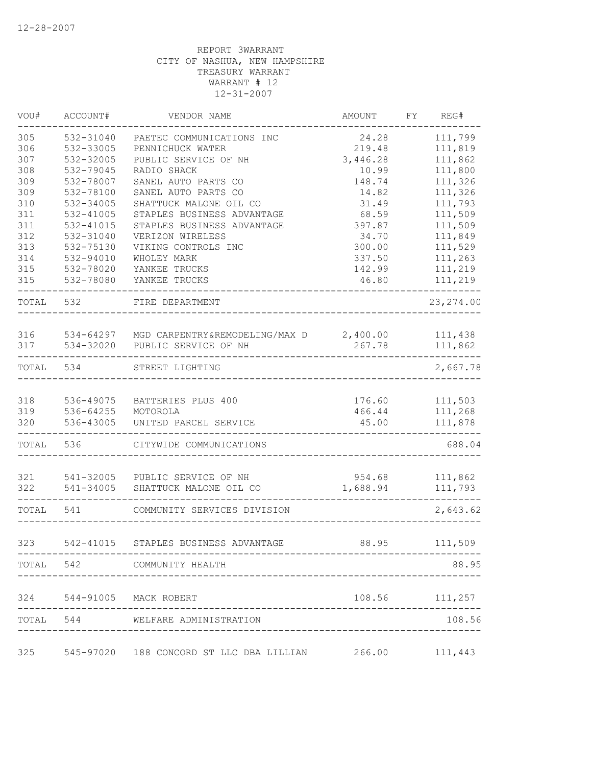| VOU#  | ACCOUNT#  | VENDOR NAME                                       | <b>AMOUNT</b> | FY | REG#           |
|-------|-----------|---------------------------------------------------|---------------|----|----------------|
| 305   | 532-31040 | PAETEC COMMUNICATIONS INC                         | 24.28         |    | 111,799        |
| 306   | 532-33005 | PENNICHUCK WATER                                  | 219.48        |    | 111,819        |
| 307   | 532-32005 | PUBLIC SERVICE OF NH                              | 3,446.28      |    | 111,862        |
| 308   | 532-79045 | RADIO SHACK                                       | 10.99         |    | 111,800        |
| 309   | 532-78007 | SANEL AUTO PARTS CO                               | 148.74        |    | 111,326        |
| 309   | 532-78100 | SANEL AUTO PARTS CO                               | 14.82         |    | 111,326        |
| 310   | 532-34005 | SHATTUCK MALONE OIL CO                            | 31.49         |    | 111,793        |
| 311   | 532-41005 | STAPLES BUSINESS ADVANTAGE                        | 68.59         |    | 111,509        |
| 311   | 532-41015 | STAPLES BUSINESS ADVANTAGE                        | 397.87        |    | 111,509        |
| 312   | 532-31040 | VERIZON WIRELESS                                  | 34.70         |    | 111,849        |
| 313   | 532-75130 | VIKING CONTROLS INC                               | 300.00        |    | 111,529        |
| 314   | 532-94010 | WHOLEY MARK                                       | 337.50        |    | 111,263        |
| 315   | 532-78020 | YANKEE TRUCKS                                     | 142.99        |    | 111,219        |
| 315   | 532-78080 | YANKEE TRUCKS                                     | 46.80         |    | 111,219        |
| TOTAL | 532       | FIRE DEPARTMENT                                   |               |    | 23, 274.00     |
| 316   |           | 534-64297 MGD CARPENTRY&REMODELING/MAX D 2,400.00 |               |    | 111,438        |
| 317   | 534-32020 | PUBLIC SERVICE OF NH                              | 267.78        |    | 111,862        |
| TOTAL | 534       | STREET LIGHTING                                   |               |    | 2,667.78       |
| 318   | 536-49075 | BATTERIES PLUS 400                                | 176.60        |    | 111,503        |
| 319   | 536-64255 | MOTOROLA                                          | 466.44        |    | 111,268        |
| 320   | 536-43005 | UNITED PARCEL SERVICE                             | 45.00         |    | 111,878        |
| TOTAL | 536       | CITYWIDE COMMUNICATIONS                           |               |    | 688.04         |
| 321   | 541-32005 | PUBLIC SERVICE OF NH                              | 954.68        |    | 111,862        |
| 322   | 541-34005 | SHATTUCK MALONE OIL CO                            | 1,688.94      |    | 111,793        |
| TOTAL | 541       | COMMUNITY SERVICES DIVISION                       |               |    | 2,643.62       |
| 323   |           | 542-41015 STAPLES BUSINESS ADVANTAGE              | 88.95         |    | 111,509        |
|       |           | TOTAL 542 COMMUNITY HEALTH                        |               |    | 88.95          |
|       |           | 324 544-91005 MACK ROBERT                         |               |    | 108.56 111,257 |
|       |           | TOTAL 544 WELFARE ADMINISTRATION                  |               |    | 108.56         |
|       |           |                                                   |               |    |                |
| 325   |           | 545-97020 188 CONCORD ST LLC DBA LILLIAN 266.00   |               |    | 111,443        |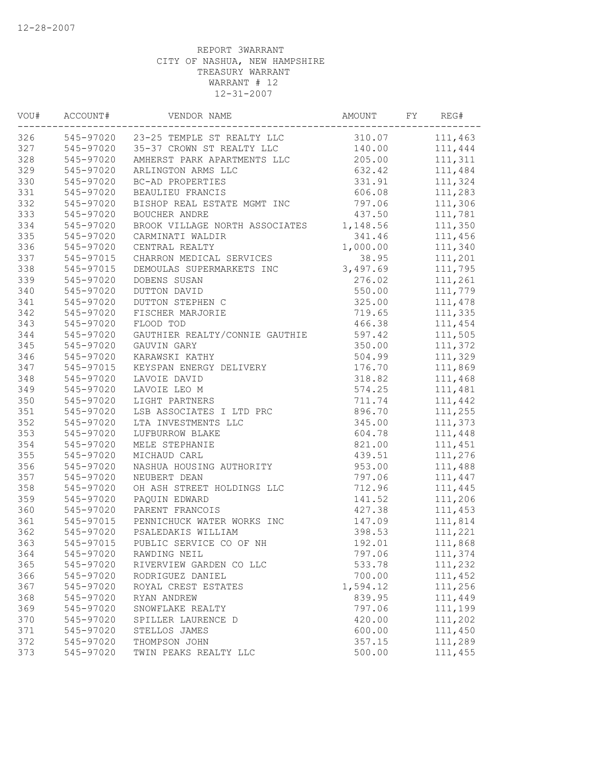| WOU# | ACCOUNT#               | VENDOR NAME                              | AMOUNT   | FY | REG#    |
|------|------------------------|------------------------------------------|----------|----|---------|
|      |                        | 326 545-97020 23-25 TEMPLE ST REALTY LLC | 310.07   |    | 111,463 |
| 327  |                        | 545-97020 35-37 CROWN ST REALTY LLC      | 140.00   |    | 111,444 |
| 328  | 545-97020              | AMHERST PARK APARTMENTS LLC              | 205.00   |    | 111,311 |
| 329  | 545-97020              | ARLINGTON ARMS LLC                       | 632.42   |    | 111,484 |
| 330  | 545-97020              | BC-AD PROPERTIES                         | 331.91   |    | 111,324 |
| 331  | 545-97020              | BEAULIEU FRANCIS                         | 606.08   |    | 111,283 |
| 332  | 545-97020              | BISHOP REAL ESTATE MGMT INC              | 797.06   |    | 111,306 |
| 333  | 545-97020              | <b>BOUCHER ANDRE</b>                     | 437.50   |    | 111,781 |
| 334  | 545-97020              | BROOK VILLAGE NORTH ASSOCIATES           | 1,148.56 |    | 111,350 |
| 335  | 545-97020              | CARMINATI WALDIR                         | 341.46   |    | 111,456 |
| 336  | 545-97020              | CENTRAL REALTY                           | 1,000.00 |    | 111,340 |
| 337  | 545-97015              | CHARRON MEDICAL SERVICES                 | 38.95    |    | 111,201 |
| 338  | 545-97015              | DEMOULAS SUPERMARKETS INC                | 3,497.69 |    | 111,795 |
| 339  | 545-97020              | DOBENS SUSAN                             | 276.02   |    | 111,261 |
| 340  | 545-97020              | DUTTON DAVID                             | 550.00   |    | 111,779 |
| 341  | 545-97020              | DUTTON STEPHEN C                         | 325.00   |    | 111,478 |
| 342  | 545-97020              | FISCHER MARJORIE                         | 719.65   |    | 111,335 |
| 343  | 545-97020              | FLOOD TOD                                | 466.38   |    | 111,454 |
| 344  | 545-97020              | GAUTHIER REALTY/CONNIE GAUTHIE           | 597.42   |    | 111,505 |
| 345  | 545-97020              | GAUVIN GARY                              | 350.00   |    | 111,372 |
| 346  | 545-97020              | KARAWSKI KATHY                           | 504.99   |    | 111,329 |
| 347  | 545-97015              | KEYSPAN ENERGY DELIVERY                  | 176.70   |    | 111,869 |
| 348  | 545-97020              | LAVOIE DAVID                             | 318.82   |    | 111,468 |
| 349  | 545-97020              | LAVOIE LEO M                             | 574.25   |    | 111,481 |
| 350  | 545-97020              | LIGHT PARTNERS                           | 711.74   |    | 111,442 |
| 351  | 545-97020              | LSB ASSOCIATES I LTD PRC                 | 896.70   |    | 111,255 |
| 352  |                        |                                          | 345.00   |    | 111,373 |
| 353  | 545-97020<br>545-97020 | LTA INVESTMENTS LLC                      |          |    |         |
|      |                        | LUFBURROW BLAKE                          | 604.78   |    | 111,448 |
| 354  | 545-97020              | MELE STEPHANIE                           | 821.00   |    | 111,451 |
| 355  | 545-97020              | MICHAUD CARL                             | 439.51   |    | 111,276 |
| 356  | 545-97020              | NASHUA HOUSING AUTHORITY                 | 953.00   |    | 111,488 |
| 357  | 545-97020              | NEUBERT DEAN                             | 797.06   |    | 111,447 |
| 358  | 545-97020              | OH ASH STREET HOLDINGS LLC               | 712.96   |    | 111,445 |
| 359  | 545-97020              | PAQUIN EDWARD                            | 141.52   |    | 111,206 |
| 360  | 545-97020              | PARENT FRANCOIS                          | 427.38   |    | 111,453 |
| 361  | 545-97015              | PENNICHUCK WATER WORKS INC               | 147.09   |    | 111,814 |
| 362  | 545-97020              | PSALEDAKIS WILLIAM                       | 398.53   |    | 111,221 |
| 363  |                        | 545-97015 PUBLIC SERVICE CO OF NH        | 192.01   |    | 111,868 |
| 364  | 545-97020              | RAWDING NEIL                             | 797.06   |    | 111,374 |
| 365  | 545-97020              | RIVERVIEW GARDEN CO LLC                  | 533.78   |    | 111,232 |
| 366  | 545-97020              | RODRIGUEZ DANIEL                         | 700.00   |    | 111,452 |
| 367  | 545-97020              | ROYAL CREST ESTATES                      | 1,594.12 |    | 111,256 |
| 368  | 545-97020              | RYAN ANDREW                              | 839.95   |    | 111,449 |
| 369  | 545-97020              | SNOWFLAKE REALTY                         | 797.06   |    | 111,199 |
| 370  | 545-97020              | SPILLER LAURENCE D                       | 420.00   |    | 111,202 |
| 371  | 545-97020              | STELLOS JAMES                            | 600.00   |    | 111,450 |
| 372  | 545-97020              | THOMPSON JOHN                            | 357.15   |    | 111,289 |
| 373  | 545-97020              | TWIN PEAKS REALTY LLC                    | 500.00   |    | 111,455 |
|      |                        |                                          |          |    |         |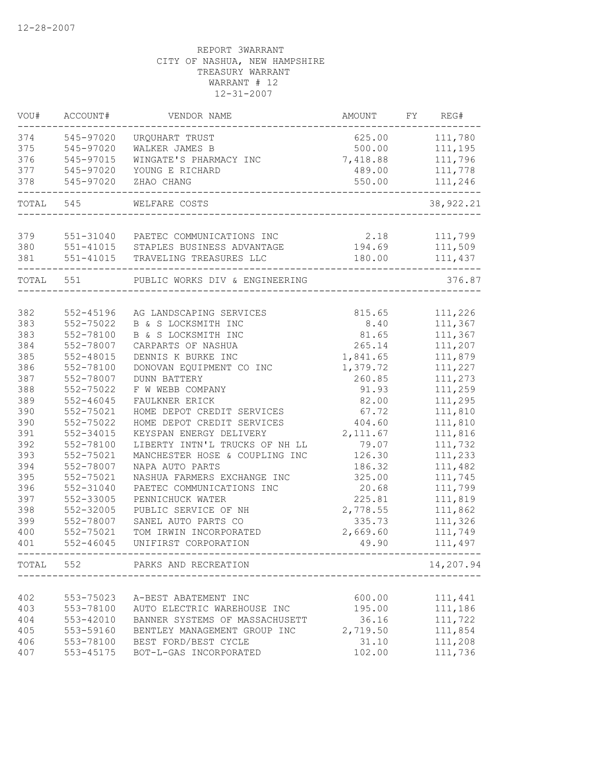| VOU#      | ACCOUNT#      | VENDOR NAME                                                | AMOUNT       | FY | REG#           |
|-----------|---------------|------------------------------------------------------------|--------------|----|----------------|
| 374       | 545-97020     | URQUHART TRUST                                             |              |    | 625.00 111,780 |
| 375       | 545-97020     | WALKER JAMES B                                             | 500.00       |    | 111,195        |
| 376       | 545-97015     | WINGATE'S PHARMACY INC                                     | 7,418.88     |    | 111,796        |
| 377       | 545-97020     | YOUNG E RICHARD                                            | 489.00       |    | 111,778        |
| 378       | 545-97020     | ZHAO CHANG<br>-----------------------------------          | 550.00       |    | 111,246        |
|           | TOTAL 545     | WELFARE COSTS                                              |              |    | 38, 922. 21    |
| 379       |               | 551-31040 PAETEC COMMUNICATIONS INC                        | 2.18 111,799 |    |                |
| 380       |               | 551-41015 STAPLES BUSINESS ADVANTAGE                       |              |    | 194.69 111,509 |
| 381       |               | 551-41015 TRAVELING TREASURES LLC                          |              |    | 180.00 111,437 |
|           |               |                                                            |              |    |                |
| TOTAL 551 |               | PUBLIC WORKS DIV & ENGINEERING                             |              |    | 376.87         |
| 382       | 552-45196     | AG LANDSCAPING SERVICES                                    | 815.65       |    | 111,226        |
| 383       | 552-75022     | B & S LOCKSMITH INC                                        | 8.40         |    | 111,367        |
| 383       | 552-78100     | B & S LOCKSMITH INC                                        | 81.65        |    | 111,367        |
| 384       | 552-78007     | CARPARTS OF NASHUA                                         | 265.14       |    | 111,207        |
| 385       | 552-48015     | DENNIS K BURKE INC                                         | 1,841.65     |    | 111,879        |
| 386       | 552-78100     | DONOVAN EQUIPMENT CO INC                                   | 1,379.72     |    | 111,227        |
| 387       | 552-78007     | <b>DUNN BATTERY</b>                                        | 260.85       |    | 111,273        |
| 388       | 552-75022     | F W WEBB COMPANY                                           | 91.93        |    | 111,259        |
| 389       | $552 - 46045$ | FAULKNER ERICK                                             | 82.00        |    | 111,295        |
| 390       | 552-75021     |                                                            | 67.72        |    | 111,810        |
| 390       | 552-75022     | HOME DEPOT CREDIT SERVICES<br>HOME DEPOT CREDIT SERVICES   | 404.60       |    | 111,810        |
| 391       | 552-34015     | KEYSPAN ENERGY DELIVERY                                    | 2,111.67     |    |                |
|           |               |                                                            |              |    | 111,816        |
| 392       | 552-78100     | LIBERTY INTN'L TRUCKS OF NH LL                             | 79.07        |    | 111,732        |
| 393       | 552-75021     | MANCHESTER HOSE & COUPLING INC                             | 126.30       |    | 111,233        |
| 394       | 552-78007     | NAPA AUTO PARTS                                            | 186.32       |    | 111,482        |
| 395       | 552-75021     | NASHUA FARMERS EXCHANGE INC                                | 325.00       |    | 111,745        |
| 396       | 552-31040     | PAETEC COMMUNICATIONS INC                                  | 20.68        |    | 111,799        |
| 397       | 552-33005     | PENNICHUCK WATER                                           | 225.81       |    | 111,819        |
| 398       | 552-32005     | PUBLIC SERVICE OF NH                                       | 2,778.55     |    | 111,862        |
| 399       | 552-78007     | SANEL AUTO PARTS CO                                        | 335.73       |    | 111,326        |
| 400       | 552-75021     | TOM IRWIN INCORPORATED                                     | 2,669.60     |    | 111,749        |
| 401       | $552 - 46045$ | UNIFIRST CORPORATION<br>---------------------------------- | 49.90        |    | 111,497        |
|           |               | TOTAL 552 PARKS AND RECREATION<br>----------------------   |              |    | 14,207.94      |
|           |               |                                                            |              |    |                |
| 402       | 553-75023     | A-BEST ABATEMENT INC                                       | 600.00       |    | 111,441        |
| 403       | 553-78100     | AUTO ELECTRIC WAREHOUSE INC                                | 195.00       |    | 111,186        |
| 404       | 553-42010     | BANNER SYSTEMS OF MASSACHUSETT                             | 36.16        |    | 111,722        |
| 405       | 553-59160     | BENTLEY MANAGEMENT GROUP INC                               | 2,719.50     |    | 111,854        |
| 406       | 553-78100     | BEST FORD/BEST CYCLE                                       | 31.10        |    | 111,208        |
| 407       | 553-45175     | BOT-L-GAS INCORPORATED                                     | 102.00       |    | 111,736        |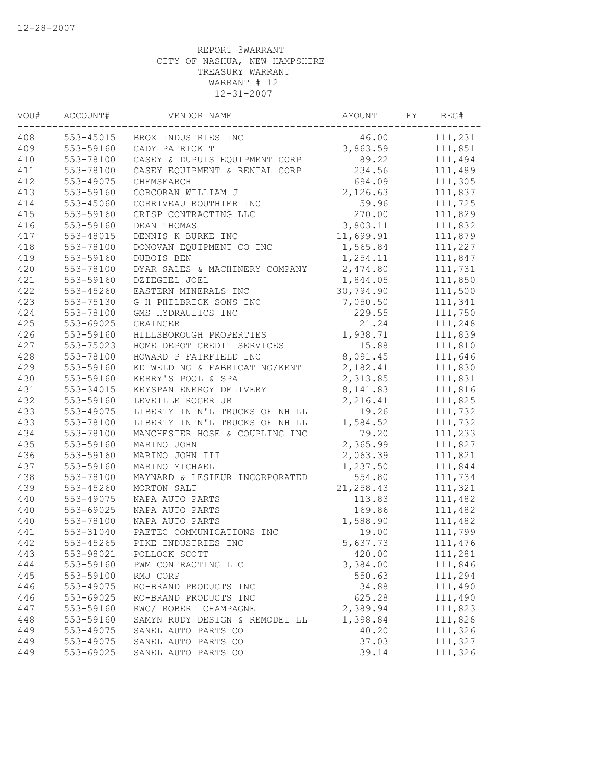| VOU# | ACCOUNT#  | VENDOR NAME                    | AMOUNT     | FY | REG#    |
|------|-----------|--------------------------------|------------|----|---------|
| 408  |           | 553-45015 BROX INDUSTRIES INC  | 46.00      |    | 111,231 |
| 409  | 553-59160 | CADY PATRICK T                 | 3,863.59   |    | 111,851 |
| 410  | 553-78100 | CASEY & DUPUIS EQUIPMENT CORP  | 89.22      |    | 111,494 |
| 411  | 553-78100 | CASEY EQUIPMENT & RENTAL CORP  | 234.56     |    | 111,489 |
| 412  | 553-49075 | CHEMSEARCH                     | 694.09     |    | 111,305 |
| 413  | 553-59160 | CORCORAN WILLIAM J             | 2,126.63   |    | 111,837 |
| 414  | 553-45060 | CORRIVEAU ROUTHIER INC         | 59.96      |    | 111,725 |
| 415  | 553-59160 | CRISP CONTRACTING LLC          | 270.00     |    | 111,829 |
| 416  | 553-59160 | DEAN THOMAS                    | 3,803.11   |    | 111,832 |
| 417  | 553-48015 | DENNIS K BURKE INC             | 11,699.91  |    | 111,879 |
| 418  | 553-78100 | DONOVAN EQUIPMENT CO INC       | 1,565.84   |    | 111,227 |
| 419  | 553-59160 | DUBOIS BEN                     | 1,254.11   |    | 111,847 |
| 420  | 553-78100 | DYAR SALES & MACHINERY COMPANY | 2,474.80   |    | 111,731 |
| 421  | 553-59160 | DZIEGIEL JOEL                  | 1,844.05   |    | 111,850 |
| 422  | 553-45260 | EASTERN MINERALS INC           | 30,794.90  |    | 111,500 |
| 423  | 553-75130 | G H PHILBRICK SONS INC         | 7,050.50   |    | 111,341 |
| 424  | 553-78100 | GMS HYDRAULICS INC             | 229.55     |    | 111,750 |
| 425  | 553-69025 | GRAINGER                       | 21.24      |    | 111,248 |
| 426  | 553-59160 | HILLSBOROUGH PROPERTIES        | 1,938.71   |    | 111,839 |
| 427  | 553-75023 | HOME DEPOT CREDIT SERVICES     | 15.88      |    | 111,810 |
| 428  | 553-78100 | HOWARD P FAIRFIELD INC         | 8,091.45   |    | 111,646 |
| 429  | 553-59160 | KD WELDING & FABRICATING/KENT  | 2,182.41   |    | 111,830 |
| 430  | 553-59160 | KERRY'S POOL & SPA             | 2,313.85   |    | 111,831 |
| 431  | 553-34015 | KEYSPAN ENERGY DELIVERY        | 8,141.83   |    | 111,816 |
| 432  | 553-59160 | LEVEILLE ROGER JR              | 2,216.41   |    | 111,825 |
| 433  | 553-49075 | LIBERTY INTN'L TRUCKS OF NH LL | 19.26      |    | 111,732 |
| 433  | 553-78100 | LIBERTY INTN'L TRUCKS OF NH LL | 1,584.52   |    | 111,732 |
| 434  | 553-78100 | MANCHESTER HOSE & COUPLING INC | 79.20      |    | 111,233 |
| 435  | 553-59160 | MARINO JOHN                    | 2,365.99   |    | 111,827 |
| 436  | 553-59160 | MARINO JOHN III                | 2,063.39   |    | 111,821 |
| 437  | 553-59160 | MARINO MICHAEL                 | 1,237.50   |    | 111,844 |
| 438  | 553-78100 | MAYNARD & LESIEUR INCORPORATED | 554.80     |    | 111,734 |
| 439  | 553-45260 | MORTON SALT                    | 21, 258.43 |    | 111,321 |
| 440  | 553-49075 | NAPA AUTO PARTS                | 113.83     |    | 111,482 |
| 440  | 553-69025 | NAPA AUTO PARTS                | 169.86     |    | 111,482 |
| 440  | 553-78100 | NAPA AUTO PARTS                | 1,588.90   |    | 111,482 |
| 441  | 553-31040 | PAETEC COMMUNICATIONS INC      | 19.00      |    | 111,799 |
| 442  | 553-45265 | PIKE INDUSTRIES INC            | 5,637.73   |    | 111,476 |
| 443  | 553-98021 | POLLOCK SCOTT                  | 420.00     |    | 111,281 |
| 444  | 553-59160 | PWM CONTRACTING LLC            | 3,384.00   |    | 111,846 |
| 445  | 553-59100 | RMJ CORP                       | 550.63     |    | 111,294 |
| 446  | 553-49075 | RO-BRAND PRODUCTS INC          | 34.88      |    | 111,490 |
| 446  | 553-69025 | RO-BRAND PRODUCTS INC          | 625.28     |    | 111,490 |
| 447  | 553-59160 | RWC/ ROBERT CHAMPAGNE          | 2,389.94   |    | 111,823 |
| 448  | 553-59160 | SAMYN RUDY DESIGN & REMODEL LL | 1,398.84   |    | 111,828 |
| 449  | 553-49075 | SANEL AUTO PARTS CO            | 40.20      |    | 111,326 |
| 449  | 553-49075 | SANEL AUTO PARTS CO            | 37.03      |    | 111,327 |
| 449  | 553-69025 | SANEL AUTO PARTS CO            | 39.14      |    | 111,326 |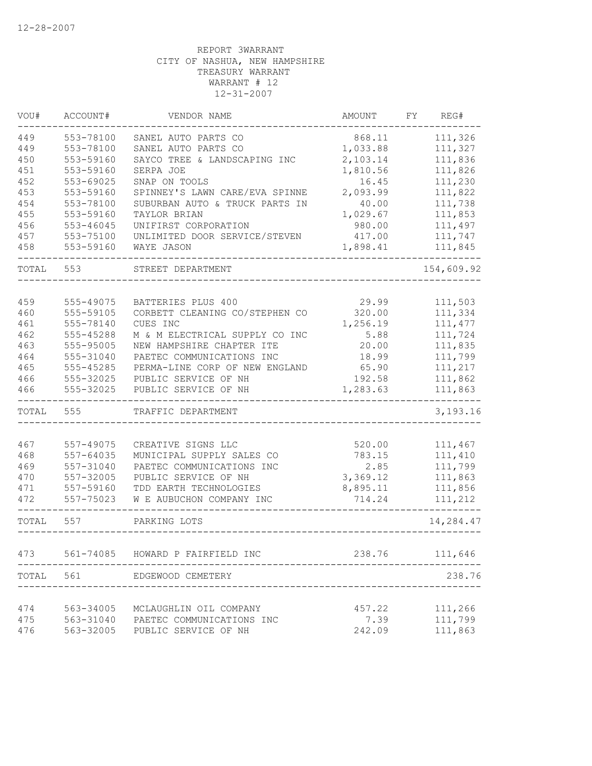| VOU#  | ACCOUNT#  | VENDOR NAME                    | AMOUNT   | FY<br>REG# |
|-------|-----------|--------------------------------|----------|------------|
| 449   | 553-78100 | SANEL AUTO PARTS CO            | 868.11   | 111,326    |
| 449   | 553-78100 | SANEL AUTO PARTS CO            | 1,033.88 | 111,327    |
| 450   | 553-59160 | SAYCO TREE & LANDSCAPING INC   | 2,103.14 | 111,836    |
| 451   | 553-59160 | SERPA JOE                      | 1,810.56 | 111,826    |
| 452   | 553-69025 | SNAP ON TOOLS                  | 16.45    | 111,230    |
| 453   | 553-59160 | SPINNEY'S LAWN CARE/EVA SPINNE | 2,093.99 | 111,822    |
| 454   | 553-78100 | SUBURBAN AUTO & TRUCK PARTS IN | 40.00    | 111,738    |
| 455   | 553-59160 | TAYLOR BRIAN                   | 1,029.67 | 111,853    |
| 456   | 553-46045 | UNIFIRST CORPORATION           | 980.00   | 111,497    |
| 457   | 553-75100 | UNLIMITED DOOR SERVICE/STEVEN  | 417.00   | 111,747    |
| 458   | 553-59160 | WAYE JASON                     | 1,898.41 | 111,845    |
| TOTAL | 553       | STREET DEPARTMENT              |          | 154,609.92 |
|       |           |                                |          |            |
| 459   | 555-49075 | BATTERIES PLUS 400             | 29.99    | 111,503    |
| 460   | 555-59105 | CORBETT CLEANING CO/STEPHEN CO | 320.00   | 111,334    |
| 461   | 555-78140 | CUES INC                       | 1,256.19 | 111, 477   |
| 462   | 555-45288 | M & M ELECTRICAL SUPPLY CO INC | 5.88     | 111,724    |
| 463   | 555-95005 | NEW HAMPSHIRE CHAPTER ITE      | 20.00    | 111,835    |
| 464   | 555-31040 | PAETEC COMMUNICATIONS INC      | 18.99    | 111,799    |
| 465   | 555-45285 | PERMA-LINE CORP OF NEW ENGLAND | 65.90    | 111,217    |
| 466   | 555-32025 | PUBLIC SERVICE OF NH           | 192.58   | 111,862    |
| 466   | 555-32025 | PUBLIC SERVICE OF NH           | 1,283.63 | 111,863    |
| TOTAL | 555       | TRAFFIC DEPARTMENT             |          | 3,193.16   |
|       |           |                                |          |            |
| 467   | 557-49075 | CREATIVE SIGNS LLC             | 520.00   | 111,467    |
| 468   | 557-64035 | MUNICIPAL SUPPLY SALES CO      | 783.15   | 111,410    |
| 469   | 557-31040 | PAETEC COMMUNICATIONS INC      | 2.85     | 111,799    |
| 470   | 557-32005 | PUBLIC SERVICE OF NH           | 3,369.12 | 111,863    |
| 471   | 557-59160 | TDD EARTH TECHNOLOGIES         | 8,895.11 | 111,856    |
| 472   | 557-75023 | W E AUBUCHON COMPANY INC       | 714.24   | 111,212    |
| TOTAL | 557       | PARKING LOTS                   |          | 14,284.47  |
| 473   | 561-74085 | HOWARD P FAIRFIELD INC         | 238.76   | 111,646    |
| TOTAL | 561       | EDGEWOOD CEMETERY              |          | 238.76     |
|       |           |                                |          |            |
| 474   | 563-34005 | MCLAUGHLIN OIL COMPANY         | 457.22   | 111,266    |
| 475   | 563-31040 | PAETEC COMMUNICATIONS INC      | 7.39     | 111,799    |
| 476   | 563-32005 | PUBLIC SERVICE OF NH           | 242.09   | 111,863    |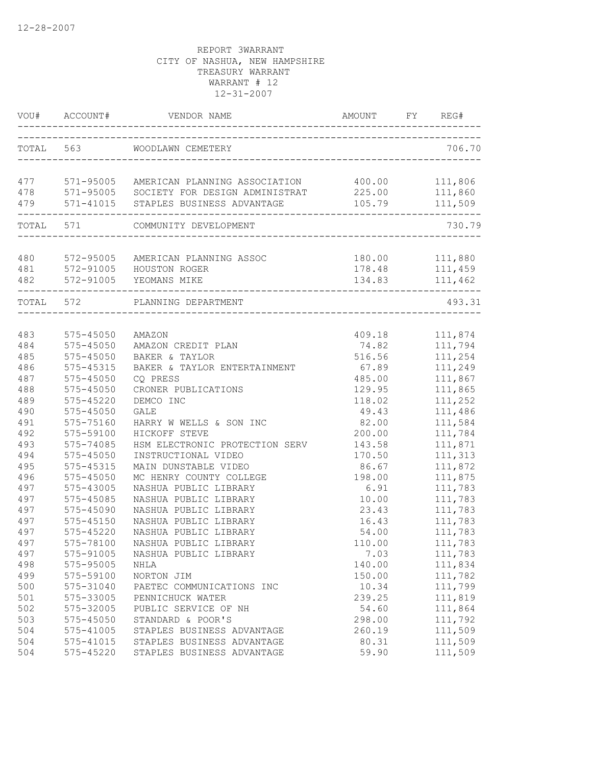|            | VOU# ACCOUNT#              |                                                 | AMOUNT FY REG#  |                    |
|------------|----------------------------|-------------------------------------------------|-----------------|--------------------|
|            | TOTAL 563                  | WOODLAWN CEMETERY                               |                 | 706.70             |
|            |                            | 477 571-95005 AMERICAN PLANNING ASSOCIATION     | 400.00          | 111,806            |
|            |                            | 478 571-95005 SOCIETY FOR DESIGN ADMINISTRAT    | 225.00          | 111,860            |
|            |                            | 571-41015 STAPLES BUSINESS ADVANTAGE            | 105.79          | 111,509            |
|            |                            | TOTAL 571 COMMUNITY DEVELOPMENT                 |                 | 730.79             |
|            |                            |                                                 |                 |                    |
| 480        |                            | 572-95005 AMERICAN PLANNING ASSOC               |                 | 180.00 111,880     |
| 481        |                            | 572-91005 HOUSTON ROGER                         |                 | 178.48 111,459     |
| 482        |                            | 572-91005 YEOMANS MIKE                          |                 | 134.83 111,462     |
|            | TOTAL 572                  | PLANNING DEPARTMENT                             |                 | 493.31             |
|            |                            |                                                 |                 |                    |
| 483        | 575-45050                  | AMAZON                                          |                 | 409.18 111,874     |
| 484        | 575-45050                  | AMAZON CREDIT PLAN                              | 74.82           | 111,794            |
| 485        | 575-45050                  | BAKER & TAYLOR                                  | 516.56          | 111,254            |
| 486        | 575-45315                  | BAKER & TAYLOR ENTERTAINMENT                    | 67.89           | 111,249            |
| 487        | 575-45050                  | CQ PRESS                                        | 485.00          | 111,867            |
| 488        | $575 - 45050$              | CRONER PUBLICATIONS                             | 129.95          | 111,865            |
| 489        | 575-45220                  | DEMCO INC                                       | 118.02          | 111,252            |
| 490        | 575-45050                  | GALE                                            | 49.43           | 111,486            |
| 491        | 575-75160                  | HARRY W WELLS & SON INC                         | 82.00           | 111,584            |
| 492        | 575-59100                  | HICKOFF STEVE                                   | 200.00          | 111,784            |
| 493        | 575-74085                  | HSM ELECTRONIC PROTECTION SERV                  | 143.58          | 111,871            |
| 494        | 575-45050                  | INSTRUCTIONAL VIDEO                             | 170.50          | 111,313            |
| 495        | 575-45315                  | MAIN DUNSTABLE VIDEO                            | 86.67           | 111,872            |
| 496        | 575-45050                  | MC HENRY COUNTY COLLEGE                         | 198.00          | 111,875            |
| 497        | 575-43005                  | NASHUA PUBLIC LIBRARY                           | 6.91            | 111,783            |
| 497<br>497 | 575-45085                  | NASHUA PUBLIC LIBRARY                           | 10.00           | 111,783<br>111,783 |
|            | 575-45090                  | NASHUA PUBLIC LIBRARY                           | 23.43           | 111,783            |
| 497<br>497 | 575-45150<br>575-45220     | NASHUA PUBLIC LIBRARY<br>NASHUA PUBLIC LIBRARY  | 16.43<br>54.00  | 111,783            |
| 497        | 575-78100                  | NASHUA PUBLIC LIBRARY                           | 110.00          | 111,783            |
|            |                            |                                                 |                 |                    |
| 497<br>498 | 575-91005<br>575-95005     | NASHUA PUBLIC LIBRARY                           | 7.03<br>140.00  | 111,783            |
|            |                            | NHLA                                            |                 | 111,834            |
| 499        | 575-59100<br>575-31040     | NORTON JIM                                      | 150.00<br>10.34 | 111,782<br>111,799 |
| 500        |                            | PAETEC COMMUNICATIONS INC                       |                 |                    |
| 501        | 575-33005                  | PENNICHUCK WATER                                | 239.25          | 111,819            |
| 502<br>503 | 575-32005<br>$575 - 45050$ | PUBLIC SERVICE OF NH                            | 54.60           | 111,864<br>111,792 |
|            | 575-41005                  | STANDARD & POOR'S<br>STAPLES BUSINESS ADVANTAGE | 298.00          | 111,509            |
| 504<br>504 | 575-41015                  | STAPLES BUSINESS ADVANTAGE                      | 260.19<br>80.31 | 111,509            |
| 504        | 575-45220                  | STAPLES BUSINESS ADVANTAGE                      | 59.90           | 111,509            |
|            |                            |                                                 |                 |                    |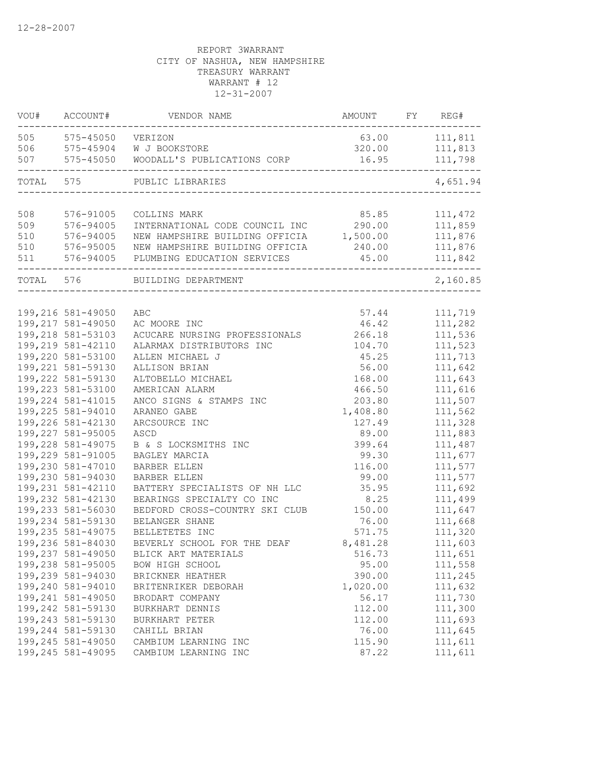| VOU#  | ACCOUNT#           | VENDOR NAME                             | AMOUNT   | FY REG#  |
|-------|--------------------|-----------------------------------------|----------|----------|
| 505   | 575-45050 VERIZON  |                                         | 63.00    | 111,811  |
| 506   |                    | 575-45904 W J BOOKSTORE                 | 320.00   | 111,813  |
| 507   | 575-45050          | WOODALL'S PUBLICATIONS CORP             | 16.95    | 111,798  |
| TOTAL | 575                | PUBLIC LIBRARIES                        |          | 4,651.94 |
|       |                    |                                         |          |          |
| 508   | 576-91005          | COLLINS MARK                            | 85.85    | 111,472  |
| 509   | 576-94005          | INTERNATIONAL CODE COUNCIL INC          | 290.00   | 111,859  |
| 510   | 576-94005          | NEW HAMPSHIRE BUILDING OFFICIA 1,500.00 |          | 111,876  |
| 510   | 576-95005          | NEW HAMPSHIRE BUILDING OFFICIA          | 240.00   | 111,876  |
| 511   | 576-94005          | PLUMBING EDUCATION SERVICES             | 45.00    | 111,842  |
|       | TOTAL 576          | BUILDING DEPARTMENT                     |          | 2,160.85 |
|       |                    |                                         |          |          |
|       | 199,216 581-49050  | ABC                                     | 57.44    | 111,719  |
|       | 199,217 581-49050  | AC MOORE INC                            | 46.42    | 111,282  |
|       | 199,218 581-53103  | ACUCARE NURSING PROFESSIONALS           | 266.18   | 111,536  |
|       | 199,219 581-42110  | ALARMAX DISTRIBUTORS INC                | 104.70   | 111,523  |
|       | 199,220 581-53100  | ALLEN MICHAEL J                         | 45.25    | 111,713  |
|       | 199,221 581-59130  | ALLISON BRIAN                           | 56.00    | 111,642  |
|       | 199,222 581-59130  | ALTOBELLO MICHAEL                       | 168.00   | 111,643  |
|       | 199,223 581-53100  | AMERICAN ALARM                          | 466.50   | 111,616  |
|       | 199, 224 581-41015 | ANCO SIGNS & STAMPS INC                 | 203.80   | 111,507  |
|       | 199,225 581-94010  | ARANEO GABE                             | 1,408.80 | 111,562  |
|       | 199,226 581-42130  | ARCSOURCE INC                           | 127.49   | 111,328  |
|       | 199,227 581-95005  | ASCD                                    | 89.00    | 111,883  |
|       | 199,228 581-49075  | B & S LOCKSMITHS INC                    | 399.64   | 111,487  |
|       | 199,229 581-91005  | BAGLEY MARCIA                           | 99.30    | 111,677  |
|       | 199,230 581-47010  | <b>BARBER ELLEN</b>                     | 116.00   | 111,577  |
|       | 199,230 581-94030  | BARBER ELLEN                            | 99.00    | 111,577  |
|       | 199,231 581-42110  | BATTERY SPECIALISTS OF NH LLC           | 35.95    | 111,692  |
|       | 199,232 581-42130  | BEARINGS SPECIALTY CO INC               | 8.25     | 111,499  |
|       | 199,233 581-56030  | BEDFORD CROSS-COUNTRY SKI CLUB          | 150.00   | 111,647  |
|       | 199,234 581-59130  | BELANGER SHANE                          | 76.00    | 111,668  |
|       | 199,235 581-49075  | BELLETETES INC                          | 571.75   | 111,320  |
|       | 199,236 581-84030  | BEVERLY SCHOOL FOR THE DEAF             | 8,481.28 | 111,603  |
|       | 199,237 581-49050  | BLICK ART MATERIALS                     | 516.73   | 111,651  |
|       | 199,238 581-95005  | BOW HIGH SCHOOL                         | 95.00    | 111,558  |
|       | 199,239 581-94030  | BRICKNER HEATHER                        | 390.00   | 111,245  |
|       | 199,240 581-94010  | BRITENRIKER DEBORAH                     | 1,020.00 | 111,632  |
|       | 199,241 581-49050  | BRODART COMPANY                         | 56.17    | 111,730  |
|       | 199,242 581-59130  | BURKHART DENNIS                         | 112.00   | 111,300  |
|       | 199,243 581-59130  | BURKHART PETER                          | 112.00   | 111,693  |
|       | 199,244 581-59130  | CAHILL BRIAN                            | 76.00    | 111,645  |
|       | 199,245 581-49050  | CAMBIUM LEARNING INC                    | 115.90   | 111,611  |
|       | 199,245 581-49095  | CAMBIUM LEARNING INC                    | 87.22    | 111,611  |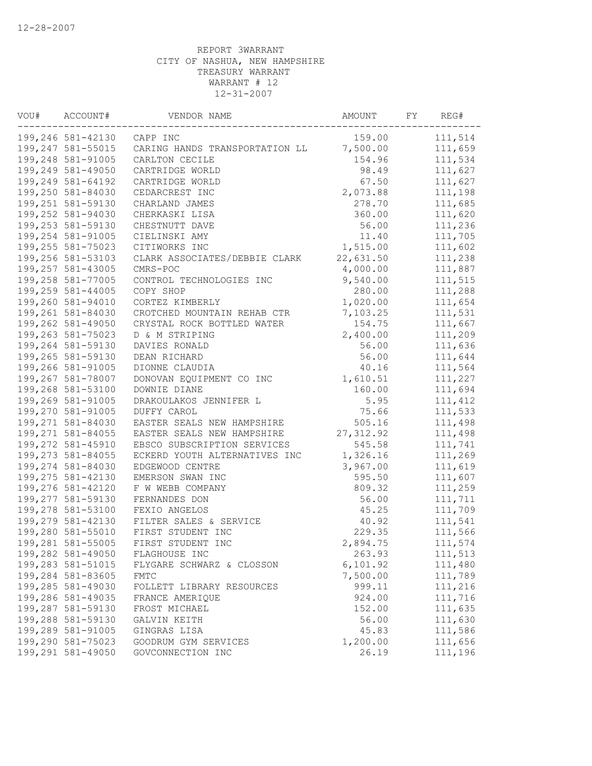| VOU# | ACCOUNT#           | VENDOR NAME                    | AMOUNT     | FY | REG#    |
|------|--------------------|--------------------------------|------------|----|---------|
|      | 199,246 581-42130  | CAPP INC                       | 159.00     |    | 111,514 |
|      | 199,247 581-55015  | CARING HANDS TRANSPORTATION LL | 7,500.00   |    | 111,659 |
|      | 199,248 581-91005  | CARLTON CECILE                 | 154.96     |    | 111,534 |
|      | 199,249 581-49050  | CARTRIDGE WORLD                | 98.49      |    | 111,627 |
|      | 199,249 581-64192  | CARTRIDGE WORLD                | 67.50      |    | 111,627 |
|      | 199,250 581-84030  | CEDARCREST INC                 | 2,073.88   |    | 111,198 |
|      | 199,251 581-59130  | CHARLAND JAMES                 | 278.70     |    | 111,685 |
|      | 199,252 581-94030  | CHERKASKI LISA                 | 360.00     |    | 111,620 |
|      | 199,253 581-59130  | CHESTNUTT DAVE                 | 56.00      |    | 111,236 |
|      | 199,254 581-91005  | CIELINSKI AMY                  | 11.40      |    | 111,705 |
|      | 199,255 581-75023  | CITIWORKS INC                  | 1,515.00   |    | 111,602 |
|      | 199,256 581-53103  | CLARK ASSOCIATES/DEBBIE CLARK  | 22,631.50  |    | 111,238 |
|      | 199,257 581-43005  | CMRS-POC                       | 4,000.00   |    | 111,887 |
|      | 199,258 581-77005  | CONTROL TECHNOLOGIES INC       | 9,540.00   |    | 111,515 |
|      | 199,259 581-44005  | COPY SHOP                      | 280.00     |    | 111,288 |
|      | 199,260 581-94010  | CORTEZ KIMBERLY                | 1,020.00   |    | 111,654 |
|      | 199,261 581-84030  | CROTCHED MOUNTAIN REHAB CTR    | 7,103.25   |    | 111,531 |
|      | 199,262 581-49050  | CRYSTAL ROCK BOTTLED WATER     | 154.75     |    | 111,667 |
|      | 199,263 581-75023  | D & M STRIPING                 | 2,400.00   |    | 111,209 |
|      | 199,264 581-59130  | DAVIES RONALD                  | 56.00      |    | 111,636 |
|      | 199,265 581-59130  | DEAN RICHARD                   | 56.00      |    | 111,644 |
|      | 199,266 581-91005  | DIONNE CLAUDIA                 | 40.16      |    | 111,564 |
|      | 199,267 581-78007  | DONOVAN EQUIPMENT CO INC       | 1,610.51   |    | 111,227 |
|      | 199,268 581-53100  | DOWNIE DIANE                   | 160.00     |    | 111,694 |
|      | 199,269 581-91005  | DRAKOULAKOS JENNIFER L         | 5.95       |    | 111,412 |
|      | 199,270 581-91005  | DUFFY CAROL                    | 75.66      |    | 111,533 |
|      | 199,271 581-84030  | EASTER SEALS NEW HAMPSHIRE     | 505.16     |    | 111,498 |
|      | 199, 271 581-84055 | EASTER SEALS NEW HAMPSHIRE     | 27, 312.92 |    | 111,498 |
|      | 199,272 581-45910  | EBSCO SUBSCRIPTION SERVICES    | 545.58     |    | 111,741 |
|      | 199,273 581-84055  | ECKERD YOUTH ALTERNATIVES INC  | 1,326.16   |    | 111,269 |
|      | 199,274 581-84030  | EDGEWOOD CENTRE                | 3,967.00   |    | 111,619 |
|      | 199,275 581-42130  | EMERSON SWAN INC               | 595.50     |    | 111,607 |
|      | 199,276 581-42120  | F W WEBB COMPANY               | 809.32     |    | 111,259 |
|      | 199,277 581-59130  | FERNANDES DON                  | 56.00      |    | 111,711 |
|      | 199,278 581-53100  | FEXIO ANGELOS                  | 45.25      |    | 111,709 |
|      | 199,279 581-42130  | FILTER SALES & SERVICE         | 40.92      |    | 111,541 |
|      | 199,280 581-55010  | FIRST STUDENT INC              | 229.35     |    | 111,566 |
|      | 199,281 581-55005  | FIRST STUDENT INC              | 2,894.75   |    | 111,574 |
|      | 199,282 581-49050  | FLAGHOUSE INC                  | 263.93     |    | 111,513 |
|      | 199,283 581-51015  | FLYGARE SCHWARZ & CLOSSON      | 6, 101.92  |    | 111,480 |
|      | 199,284 581-83605  | <b>FMTC</b>                    | 7,500.00   |    | 111,789 |
|      | 199,285 581-49030  | FOLLETT LIBRARY RESOURCES      | 999.11     |    | 111,216 |
|      | 199,286 581-49035  | FRANCE AMERIQUE                | 924.00     |    | 111,716 |
|      | 199,287 581-59130  | FROST MICHAEL                  | 152.00     |    | 111,635 |
|      | 199,288 581-59130  | GALVIN KEITH                   | 56.00      |    | 111,630 |
|      | 199,289 581-91005  | GINGRAS LISA                   | 45.83      |    | 111,586 |
|      | 199,290 581-75023  | GOODRUM GYM SERVICES           | 1,200.00   |    | 111,656 |
|      | 199,291 581-49050  | GOVCONNECTION INC              | 26.19      |    | 111,196 |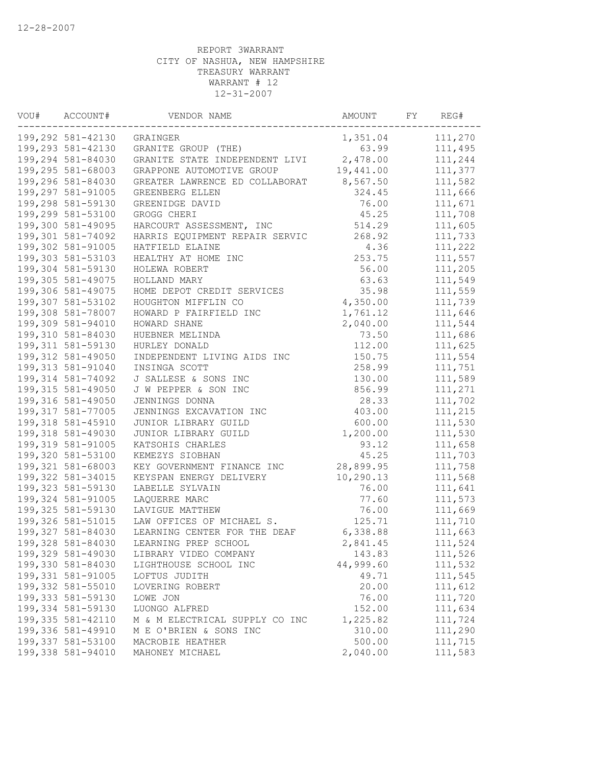| VOU# | ACCOUNT#<br>VENDOR NAME |                                | AMOUNT    | FY | REG#    |
|------|-------------------------|--------------------------------|-----------|----|---------|
|      | 199,292 581-42130       | GRAINGER                       | 1,351.04  |    | 111,270 |
|      | 199,293 581-42130       | GRANITE GROUP (THE)            | 63.99     |    | 111,495 |
|      | 199,294 581-84030       | GRANITE STATE INDEPENDENT LIVI | 2,478.00  |    | 111,244 |
|      | 199,295 581-68003       | GRAPPONE AUTOMOTIVE GROUP      | 19,441.00 |    | 111,377 |
|      | 199,296 581-84030       | GREATER LAWRENCE ED COLLABORAT | 8,567.50  |    | 111,582 |
|      | 199,297 581-91005       | GREENBERG ELLEN                | 324.45    |    | 111,666 |
|      | 199,298 581-59130       | GREENIDGE DAVID                | 76.00     |    | 111,671 |
|      | 199,299 581-53100       | GROGG CHERI                    | 45.25     |    | 111,708 |
|      | 199,300 581-49095       | HARCOURT ASSESSMENT, INC       | 514.29    |    | 111,605 |
|      | 199,301 581-74092       | HARRIS EQUIPMENT REPAIR SERVIC | 268.92    |    | 111,733 |
|      | 199,302 581-91005       | HATFIELD ELAINE                | 4.36      |    | 111,222 |
|      | 199,303 581-53103       | HEALTHY AT HOME INC            | 253.75    |    | 111,557 |
|      | 199,304 581-59130       | HOLEWA ROBERT                  | 56.00     |    | 111,205 |
|      | 199,305 581-49075       | HOLLAND MARY                   | 63.63     |    | 111,549 |
|      | 199,306 581-49075       | HOME DEPOT CREDIT SERVICES     | 35.98     |    | 111,559 |
|      | 199,307 581-53102       | HOUGHTON MIFFLIN CO            | 4,350.00  |    | 111,739 |
|      | 199,308 581-78007       | HOWARD P FAIRFIELD INC         | 1,761.12  |    | 111,646 |
|      | 199,309 581-94010       | HOWARD SHANE                   | 2,040.00  |    | 111,544 |
|      | 199,310 581-84030       | HUEBNER MELINDA                | 73.50     |    | 111,686 |
|      | 199, 311 581-59130      | HURLEY DONALD                  | 112.00    |    | 111,625 |
|      | 199,312 581-49050       | INDEPENDENT LIVING AIDS INC    | 150.75    |    | 111,554 |
|      | 199, 313 581-91040      | INSINGA SCOTT                  | 258.99    |    | 111,751 |
|      | 199,314 581-74092       | J SALLESE & SONS INC           | 130.00    |    | 111,589 |
|      | 199,315 581-49050       | J W PEPPER & SON INC           | 856.99    |    | 111,271 |
|      | 199,316 581-49050       | JENNINGS DONNA                 | 28.33     |    | 111,702 |
|      | 199,317 581-77005       | JENNINGS EXCAVATION INC        | 403.00    |    | 111,215 |
|      | 199,318 581-45910       | JUNIOR LIBRARY GUILD           | 600.00    |    | 111,530 |
|      | 199,318 581-49030       | JUNIOR LIBRARY GUILD           | 1,200.00  |    | 111,530 |
|      | 199,319 581-91005       | KATSOHIS CHARLES               | 93.12     |    | 111,658 |
|      | 199,320 581-53100       | KEMEZYS SIOBHAN                | 45.25     |    | 111,703 |
|      | 199,321 581-68003       | KEY GOVERNMENT FINANCE INC     | 28,899.95 |    | 111,758 |
|      | 199,322 581-34015       | KEYSPAN ENERGY DELIVERY        | 10,290.13 |    | 111,568 |
|      | 199,323 581-59130       | LABELLE SYLVAIN                | 76.00     |    | 111,641 |
|      | 199,324 581-91005       | LAQUERRE MARC                  | 77.60     |    | 111,573 |
|      | 199,325 581-59130       | LAVIGUE MATTHEW                | 76.00     |    | 111,669 |
|      | 199,326 581-51015       | LAW OFFICES OF MICHAEL S.      | 125.71    |    | 111,710 |
|      | 199,327 581-84030       | LEARNING CENTER FOR THE DEAF   | 6,338.88  |    | 111,663 |
|      | 199,328 581-84030       | LEARNING PREP SCHOOL           | 2,841.45  |    | 111,524 |
|      | 199,329 581-49030       | LIBRARY VIDEO COMPANY          | 143.83    |    | 111,526 |
|      | 199,330 581-84030       | LIGHTHOUSE SCHOOL INC          | 44,999.60 |    | 111,532 |
|      | 199,331 581-91005       | LOFTUS JUDITH                  | 49.71     |    | 111,545 |
|      | 199,332 581-55010       | LOVERING ROBERT                | 20.00     |    | 111,612 |
|      | 199,333 581-59130       | LOWE JON                       | 76.00     |    | 111,720 |
|      | 199,334 581-59130       | LUONGO ALFRED                  | 152.00    |    | 111,634 |
|      | 199,335 581-42110       | M & M ELECTRICAL SUPPLY CO INC | 1,225.82  |    | 111,724 |
|      | 199,336 581-49910       | M E O'BRIEN & SONS INC         | 310.00    |    | 111,290 |
|      | 199,337 581-53100       | MACROBIE HEATHER               | 500.00    |    | 111,715 |
|      | 199,338 581-94010       | MAHONEY MICHAEL                | 2,040.00  |    | 111,583 |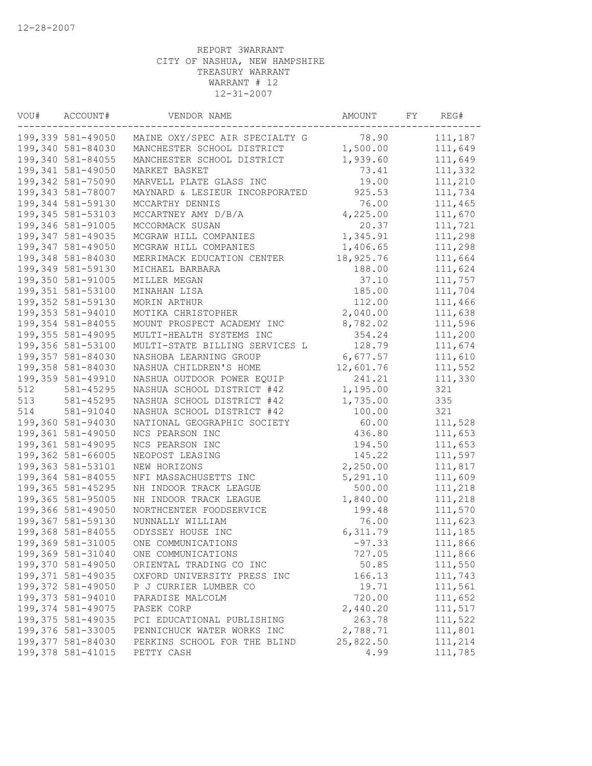| VOU# | ACCOUNT#<br>VENDOR NAME                |                                | AMOUNT    | FY | REG#    |
|------|----------------------------------------|--------------------------------|-----------|----|---------|
|      | 199,339 581-49050                      | MAINE OXY/SPEC AIR SPECIALTY G | 78.90     |    | 111,187 |
|      | 199,340 581-84030                      | MANCHESTER SCHOOL DISTRICT     | 1,500.00  |    | 111,649 |
|      | 199,340 581-84055                      | MANCHESTER SCHOOL DISTRICT     | 1,939.60  |    | 111,649 |
|      | 199,341 581-49050                      | MARKET BASKET                  | 73.41     |    | 111,332 |
|      | 199,342 581-75090                      | MARVELL PLATE GLASS INC        | 19.00     |    | 111,210 |
|      | 199,343 581-78007                      | MAYNARD & LESIEUR INCORPORATED | 925.53    |    | 111,734 |
|      | 199,344 581-59130                      | MCCARTHY DENNIS                | 76.00     |    | 111,465 |
|      | 199,345 581-53103                      | MCCARTNEY AMY D/B/A            | 4,225.00  |    | 111,670 |
|      | 199,346 581-91005                      | MCCORMACK SUSAN                | 20.37     |    | 111,721 |
|      | 199,347 581-49035                      | MCGRAW HILL COMPANIES          | 1,345.91  |    | 111,298 |
|      | 199,347 581-49050                      | MCGRAW HILL COMPANIES          | 1,406.65  |    | 111,298 |
|      | 199,348 581-84030                      | MERRIMACK EDUCATION CENTER     | 18,925.76 |    | 111,664 |
|      | 199,349 581-59130                      | MICHAEL BARBARA                | 188.00    |    | 111,624 |
|      | 199,350 581-91005                      | MILLER MEGAN                   | 37.10     |    | 111,757 |
|      | 199,351 581-53100                      | MINAHAN LISA                   | 185.00    |    | 111,704 |
|      | 199,352 581-59130                      | MORIN ARTHUR                   | 112.00    |    | 111,466 |
|      | 199,353 581-94010                      | MOTIKA CHRISTOPHER             | 2,040.00  |    | 111,638 |
|      | 199,354 581-84055                      | MOUNT PROSPECT ACADEMY INC     | 8,782.02  |    | 111,596 |
|      | 199,355 581-49095                      | MULTI-HEALTH SYSTEMS INC       | 354.24    |    | 111,200 |
|      | 199,356 581-53100                      | MULTI-STATE BILLING SERVICES L | 128.79    |    | 111,674 |
|      | 199,357 581-84030                      | NASHOBA LEARNING GROUP         | 6,677.57  |    | 111,610 |
|      | 199,358 581-84030                      | NASHUA CHILDREN'S HOME         | 12,601.76 |    | 111,552 |
|      | 199,359 581-49910                      | NASHUA OUTDOOR POWER EQUIP     | 241.21    |    | 111,330 |
| 512  | 581-45295                              | NASHUA SCHOOL DISTRICT #42     | 1,195.00  |    | 321     |
| 513  | 581-45295                              | NASHUA SCHOOL DISTRICT #42     | 1,735.00  |    | 335     |
| 514  | 581-91040                              | NASHUA SCHOOL DISTRICT #42     | 100.00    |    | 321     |
|      | 199,360 581-94030                      | NATIONAL GEOGRAPHIC SOCIETY    | 60.00     |    | 111,528 |
|      | 199,361 581-49050                      | NCS PEARSON INC                | 436.80    |    | 111,653 |
|      | 199,361 581-49095                      |                                |           |    |         |
|      |                                        | NCS PEARSON INC                | 194.50    |    | 111,653 |
|      | 199,362 581-66005<br>199,363 581-53101 | NEOPOST LEASING                | 145.22    |    | 111,597 |
|      |                                        | NEW HORIZONS                   | 2,250.00  |    | 111,817 |
|      | 199,364 581-84055                      | NFI MASSACHUSETTS INC          | 5,291.10  |    | 111,609 |
|      | 199,365 581-45295                      | NH INDOOR TRACK LEAGUE         | 500.00    |    | 111,218 |
|      | 199,365 581-95005                      | NH INDOOR TRACK LEAGUE         | 1,840.00  |    | 111,218 |
|      | 199,366 581-49050                      | NORTHCENTER FOODSERVICE        | 199.48    |    | 111,570 |
|      | 199,367 581-59130                      | NUNNALLY WILLIAM               | 76.00     |    | 111,623 |
|      | 199,368 581-84055                      | ODYSSEY HOUSE INC              | 6,311.79  |    | 111,185 |
|      | 199,369 581-31005                      | ONE COMMUNICATIONS             | $-97.33$  |    | 111,866 |
|      | 199,369 581-31040                      | ONE COMMUNICATIONS             | 727.05    |    | 111,866 |
|      | 199,370 581-49050                      | ORIENTAL TRADING CO INC        | 50.85     |    | 111,550 |
|      | 199,371 581-49035                      | OXFORD UNIVERSITY PRESS INC    | 166.13    |    | 111,743 |
|      | 199,372 581-49050                      | P J CURRIER LUMBER CO          | 19.71     |    | 111,561 |
|      | 199,373 581-94010                      | PARADISE MALCOLM               | 720.00    |    | 111,652 |
|      | 199,374 581-49075                      | PASEK CORP                     | 2,440.20  |    | 111,517 |
|      | 199,375 581-49035                      | PCI EDUCATIONAL PUBLISHING     | 263.78    |    | 111,522 |
|      | 199,376 581-33005                      | PENNICHUCK WATER WORKS INC     | 2,788.71  |    | 111,801 |
|      | 199,377 581-84030                      | PERKINS SCHOOL FOR THE BLIND   | 25,822.50 |    | 111,214 |
|      | 199,378 581-41015                      | PETTY CASH                     | 4.99      |    | 111,785 |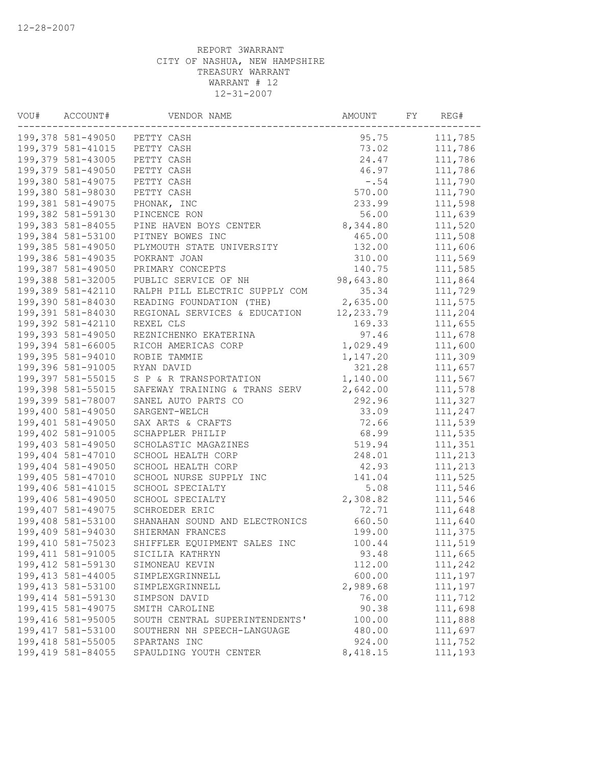| VOU# | ACCOUNT#           | VENDOR NAME                    | AMOUNT    | REG# |         |
|------|--------------------|--------------------------------|-----------|------|---------|
|      |                    | 199,378 581-49050 PETTY CASH   | 95.75     |      | 111,785 |
|      | 199,379 581-41015  | PETTY CASH                     | 73.02     |      | 111,786 |
|      | 199,379 581-43005  | PETTY CASH                     | 24.47     |      | 111,786 |
|      | 199,379 581-49050  | PETTY CASH                     | 46.97     |      | 111,786 |
|      | 199,380 581-49075  | PETTY CASH                     | $-0.54$   |      | 111,790 |
|      | 199,380 581-98030  | PETTY CASH                     | 570.00    |      | 111,790 |
|      | 199,381 581-49075  | PHONAK, INC                    | 233.99    |      | 111,598 |
|      | 199,382 581-59130  | PINCENCE RON                   | 56.00     |      | 111,639 |
|      | 199,383 581-84055  | PINE HAVEN BOYS CENTER         | 8,344.80  |      | 111,520 |
|      | 199,384 581-53100  | PITNEY BOWES INC               | 465.00    |      | 111,508 |
|      | 199,385 581-49050  | PLYMOUTH STATE UNIVERSITY      | 132.00    |      | 111,606 |
|      | 199,386 581-49035  | POKRANT JOAN                   | 310.00    |      | 111,569 |
|      | 199,387 581-49050  | PRIMARY CONCEPTS               | 140.75    |      | 111,585 |
|      | 199,388 581-32005  | PUBLIC SERVICE OF NH           | 98,643.80 |      | 111,864 |
|      | 199,389 581-42110  | RALPH PILL ELECTRIC SUPPLY COM | 35.34     |      | 111,729 |
|      | 199,390 581-84030  | READING FOUNDATION (THE)       | 2,635.00  |      | 111,575 |
|      | 199,391 581-84030  | REGIONAL SERVICES & EDUCATION  | 12,233.79 |      | 111,204 |
|      | 199,392 581-42110  | REXEL CLS                      | 169.33    |      | 111,655 |
|      | 199,393 581-49050  | REZNICHENKO EKATERINA          | 97.46     |      | 111,678 |
|      | 199,394 581-66005  | RICOH AMERICAS CORP            | 1,029.49  |      | 111,600 |
|      | 199,395 581-94010  | ROBIE TAMMIE                   | 1,147.20  |      | 111,309 |
|      | 199,396 581-91005  | RYAN DAVID                     | 321.28    |      | 111,657 |
|      | 199,397 581-55015  | S P & R TRANSPORTATION         | 1,140.00  |      | 111,567 |
|      | 199,398 581-55015  | SAFEWAY TRAINING & TRANS SERV  | 2,642.00  |      | 111,578 |
|      | 199,399 581-78007  | SANEL AUTO PARTS CO            | 292.96    |      | 111,327 |
|      | 199,400 581-49050  | SARGENT-WELCH                  | 33.09     |      | 111,247 |
|      | 199,401 581-49050  | SAX ARTS & CRAFTS              | 72.66     |      | 111,539 |
|      | 199,402 581-91005  | SCHAPPLER PHILIP               | 68.99     |      | 111,535 |
|      | 199,403 581-49050  | SCHOLASTIC MAGAZINES           | 519.94    |      | 111,351 |
|      | 199,404 581-47010  | SCHOOL HEALTH CORP             | 248.01    |      | 111,213 |
|      | 199,404 581-49050  | SCHOOL HEALTH CORP             | 42.93     |      | 111,213 |
|      | 199,405 581-47010  | SCHOOL NURSE SUPPLY INC        | 141.04    |      | 111,525 |
|      | 199,406 581-41015  | SCHOOL SPECIALTY               | 5.08      |      | 111,546 |
|      | 199,406 581-49050  | SCHOOL SPECIALTY               | 2,308.82  |      | 111,546 |
|      | 199,407 581-49075  | SCHROEDER ERIC                 | 72.71     |      | 111,648 |
|      | 199,408 581-53100  | SHANAHAN SOUND AND ELECTRONICS | 660.50    |      | 111,640 |
|      | 199,409 581-94030  | SHIERMAN FRANCES               | 199.00    |      | 111,375 |
|      | 199,410 581-75023  | SHIFFLER EQUIPMENT SALES INC   | 100.44    |      | 111,519 |
|      | 199, 411 581-91005 | SICILIA KATHRYN                | 93.48     |      | 111,665 |
|      | 199,412 581-59130  | SIMONEAU KEVIN                 | 112.00    |      | 111,242 |
|      | 199, 413 581-44005 | SIMPLEXGRINNELL                | 600.00    |      | 111,197 |
|      | 199, 413 581-53100 | SIMPLEXGRINNELL                | 2,989.68  |      | 111,197 |
|      | 199, 414 581-59130 | SIMPSON DAVID                  | 76.00     |      | 111,712 |
|      | 199, 415 581-49075 | SMITH CAROLINE                 | 90.38     |      | 111,698 |
|      | 199,416 581-95005  | SOUTH CENTRAL SUPERINTENDENTS' | 100.00    |      | 111,888 |
|      | 199,417 581-53100  | SOUTHERN NH SPEECH-LANGUAGE    | 480.00    |      | 111,697 |
|      | 199,418 581-55005  | SPARTANS INC                   | 924.00    |      | 111,752 |
|      | 199,419 581-84055  | SPAULDING YOUTH CENTER         | 8,418.15  |      | 111,193 |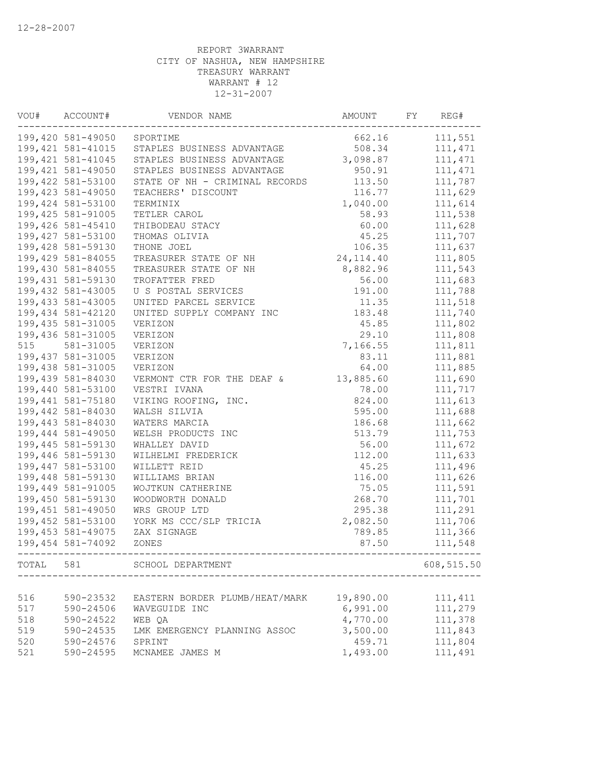| VOU#              | ACCOUNT#<br>VENDOR NAME |                                | AMOUNT                              | FY | REG#       |
|-------------------|-------------------------|--------------------------------|-------------------------------------|----|------------|
| 199,420 581-49050 |                         | SPORTIME                       | 662.16                              |    | 111,551    |
|                   | 199, 421 581-41015      | STAPLES BUSINESS ADVANTAGE     | 508.34                              |    | 111, 471   |
|                   | 199, 421 581-41045      | STAPLES BUSINESS ADVANTAGE     | 3,098.87                            |    | 111, 471   |
|                   | 199,421 581-49050       | STAPLES BUSINESS ADVANTAGE     | 950.91                              |    | 111, 471   |
|                   | 199,422 581-53100       | STATE OF NH - CRIMINAL RECORDS | 113.50                              |    | 111,787    |
|                   | 199,423 581-49050       | TEACHERS' DISCOUNT             | 116.77                              |    | 111,629    |
|                   | 199,424 581-53100       | TERMINIX                       | 1,040.00                            |    | 111,614    |
|                   | 199, 425 581-91005      | TETLER CAROL                   | 58.93                               |    | 111,538    |
|                   | 199,426 581-45410       | THIBODEAU STACY                | 60.00                               |    | 111,628    |
|                   | 199,427 581-53100       | THOMAS OLIVIA                  | 45.25                               |    | 111,707    |
|                   | 199,428 581-59130       | THONE JOEL                     | 106.35                              |    | 111,637    |
|                   | 199,429 581-84055       | TREASURER STATE OF NH          | 24,114.40                           |    | 111,805    |
|                   | 199,430 581-84055       | TREASURER STATE OF NH          | 8,882.96                            |    | 111,543    |
|                   | 199, 431 581-59130      | TROFATTER FRED                 | 56.00                               |    | 111,683    |
|                   | 199,432 581-43005       | U S POSTAL SERVICES            | 191.00                              |    | 111,788    |
|                   | 199,433 581-43005       | UNITED PARCEL SERVICE          | 11.35                               |    | 111,518    |
|                   | 199,434 581-42120       | UNITED SUPPLY COMPANY INC      | 183.48                              |    | 111,740    |
|                   | 199,435 581-31005       | VERIZON                        | 45.85                               |    | 111,802    |
|                   | 199,436 581-31005       | VERIZON                        | 29.10                               |    | 111,808    |
| 515               | 581-31005               | VERIZON                        | 7,166.55                            |    | 111,811    |
|                   | 199,437 581-31005       | VERIZON                        | 83.11                               |    | 111,881    |
|                   | 199,438 581-31005       | VERIZON                        | 64.00                               |    | 111,885    |
|                   | 199,439 581-84030       | VERMONT CTR FOR THE DEAF &     | 13,885.60                           |    | 111,690    |
|                   | 199,440 581-53100       | VESTRI IVANA                   | 78.00                               |    | 111,717    |
|                   | 199,441 581-75180       | VIKING ROOFING, INC.           | 824.00                              |    | 111,613    |
|                   | 199,442 581-84030       | WALSH SILVIA                   | 595.00                              |    | 111,688    |
|                   | 199,443 581-84030       | WATERS MARCIA                  | 186.68                              |    | 111,662    |
|                   | 199,444 581-49050       | WELSH PRODUCTS INC             | 513.79                              |    | 111,753    |
|                   | 199,445 581-59130       | WHALLEY DAVID                  | 56.00                               |    | 111,672    |
|                   | 199,446 581-59130       | WILHELMI FREDERICK             | 112.00                              |    | 111,633    |
|                   | 199,447 581-53100       | WILLETT REID                   | 45.25                               |    | 111,496    |
|                   | 199,448 581-59130       | WILLIAMS BRIAN                 | 116.00                              |    | 111,626    |
|                   | 199,449 581-91005       | WOJTKUN CATHERINE              | 75.05                               |    | 111,591    |
|                   | 199,450 581-59130       |                                |                                     |    |            |
|                   |                         | WOODWORTH DONALD               | 268.70                              |    | 111,701    |
|                   | 199,451 581-49050       | WRS GROUP LTD                  | 295.38                              |    | 111,291    |
|                   | 199,452 581-53100       | YORK MS CCC/SLP TRICIA         | 2,082.50                            |    | 111,706    |
|                   | 199,453 581-49075       | ZAX SIGNAGE                    | 789.85                              |    | 111,366    |
|                   | 199,454 581-74092       | ZONES                          | 87.50                               |    | 111,548    |
|                   |                         | TOTAL 581 SCHOOL DEPARTMENT    | ----------------------------------- |    | 608,515.50 |
|                   |                         |                                |                                     |    |            |
| 516               | 590-23532               | EASTERN BORDER PLUMB/HEAT/MARK | 19,890.00                           |    | 111, 411   |
| 517               | 590-24506               | WAVEGUIDE INC                  | 6,991.00                            |    | 111,279    |
| 518               | 590-24522               | WEB QA                         | 4,770.00                            |    | 111,378    |
| 519               | 590-24535               | LMK EMERGENCY PLANNING ASSOC   | 3,500.00                            |    | 111,843    |
| 520               | 590-24576               | SPRINT                         | 459.71                              |    | 111,804    |
| 521               | 590-24595               | MCNAMEE JAMES M                | 1,493.00                            |    | 111,491    |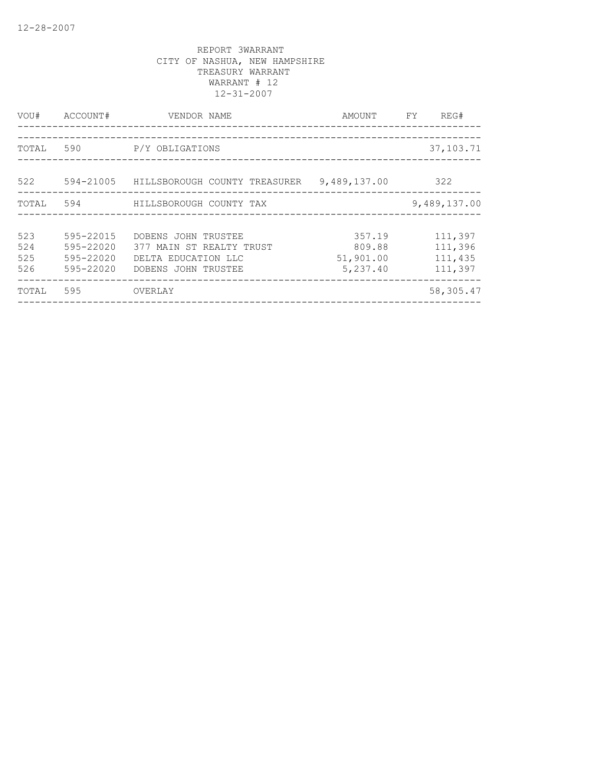| VOU#                     | ACCOUNT#                                         | VENDOR NAME                                                                                   | FY<br>AMOUNT                              |                                          |
|--------------------------|--------------------------------------------------|-----------------------------------------------------------------------------------------------|-------------------------------------------|------------------------------------------|
| TOTAL                    | 590                                              | P/Y OBLIGATIONS                                                                               |                                           | 37, 103. 71                              |
| 522                      | 594-21005                                        | HILLSBOROUGH COUNTY TREASURER                                                                 | 9,489,137.00                              | 322                                      |
| TOTAL                    | 594                                              | HILLSBOROUGH COUNTY TAX                                                                       |                                           | 9,489,137.00                             |
| 523<br>524<br>525<br>526 | 595-22015<br>595-22020<br>595-22020<br>595-22020 | DOBENS JOHN TRUSTEE<br>377 MAIN ST REALTY TRUST<br>DELTA EDUCATION LLC<br>DOBENS JOHN TRUSTEE | 357.19<br>809.88<br>51,901.00<br>5,237.40 | 111,397<br>111,396<br>111,435<br>111,397 |
| TOTAL                    | 595                                              | OVERLAY                                                                                       |                                           | 58,305.47                                |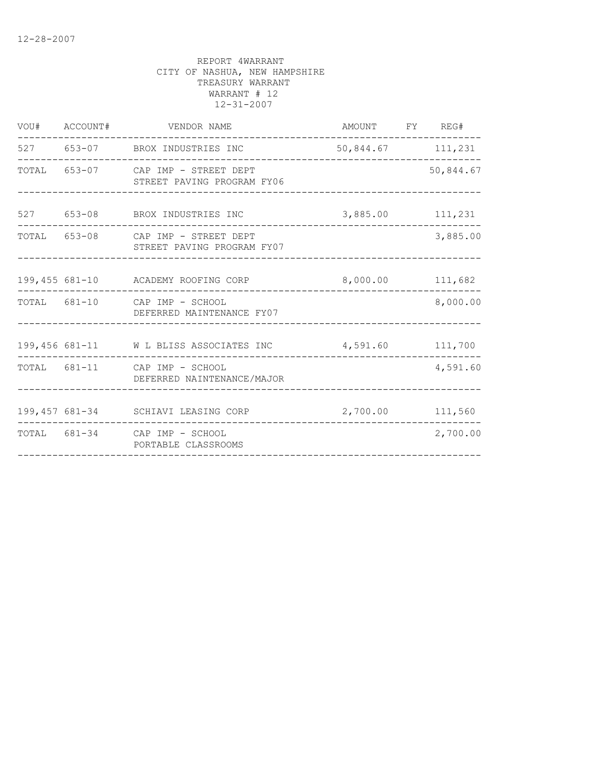| VOU# ACCOUNT# | VENDOR NAME                                                      | AMOUNT FY REG#    |  |           |  |  |
|---------------|------------------------------------------------------------------|-------------------|--|-----------|--|--|
|               | 527 653-07 BROX INDUSTRIES INC<br>---------------                | 50,844.67 111,231 |  |           |  |  |
|               | TOTAL 653-07 CAP IMP - STREET DEPT<br>STREET PAVING PROGRAM FY06 |                   |  | 50,844.67 |  |  |
|               | 527 653-08 BROX INDUSTRIES INC                                   | 3,885.00 111,231  |  |           |  |  |
|               | TOTAL 653-08 CAP IMP - STREET DEPT<br>STREET PAVING PROGRAM FY07 | 3,885.00          |  |           |  |  |
|               | 199,455 681-10 ACADEMY ROOFING CORP 8,000.00 111,682             |                   |  |           |  |  |
|               | TOTAL 681-10 CAP IMP - SCHOOL<br>DEFERRED MAINTENANCE FY07       |                   |  | 8,000.00  |  |  |
|               | 199,456 681-11 W L BLISS ASSOCIATES INC                          | 4,591.60 111,700  |  |           |  |  |
|               | TOTAL 681-11 CAP IMP - SCHOOL<br>DEFERRED NAINTENANCE/MAJOR      |                   |  | 4,591.60  |  |  |
|               | 199,457 681-34 SCHIAVI LEASING CORP                              | 2,700.00 111,560  |  |           |  |  |
|               | TOTAL 681-34 CAP IMP - SCHOOL<br>PORTABLE CLASSROOMS             |                   |  | 2,700.00  |  |  |
|               |                                                                  |                   |  |           |  |  |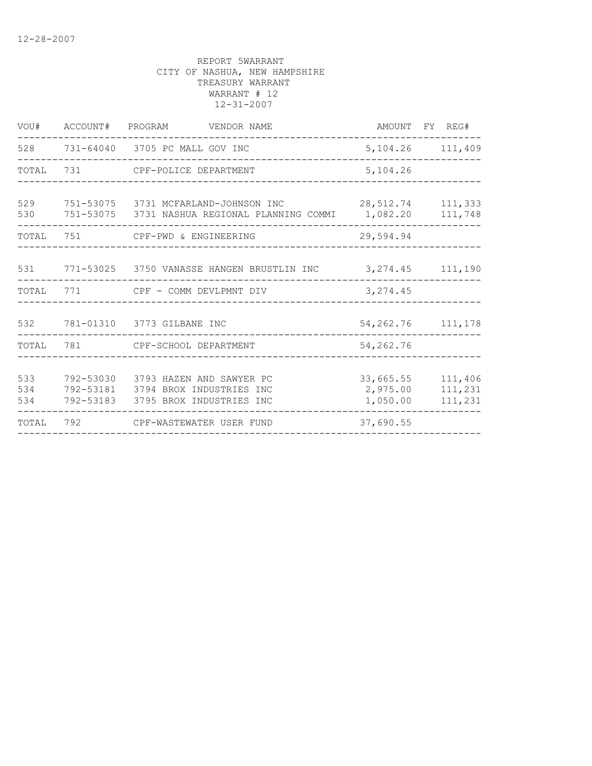| VOU#  | ACCOUNT# PROGRAM VENDOR NAME                                    |           | AMOUNT FY REG#       |
|-------|-----------------------------------------------------------------|-----------|----------------------|
|       | 528 731-64040 3705 PC MALL GOV INC                              |           | 5, 104. 26 111, 409  |
|       | TOTAL 731 CPF-POLICE DEPARTMENT                                 | 5,104.26  |                      |
| 529   | 751-53075 3731 MCFARLAND-JOHNSON INC 28,512.74 111,333          |           |                      |
| 530   | 751-53075 3731 NASHUA REGIONAL PLANNING COMMI 1,082.20 111,748  |           |                      |
|       | TOTAL 751 CPF-PWD & ENGINEERING                                 | 29,594.94 |                      |
|       |                                                                 |           |                      |
|       | 531 771-53025 3750 VANASSE HANGEN BRUSTLIN INC 3,274.45 111,190 |           |                      |
| TOTAL | 771 CPF - COMM DEVLPMNT DIV                                     | 3, 274.45 |                      |
|       |                                                                 |           |                      |
|       | 532 781-01310 3773 GILBANE INC<br>____________________          |           | 54, 262. 76 111, 178 |
|       | TOTAL 781 CPF-SCHOOL DEPARTMENT                                 | 54,262.76 |                      |
|       |                                                                 |           |                      |
| 533   | 792-53030 3793 HAZEN AND SAWYER PC                              | 33,665.55 | 111,406              |
| 534   | 792-53181 3794 BROX INDUSTRIES INC                              | 2,975.00  | 111,231              |
| 534   | 792-53183 3795 BROX INDUSTRIES INC                              | 1,050.00  | 111,231              |
| TOTAL | 792 CPF-WASTEWATER USER FUND                                    | 37,690.55 |                      |
|       |                                                                 |           |                      |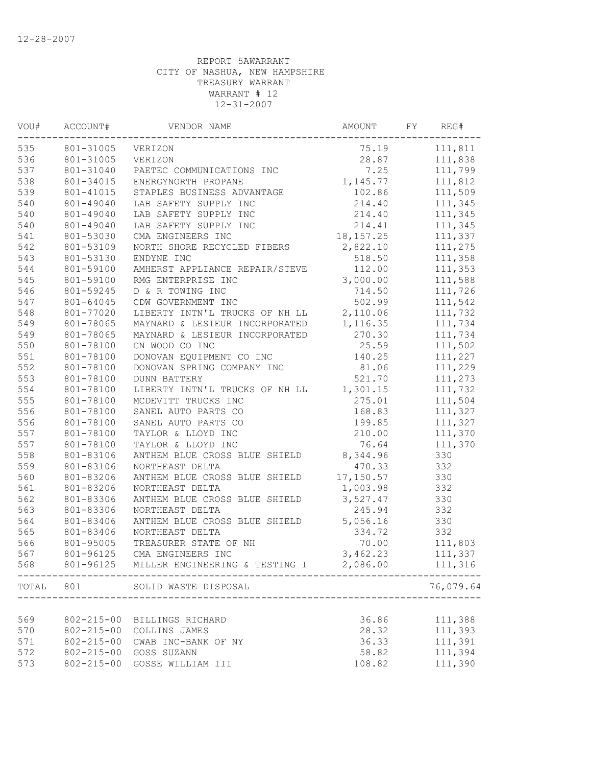| VOU#                     | ACCOUNT#<br>VENDOR NAME |                                                   | AMOUNT    | REG# |           |
|--------------------------|-------------------------|---------------------------------------------------|-----------|------|-----------|
| 535<br>801-31005 VERIZON |                         |                                                   | 75.19     |      | 111,811   |
| 536                      | 801-31005               | VERIZON                                           | 28.87     |      | 111,838   |
| 537                      | 801-31040               | PAETEC COMMUNICATIONS INC                         | 7.25      |      | 111,799   |
| 538                      | 801-34015               | ENERGYNORTH PROPANE                               | 1,145.77  |      | 111,812   |
| 539                      | 801-41015               | STAPLES BUSINESS ADVANTAGE                        | 102.86    |      | 111,509   |
| 540                      | 801-49040               | LAB SAFETY SUPPLY INC                             | 214.40    |      | 111,345   |
| 540                      | 801-49040               | LAB SAFETY SUPPLY INC                             | 214.40    |      | 111,345   |
| 540                      | 801-49040               | LAB SAFETY SUPPLY INC                             | 214.41    |      | 111,345   |
| 541                      | 801-53030               | CMA ENGINEERS INC                                 | 18,157.25 |      | 111,337   |
| 542                      | 801-53109               | NORTH SHORE RECYCLED FIBERS                       | 2,822.10  |      | 111,275   |
| 543                      | 801-53130               | ENDYNE INC                                        | 518.50    |      | 111,358   |
| 544                      | 801-59100               | AMHERST APPLIANCE REPAIR/STEVE                    | 112.00    |      | 111,353   |
| 545                      | 801-59100               | RMG ENTERPRISE INC                                | 3,000.00  |      | 111,588   |
| 546                      | 801-59245               | D & R TOWING INC                                  | 714.50    |      | 111,726   |
| 547                      | 801-64045               | CDW GOVERNMENT INC                                | 502.99    |      | 111,542   |
| 548                      | 801-77020               | LIBERTY INTN'L TRUCKS OF NH LL                    | 2,110.06  |      | 111,732   |
| 549                      | 801-78065               | MAYNARD & LESIEUR INCORPORATED                    | 1,116.35  |      | 111,734   |
| 549                      | 801-78065               | MAYNARD & LESIEUR INCORPORATED                    | 270.30    |      | 111,734   |
| 550                      | 801-78100               | CN WOOD CO INC                                    | 25.59     |      | 111,502   |
| 551                      | 801-78100               | DONOVAN EQUIPMENT CO INC                          | 140.25    |      | 111,227   |
| 552                      | 801-78100               | DONOVAN SPRING COMPANY INC                        | 81.06     |      | 111,229   |
| 553                      | 801-78100               | <b>DUNN BATTERY</b>                               | 521.70    |      | 111,273   |
| 554                      | 801-78100               | LIBERTY INTN'L TRUCKS OF NH LL 1,301.15           |           |      | 111,732   |
| 555                      | 801-78100               | MCDEVITT TRUCKS INC                               | 275.01    |      | 111,504   |
| 556                      | 801-78100               | SANEL AUTO PARTS CO                               | 168.83    |      | 111,327   |
| 556                      | 801-78100               | SANEL AUTO PARTS CO                               | 199.85    |      | 111,327   |
| 557                      | 801-78100               | TAYLOR & LLOYD INC                                | 210.00    |      | 111,370   |
| 557                      | 801-78100               | TAYLOR & LLOYD INC                                | 76.64     |      | 111,370   |
| 558                      | 801-83106               | ANTHEM BLUE CROSS BLUE SHIELD                     | 8,344.96  |      | 330       |
| 559                      | 801-83106               | NORTHEAST DELTA                                   | 470.33    |      | 332       |
| 560                      | 801-83206               | ANTHEM BLUE CROSS BLUE SHIELD                     | 17,150.57 |      | 330       |
| 561                      | 801-83206               | NORTHEAST DELTA                                   | 1,003.98  |      | 332       |
| 562                      | 801-83306               | ANTHEM BLUE CROSS BLUE SHIELD                     | 3,527.47  |      | 330       |
| 563                      | 801-83306               | NORTHEAST DELTA                                   | 245.94    |      | 332       |
| 564                      | 801-83406               | ANTHEM BLUE CROSS BLUE SHIELD                     | 5,056.16  |      | 330       |
| 565                      | 801-83406               | NORTHEAST DELTA                                   | 334.72    |      | 332       |
| 566                      | 801-95005               | TREASURER STATE OF NH                             | 70.00     |      | 111,803   |
| 567                      | 801-96125               | CMA ENGINEERS INC                                 | 3,462.23  |      | 111,337   |
| 568                      |                         | 801-96125 MILLER ENGINEERING & TESTING I 2,086.00 |           |      | 111,316   |
| TOTAL                    | 801                     | SOLID WASTE DISPOSAL<br>_________________         |           |      | 76,079.64 |
|                          |                         |                                                   |           |      |           |
| 569                      | $802 - 215 - 00$        | BILLINGS RICHARD                                  | 36.86     |      | 111,388   |
| 570                      | $802 - 215 - 00$        | COLLINS JAMES                                     | 28.32     |      | 111,393   |
| 571                      | $802 - 215 - 00$        | CWAB INC-BANK OF NY                               | 36.33     |      | 111,391   |
| 572                      | $802 - 215 - 00$        | GOSS SUZANN                                       | 58.82     |      | 111,394   |
| 573                      | $802 - 215 - 00$        | GOSSE WILLIAM III                                 | 108.82    |      | 111,390   |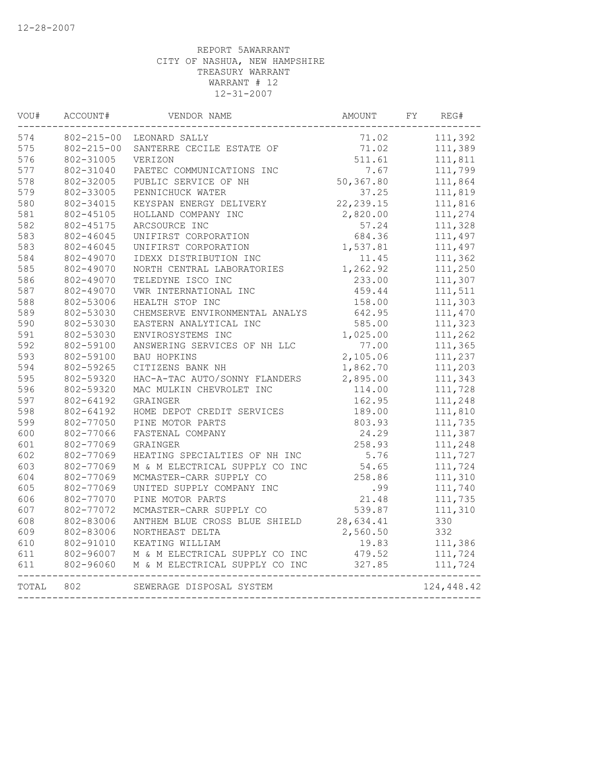| VOU#                            | ACCOUNT#<br>VENDOR NAME |                                                                        | AMOUNT     | FY      | REG#       |
|---------------------------------|-------------------------|------------------------------------------------------------------------|------------|---------|------------|
| 574<br>802-215-00 LEONARD SALLY |                         | 71.02                                                                  |            | 111,392 |            |
| 575                             | $802 - 215 - 00$        | SANTERRE CECILE ESTATE OF                                              | 71.02      |         | 111,389    |
| 576                             | 802-31005               | VERIZON                                                                | 511.61     |         | 111,811    |
| 577                             | 802-31040               | PAETEC COMMUNICATIONS INC                                              | 7.67       |         | 111,799    |
| 578                             | 802-32005               | PUBLIC SERVICE OF NH                                                   | 50,367.80  |         | 111,864    |
| 579                             | 802-33005               | PENNICHUCK WATER                                                       | 37.25      |         | 111,819    |
| 580                             | 802-34015               | KEYSPAN ENERGY DELIVERY                                                | 22, 239.15 |         | 111,816    |
| 581                             | 802-45105               | HOLLAND COMPANY INC                                                    | 2,820.00   |         | 111,274    |
| 582                             | 802-45175               | ARCSOURCE INC                                                          | 57.24      |         | 111,328    |
| 583                             | 802-46045               | UNIFIRST CORPORATION                                                   | 684.36     |         | 111,497    |
| 583                             | 802-46045               | UNIFIRST CORPORATION                                                   | 1,537.81   |         | 111,497    |
| 584                             | 802-49070               | IDEXX DISTRIBUTION INC                                                 | 11.45      |         | 111,362    |
| 585                             | 802-49070               | NORTH CENTRAL LABORATORIES                                             | 1,262.92   |         | 111,250    |
| 586                             | 802-49070               | TELEDYNE ISCO INC                                                      | 233.00     |         | 111,307    |
| 587                             | 802-49070               | VWR INTERNATIONAL INC                                                  | 459.44     |         | 111,511    |
| 588                             | 802-53006               | HEALTH STOP INC                                                        | 158.00     |         | 111,303    |
| 589                             | 802-53030               | CHEMSERVE ENVIRONMENTAL ANALYS                                         | 642.95     |         | 111,470    |
| 590                             | 802-53030               | EASTERN ANALYTICAL INC                                                 | 585.00     |         | 111,323    |
| 591                             | 802-53030               | ENVIROSYSTEMS INC                                                      | 1,025.00   |         | 111,262    |
| 592                             | 802-59100               | ANSWERING SERVICES OF NH LLC                                           | 77.00      |         | 111,365    |
| 593                             | 802-59100               | <b>BAU HOPKINS</b>                                                     | 2,105.06   |         | 111,237    |
| 594                             | 802-59265               | CITIZENS BANK NH                                                       | 1,862.70   |         | 111,203    |
| 595                             | 802-59320               | HAC-A-TAC AUTO/SONNY FLANDERS                                          | 2,895.00   |         | 111,343    |
| 596                             | 802-59320               | MAC MULKIN CHEVROLET INC                                               | 114.00     |         | 111,728    |
| 597                             | 802-64192               | GRAINGER                                                               | 162.95     |         | 111,248    |
| 598                             | 802-64192               | HOME DEPOT CREDIT SERVICES                                             | 189.00     |         | 111,810    |
| 599                             | 802-77050               | PINE MOTOR PARTS                                                       | 803.93     |         | 111,735    |
| 600                             | 802-77066               | FASTENAL COMPANY                                                       | 24.29      |         | 111,387    |
| 601                             | 802-77069               | GRAINGER                                                               | 258.93     |         | 111,248    |
| 602                             | 802-77069               | HEATING SPECIALTIES OF NH INC                                          | 5.76       |         | 111,727    |
| 603                             | 802-77069               | M & M ELECTRICAL SUPPLY CO INC                                         | 54.65      |         | 111,724    |
| 604                             | 802-77069               | MCMASTER-CARR SUPPLY CO                                                | 258.86     |         | 111,310    |
| 605                             | 802-77069               | UNITED SUPPLY COMPANY INC                                              | .99        |         | 111,740    |
| 606                             | 802-77070               | PINE MOTOR PARTS                                                       | 21.48      |         | 111,735    |
| 607                             | 802-77072               | MCMASTER-CARR SUPPLY CO                                                | 539.87     |         | 111,310    |
| 608                             | 802-83006               | ANTHEM BLUE CROSS BLUE SHIELD                                          | 28,634.41  |         | 330        |
| 609                             | 802-83006               | NORTHEAST DELTA                                                        | 2,560.50   |         | 332        |
| 610                             | 802-91010               | KEATING WILLIAM                                                        | 19.83      |         | 111,386    |
| 611                             |                         | 802-96007 M & M ELECTRICAL SUPPLY CO INC                               | 479.52     |         | 111,724    |
| 611                             | 802-96060               | M & M ELECTRICAL SUPPLY CO INC<br>____________________________________ | 327.85     |         | 111,724    |
| TOTAL                           | 802                     | SEWERAGE DISPOSAL SYSTEM                                               |            |         | 124,448.42 |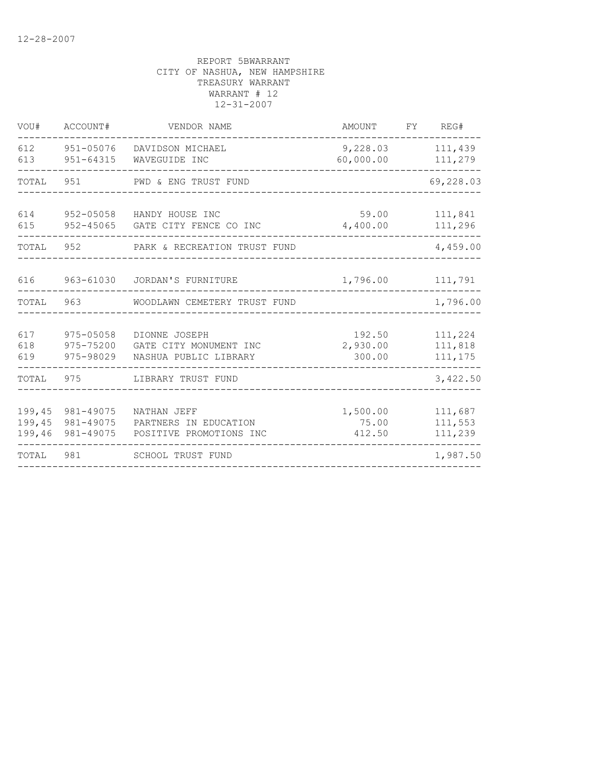| VOU#                       | ACCOUNT#                            | VENDOR NAME                                                      | AMOUNT                       | FY                 | REG#                          |
|----------------------------|-------------------------------------|------------------------------------------------------------------|------------------------------|--------------------|-------------------------------|
| 612<br>613                 | 951-64315                           | 951-05076 DAVIDSON MICHAEL<br>WAVEGUIDE INC                      |                              | 111,439<br>111,279 |                               |
| TOTAL                      | 951                                 | PWD & ENG TRUST FUND                                             |                              |                    | 69,228.03                     |
| 614<br>615                 | 952-05058<br>952-45065              | HANDY HOUSE INC<br>GATE CITY FENCE CO INC                        |                              | 111,841<br>111,296 |                               |
| TOTAL                      | 952                                 | PARK & RECREATION TRUST FUND                                     |                              | 4,459.00           |                               |
| 616                        | 963-61030                           | JORDAN'S FURNITURE                                               | 1,796.00                     |                    | 111,791                       |
| TOTAL                      | 963                                 | WOODLAWN CEMETERY TRUST FUND                                     |                              |                    | 1,796.00                      |
| 617<br>618<br>619          | 975-05058<br>975-75200<br>975-98029 | DIONNE JOSEPH<br>GATE CITY MONUMENT INC<br>NASHUA PUBLIC LIBRARY | 192.50<br>2,930.00<br>300.00 |                    | 111,224<br>111,818<br>111,175 |
| TOTAL                      | 975                                 | LIBRARY TRUST FUND                                               |                              |                    | 3,422.50                      |
| 199,45<br>199,45<br>199,46 | 981-49075<br>981-49075<br>981-49075 | NATHAN JEFF<br>PARTNERS IN EDUCATION<br>POSITIVE PROMOTIONS INC  | 1,500.00<br>75.00<br>412.50  |                    | 111,687<br>111,553<br>111,239 |
| TOTAL                      | 981                                 | SCHOOL TRUST FUND                                                |                              |                    | 1,987.50                      |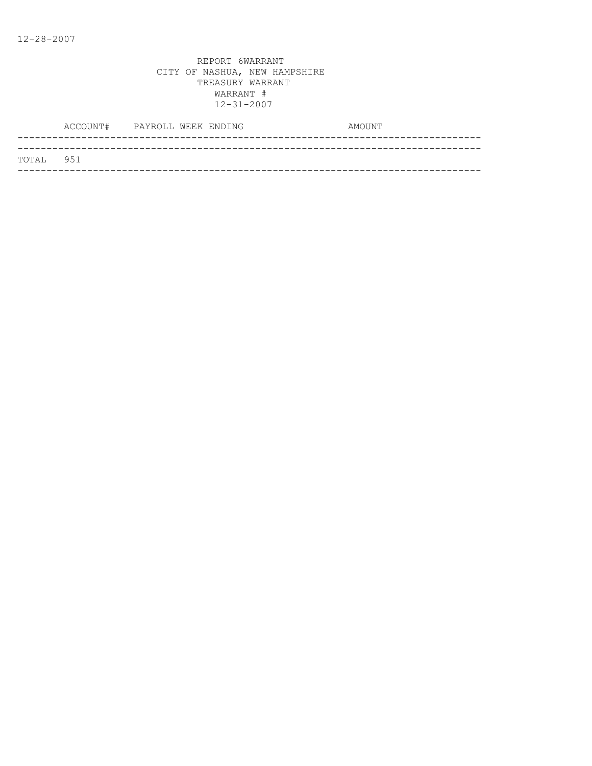|           | ACCOUNT# PAYROLL WEEK ENDING |  |  | AMOUNT |
|-----------|------------------------------|--|--|--------|
|           |                              |  |  |        |
| TOTAL 951 |                              |  |  |        |
|           |                              |  |  |        |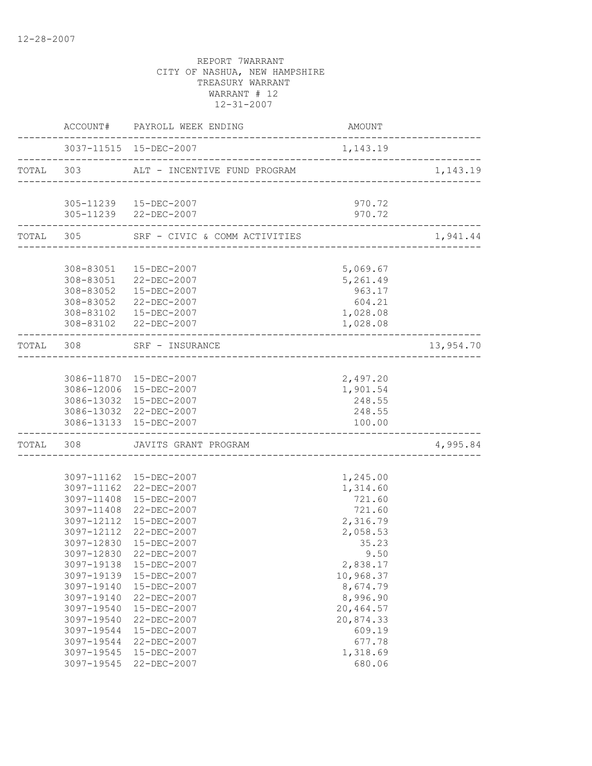|            | ACCOUNT# PAYROLL WEEK ENDING                             | AMOUNT           |           |
|------------|----------------------------------------------------------|------------------|-----------|
|            | --------------                                           | 1,143.19         |           |
| TOTAL 303  | ALT - INCENTIVE FUND PROGRAM                             |                  | 1,143.19  |
|            | 305-11239  15-DEC-2007                                   | 970.72           |           |
|            | 305-11239 22-DEC-2007                                    | 970.72           |           |
|            | TOTAL 305 SRF - CIVIC & COMM ACTIVITIES                  |                  | 1,941.44  |
|            |                                                          |                  |           |
|            | 308-83051  15-DEC-2007                                   | 5,069.67         |           |
|            | 308-83051 22-DEC-2007                                    | 5,261.49         |           |
|            | 308-83052  15-DEC-2007                                   | 963.17           |           |
|            | 308-83052 22-DEC-2007                                    | 604.21           |           |
|            | 308-83102  15-DEC-2007                                   | 1,028.08         |           |
|            | 308-83102 22-DEC-2007                                    | 1,028.08         |           |
|            | TOTAL 308 SRF - INSURANCE<br><u> 2222222222222222222</u> |                  | 13,954.70 |
|            |                                                          |                  |           |
|            | 3086-11870 15-DEC-2007                                   | 2,497.20         |           |
|            | 3086-12006 15-DEC-2007                                   | 1,901.54         |           |
|            | 3086-13032 15-DEC-2007                                   | 248.55           |           |
|            | 3086-13032 22-DEC-2007<br>3086-13133 15-DEC-2007         | 248.55<br>100.00 |           |
|            | TOTAL 308 JAVITS GRANT PROGRAM                           |                  | 4,995.84  |
|            |                                                          |                  |           |
|            | 3097-11162 15-DEC-2007                                   | 1,245.00         |           |
|            | 3097-11162 22-DEC-2007                                   | 1,314.60         |           |
|            | 3097-11408 15-DEC-2007                                   | 721.60           |           |
|            | 3097-11408 22-DEC-2007                                   | 721.60           |           |
|            | 3097-12112 15-DEC-2007                                   | 2,316.79         |           |
|            | 3097-12112 22-DEC-2007                                   | 2,058.53         |           |
| 3097-12830 | 15-DEC-2007                                              | 35.23            |           |
|            | 3097-12830 22-DEC-2007                                   | 9.50             |           |
| 3097-19138 | 15-DEC-2007                                              | 2,838.17         |           |
| 3097-19139 | 15-DEC-2007                                              | 10,968.37        |           |
| 3097-19140 | 15-DEC-2007                                              | 8,674.79         |           |
| 3097-19140 | 22-DEC-2007                                              | 8,996.90         |           |
| 3097-19540 | 15-DEC-2007                                              | 20,464.57        |           |
| 3097-19540 | 22-DEC-2007                                              | 20,874.33        |           |
| 3097-19544 | 15-DEC-2007                                              | 609.19           |           |
| 3097-19544 | 22-DEC-2007                                              | 677.78           |           |
| 3097-19545 | 15-DEC-2007                                              | 1,318.69         |           |
| 3097-19545 | 22-DEC-2007                                              | 680.06           |           |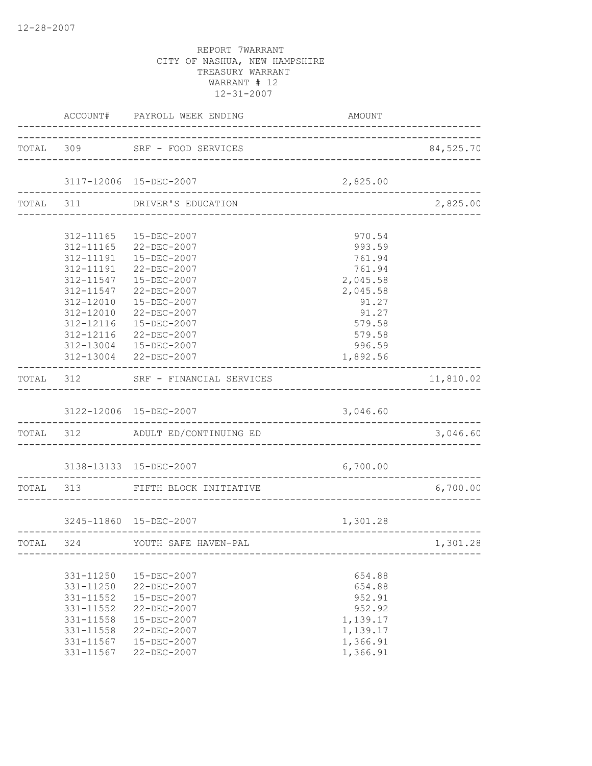|           |           | ACCOUNT# PAYROLL WEEK ENDING       | <b>AMOUNT</b> |           |
|-----------|-----------|------------------------------------|---------------|-----------|
|           |           | TOTAL 309 SRF - FOOD SERVICES      |               | 84,525.70 |
|           |           | 3117-12006 15-DEC-2007             | 2,825.00      |           |
|           |           | TOTAL 311 DRIVER'S EDUCATION       |               | 2,825.00  |
|           |           |                                    |               |           |
|           |           | 312-11165  15-DEC-2007             | 970.54        |           |
|           |           | 312-11165 22-DEC-2007              | 993.59        |           |
|           |           | 312-11191  15-DEC-2007             | 761.94        |           |
|           |           | 312-11191 22-DEC-2007              | 761.94        |           |
|           |           | 312-11547  15-DEC-2007             | 2,045.58      |           |
|           | 312-11547 | 22-DEC-2007                        | 2,045.58      |           |
|           | 312-12010 | 15-DEC-2007                        | 91.27         |           |
|           | 312-12010 | 22-DEC-2007                        | 91.27         |           |
|           | 312-12116 | 15-DEC-2007                        | 579.58        |           |
|           | 312-12116 | 22-DEC-2007                        | 579.58        |           |
|           |           | 312-13004 15-DEC-2007              | 996.59        |           |
|           |           | 312-13004 22-DEC-2007              | 1,892.56      |           |
|           |           | TOTAL 312 SRF - FINANCIAL SERVICES |               | 11,810.02 |
|           |           | 3122-12006 15-DEC-2007             | 3,046.60      |           |
|           |           | TOTAL 312 ADULT ED/CONTINUING ED   |               | 3,046.60  |
|           |           | 3138-13133 15-DEC-2007             | 6,700.00      |           |
|           |           | TOTAL 313 FIFTH BLOCK INITIATIVE   |               | 6,700.00  |
|           |           |                                    |               |           |
|           |           | 3245-11860 15-DEC-2007             | 1,301.28      |           |
| TOTAL 324 |           | YOUTH SAFE HAVEN-PAL               |               | 1,301.28  |
|           |           |                                    |               |           |
|           | 331-11250 | 15-DEC-2007                        | 654.88        |           |
|           | 331-11250 | 22-DEC-2007                        | 654.88        |           |
|           | 331-11552 | 15-DEC-2007                        | 952.91        |           |
|           | 331-11552 | 22-DEC-2007                        | 952.92        |           |
|           | 331-11558 | 15-DEC-2007                        | 1,139.17      |           |
|           | 331-11558 | 22-DEC-2007                        | 1,139.17      |           |
|           | 331-11567 | 15-DEC-2007                        | 1,366.91      |           |
|           | 331-11567 | 22-DEC-2007                        | 1,366.91      |           |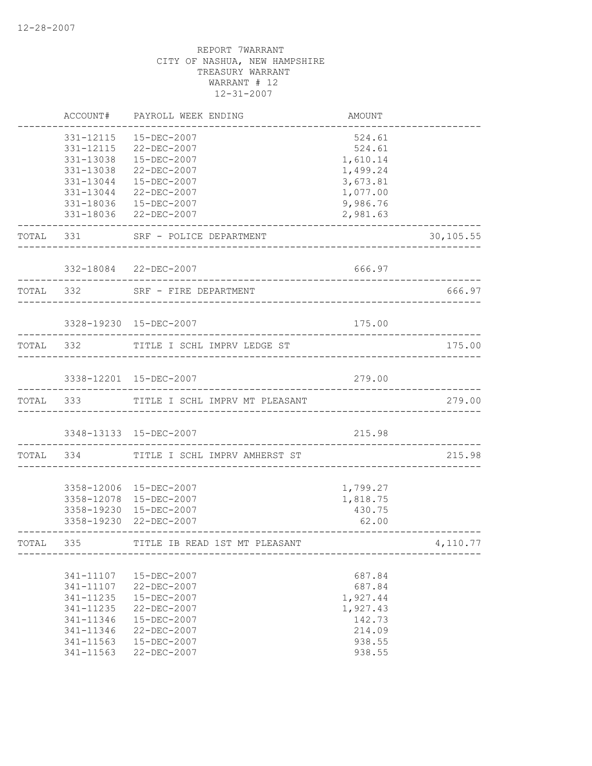|           | ACCOUNT#               | PAYROLL WEEK ENDING                                        | AMOUNT               |           |
|-----------|------------------------|------------------------------------------------------------|----------------------|-----------|
|           | 331-12115<br>331-12115 | 15-DEC-2007<br>22-DEC-2007                                 | 524.61<br>524.61     |           |
|           | 331-13038              | $15 - DEC - 2007$                                          | 1,610.14             |           |
|           | 331-13038              | 22-DEC-2007                                                | 1,499.24             |           |
|           | 331-13044              | 15-DEC-2007                                                | 3,673.81             |           |
|           | 331-13044              | 22-DEC-2007                                                | 1,077.00             |           |
|           |                        | 331-18036  15-DEC-2007<br>331-18036 22-DEC-2007            | 9,986.76<br>2,981.63 |           |
|           | TOTAL 331              | SRF - POLICE DEPARTMENT                                    |                      | 30,105.55 |
|           |                        | 332-18084 22-DEC-2007                                      | 666.97               |           |
| TOTAL 332 |                        | SRF - FIRE DEPARTMENT                                      |                      | 666.97    |
|           |                        | 3328-19230 15-DEC-2007                                     | 175.00               |           |
|           | TOTAL 332              | TITLE I SCHL IMPRV LEDGE ST                                |                      | 175.00    |
|           |                        | 3338-12201 15-DEC-2007                                     | 279.00               |           |
|           |                        | TOTAL 333 TITLE I SCHL IMPRV MT PLEASANT                   |                      | 279.00    |
|           |                        | 3348-13133 15-DEC-2007                                     | 215.98               |           |
|           | TOTAL 334              | TITLE I SCHL IMPRV AMHERST ST                              |                      | 215.98    |
|           |                        | 3358-12006 15-DEC-2007                                     | 1,799.27             |           |
|           |                        | 3358-12078 15-DEC-2007                                     | 1,818.75             |           |
|           |                        | 3358-19230 15-DEC-2007                                     | 430.75               |           |
|           |                        | 3358-19230 22-DEC-2007                                     | 62.00                |           |
| TOTAL 335 |                        | TITLE IB READ 1ST MT PLEASANT<br>_________________________ |                      | 4,110.77  |
|           |                        |                                                            |                      |           |
|           | 341-11107<br>341-11107 | 15-DEC-2007<br>22-DEC-2007                                 | 687.84<br>687.84     |           |
|           | 341-11235              | 15-DEC-2007                                                | 1,927.44             |           |
|           | 341-11235              | 22-DEC-2007                                                | 1,927.43             |           |
|           | 341-11346              | 15-DEC-2007                                                | 142.73               |           |
|           | 341-11346              | 22-DEC-2007                                                | 214.09               |           |
|           | 341-11563              | 15-DEC-2007                                                | 938.55               |           |
|           | 341-11563              | 22-DEC-2007                                                | 938.55               |           |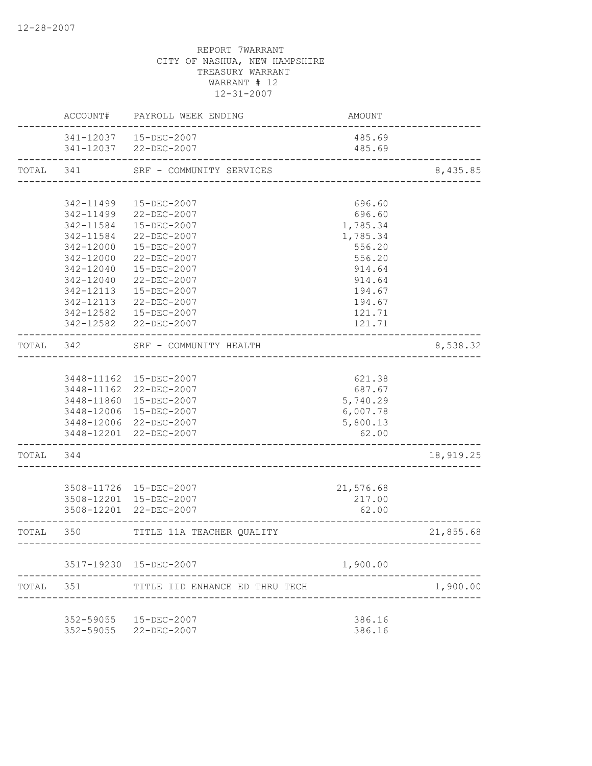|           | ACCOUNT#  | PAYROLL WEEK ENDING                                      | AMOUNT                             |           |
|-----------|-----------|----------------------------------------------------------|------------------------------------|-----------|
|           |           | 341-12037  15-DEC-2007<br>341-12037 22-DEC-2007          | 485.69<br>485.69                   |           |
| TOTAL     | 341       | SRF - COMMUNITY SERVICES                                 |                                    | 8,435.85  |
|           |           |                                                          | _________________________________  |           |
|           | 342-11499 | 15-DEC-2007                                              | 696.60                             |           |
|           | 342-11499 | 22-DEC-2007                                              | 696.60                             |           |
|           | 342-11584 | 15-DEC-2007                                              | 1,785.34                           |           |
|           | 342-11584 | 22-DEC-2007                                              | 1,785.34                           |           |
|           | 342-12000 | 15-DEC-2007                                              | 556.20                             |           |
|           | 342-12000 | 22-DEC-2007                                              | 556.20                             |           |
|           | 342-12040 | 15-DEC-2007                                              | 914.64                             |           |
|           | 342-12040 | 22-DEC-2007                                              | 914.64                             |           |
|           | 342-12113 | 15-DEC-2007                                              | 194.67                             |           |
|           | 342-12113 | 22-DEC-2007                                              | 194.67                             |           |
|           | 342-12582 | 15-DEC-2007                                              | 121.71                             |           |
|           |           | 342-12582 22-DEC-2007                                    | 121.71                             |           |
| TOTAL 342 |           | SRF - COMMUNITY HEALTH<br>______________________________ |                                    | 8,538.32  |
|           |           |                                                          |                                    |           |
|           |           | 3448-11162  15-DEC-2007                                  | 621.38                             |           |
|           |           | 3448-11162 22-DEC-2007                                   | 687.67                             |           |
|           |           | 3448-11860 15-DEC-2007                                   | 5,740.29                           |           |
|           |           | 3448-12006 15-DEC-2007                                   | 6,007.78                           |           |
|           |           | 3448-12006 22-DEC-2007                                   | 5,800.13                           |           |
|           |           | 3448-12201 22-DEC-2007                                   | 62.00                              |           |
| TOTAL     | 344       |                                                          |                                    | 18,919.25 |
|           |           |                                                          |                                    |           |
|           |           | 3508-11726 15-DEC-2007                                   | 21,576.68                          |           |
|           |           | 3508-12201 15-DEC-2007                                   | 217.00                             |           |
|           |           | 3508-12201 22-DEC-2007                                   | 62.00                              |           |
| TOTAL 350 | --------- | TITLE 11A TEACHER QUALITY                                | ---------------------------------- | 21,855.68 |
|           |           |                                                          |                                    |           |
|           |           | 3517-19230 15-DEC-2007                                   | 1,900.00                           |           |
| TOTAL     | 351       | TITLE IID ENHANCE ED THRU TECH                           |                                    | 1,900.00  |
|           |           |                                                          |                                    |           |
|           |           | 352-59055  15-DEC-2007                                   | 386.16                             |           |
|           | 352-59055 | 22-DEC-2007                                              | 386.16                             |           |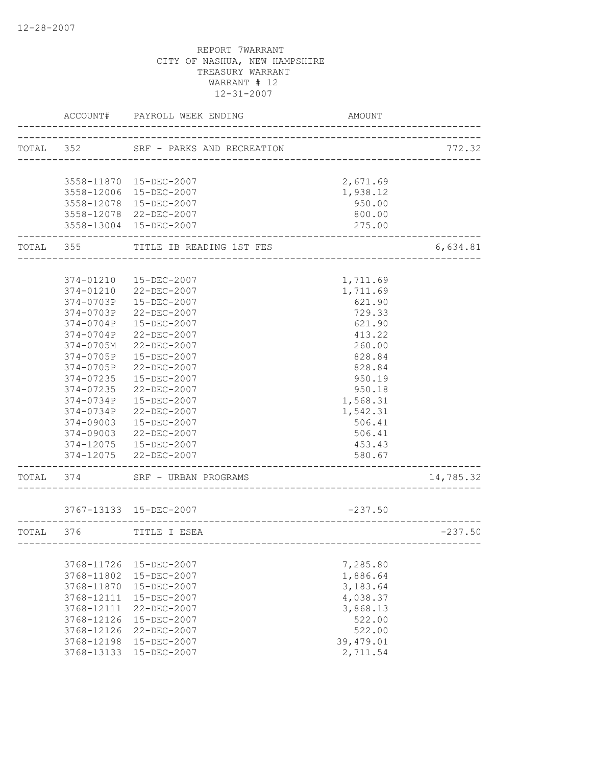|           | ACCOUNT#   | PAYROLL WEEK ENDING                | AMOUNT                           |           |
|-----------|------------|------------------------------------|----------------------------------|-----------|
| TOTAL 352 |            | SRF - PARKS AND RECREATION         | -------------------------------- | 772.32    |
|           |            | 3558-11870  15-DEC-2007            | 2,671.69                         |           |
|           |            | 3558-12006 15-DEC-2007             | 1,938.12                         |           |
|           |            | 3558-12078  15-DEC-2007            | 950.00                           |           |
|           |            | 3558-12078 22-DEC-2007             | 800.00                           |           |
|           |            | 3558-13004 15-DEC-2007             | 275.00                           |           |
|           |            | TOTAL 355 TITLE IB READING 1ST FES |                                  | 6,634.81  |
|           | 374-01210  | 15-DEC-2007                        | 1,711.69                         |           |
|           | 374-01210  | 22-DEC-2007                        | 1,711.69                         |           |
|           | 374-0703P  | 15-DEC-2007                        | 621.90                           |           |
|           | 374-0703P  | 22-DEC-2007                        | 729.33                           |           |
|           | 374-0704P  | 15-DEC-2007                        | 621.90                           |           |
|           | 374-0704P  | 22-DEC-2007                        | 413.22                           |           |
|           | 374-0705M  | 22-DEC-2007                        | 260.00                           |           |
|           | 374-0705P  | 15-DEC-2007                        | 828.84                           |           |
|           | 374-0705P  | 22-DEC-2007                        | 828.84                           |           |
|           | 374-07235  | 15-DEC-2007                        | 950.19                           |           |
|           | 374-07235  | $22 - DEC - 2007$                  | 950.18                           |           |
|           | 374-0734P  | 15-DEC-2007                        | 1,568.31                         |           |
|           | 374-0734P  | 22-DEC-2007                        | 1,542.31                         |           |
|           | 374-09003  | 15-DEC-2007                        | 506.41                           |           |
|           |            | 374-09003 22-DEC-2007              | 506.41                           |           |
|           |            | 374-12075  15-DEC-2007             | 453.43                           |           |
|           |            | 374-12075 22-DEC-2007              | 580.67<br>___________________    |           |
| TOTAL 374 |            | SRF - URBAN PROGRAMS               |                                  | 14,785.32 |
|           |            | 3767-13133 15-DEC-2007             | $-237.50$                        |           |
| TOTAL 376 |            | TITLE I ESEA                       |                                  | $-237.50$ |
|           |            |                                    |                                  |           |
|           | 3768-11726 | 15-DEC-2007                        | 7,285.80                         |           |
|           | 3768-11802 | 15-DEC-2007                        | 1,886.64                         |           |
|           | 3768-11870 | 15-DEC-2007                        | 3,183.64                         |           |
|           | 3768-12111 | 15-DEC-2007                        | 4,038.37                         |           |
|           | 3768-12111 | 22-DEC-2007                        | 3,868.13                         |           |
|           | 3768-12126 | $15 - DEC - 2007$                  | 522.00                           |           |
|           | 3768-12126 | 22-DEC-2007                        | 522.00                           |           |
|           | 3768-12198 | 15-DEC-2007                        | 39,479.01                        |           |
|           | 3768-13133 | $15 - DEC - 2007$                  | 2,711.54                         |           |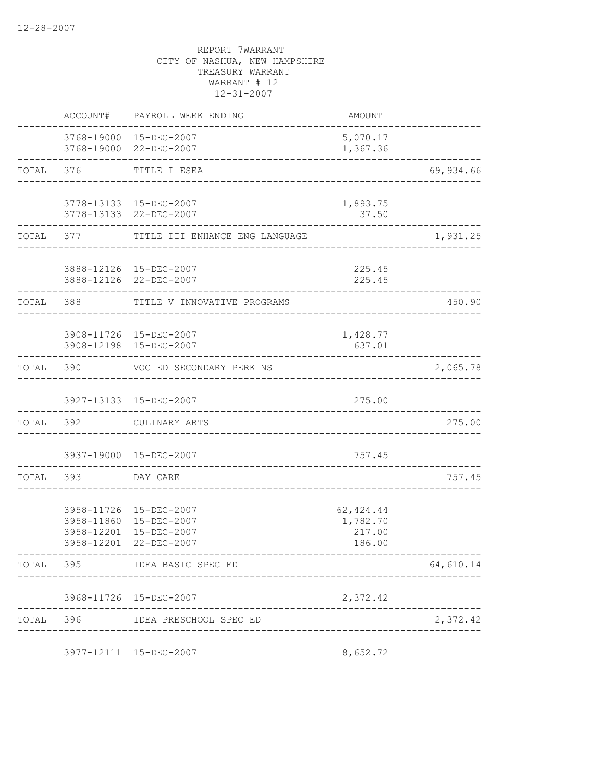|                          | ACCOUNT# PAYROLL WEEK ENDING                                                   | AMOUNT                                           |                               |
|--------------------------|--------------------------------------------------------------------------------|--------------------------------------------------|-------------------------------|
|                          | 3768-19000 15-DEC-2007<br>3768-19000 22-DEC-2007                               | 5,070.17<br>1,367.36                             |                               |
|                          | TOTAL 376 TITLE I ESEA                                                         |                                                  | ----------------<br>69,934.66 |
|                          | 3778-13133 15-DEC-2007<br>3778-13133 22-DEC-2007                               | 1,893.75<br>37.50                                |                               |
|                          | TOTAL 377 TITLE III ENHANCE ENG LANGUAGE                                       |                                                  | 1,931.25                      |
|                          | 3888-12126 15-DEC-2007<br>3888-12126 22-DEC-2007                               | 225.45<br>225.45<br>---------------------------- |                               |
| TOTAL 388                | TITLE V INNOVATIVE PROGRAMS                                                    |                                                  | 450.90                        |
|                          | 3908-11726 15-DEC-2007<br>3908-12198 15-DEC-2007                               | 1,428.77<br>637.01                               |                               |
|                          | TOTAL 390 VOC ED SECONDARY PERKINS                                             |                                                  | 2,065.78                      |
|                          | 3927-13133 15-DEC-2007                                                         | 275.00                                           |                               |
|                          | TOTAL 392 CULINARY ARTS                                                        |                                                  | 275.00<br>--------            |
|                          | 3937-19000 15-DEC-2007<br>__________________________                           | 757.45                                           |                               |
| TOTAL 393 DAY CARE       |                                                                                | <u> 2000 - 2000 - 2000 - 2</u>                   | 757.45                        |
| 3958-12201<br>3958-12201 | 3958-11726 15-DEC-2007<br>3958-11860 15-DEC-2007<br>15-DEC-2007<br>22-DEC-2007 | 62, 424.44<br>1,782.70<br>217.00<br>186.00       |                               |
|                          | ----------------------<br>TOTAL 395 IDEA BASIC SPEC ED                         |                                                  | 64,610.14                     |
|                          | 3968-11726 15-DEC-2007                                                         | 2,372.42                                         |                               |
|                          | TOTAL 396 IDEA PRESCHOOL SPEC ED                                               |                                                  | 2,372.42                      |
|                          | 3977-12111 15-DEC-2007                                                         | 8,652.72                                         |                               |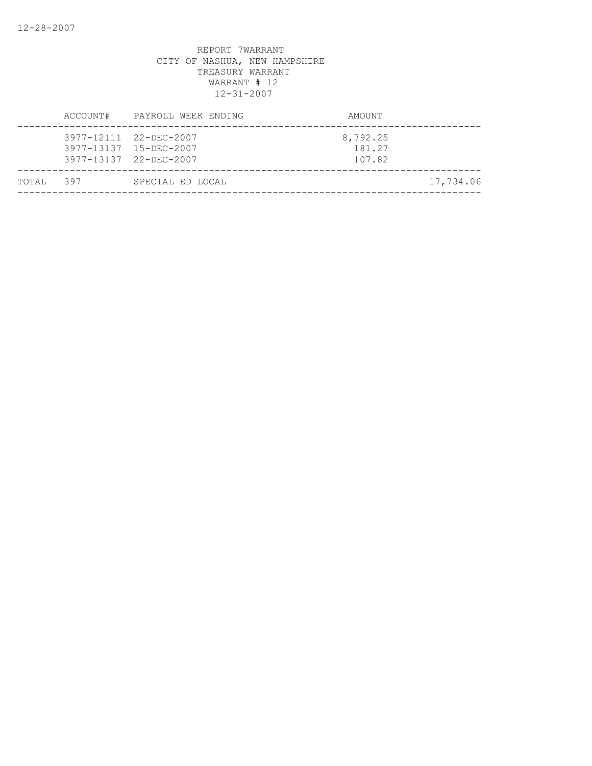|           | ACCOUNT# | PAYROLL WEEK ENDING                                                        | AMOUNT                       |           |
|-----------|----------|----------------------------------------------------------------------------|------------------------------|-----------|
|           |          | 3977-12111 22-DEC-2007<br>3977-13137 15-DEC-2007<br>3977-13137 22-DEC-2007 | 8,792.25<br>181.27<br>107.82 |           |
| TOTAL 397 |          | SPECIAL ED LOCAL                                                           |                              | 17,734.06 |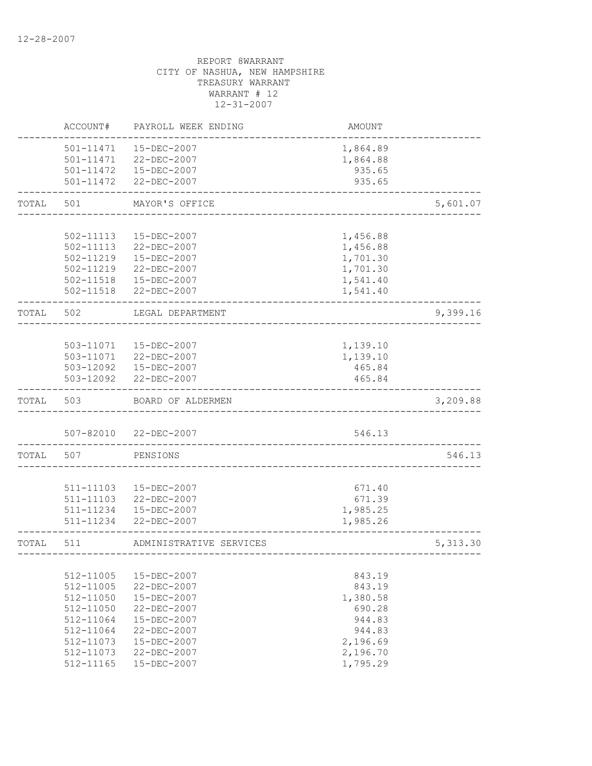|           | ACCOUNT#               | PAYROLL WEEK ENDING                             | <b>AMOUNT</b>        |          |
|-----------|------------------------|-------------------------------------------------|----------------------|----------|
|           | 501-11471              | 15-DEC-2007<br>501-11471 22-DEC-2007            | 1,864.89<br>1,864.88 |          |
|           |                        | 501-11472  15-DEC-2007<br>501-11472 22-DEC-2007 | 935.65<br>935.65     |          |
| TOTAL     | 501                    | MAYOR'S OFFICE                                  |                      | 5,601.07 |
|           | 502-11113              | 15-DEC-2007                                     | 1,456.88             |          |
|           |                        | 502-11113 22-DEC-2007                           | 1,456.88             |          |
|           | 502-11219              | 15-DEC-2007                                     | 1,701.30             |          |
|           | 502-11219              | 22-DEC-2007                                     | 1,701.30             |          |
|           |                        | 502-11518  15-DEC-2007<br>502-11518 22-DEC-2007 | 1,541.40<br>1,541.40 |          |
| TOTAL 502 |                        | LEGAL DEPARTMENT                                |                      | 9,399.16 |
|           |                        |                                                 |                      |          |
|           |                        | 503-11071  15-DEC-2007                          | 1,139.10             |          |
|           |                        | 503-11071 22-DEC-2007<br>503-12092  15-DEC-2007 | 1,139.10<br>465.84   |          |
|           |                        | 503-12092 22-DEC-2007                           | 465.84               |          |
| TOTAL     | 503                    | BOARD OF ALDERMEN                               |                      | 3,209.88 |
|           |                        | 507-82010 22-DEC-2007                           | 546.13               |          |
| TOTAL     | 507                    | PENSIONS                                        |                      | 546.13   |
|           |                        |                                                 |                      |          |
|           | 511-11103<br>511-11103 | 15-DEC-2007<br>22-DEC-2007                      | 671.40<br>671.39     |          |
|           | 511-11234              | 15-DEC-2007                                     | 1,985.25             |          |
|           | 511-11234              | $22 - DEC - 2007$                               | 1,985.26             |          |
| TOTAL     | 511                    | ADMINISTRATIVE SERVICES                         |                      | 5,313.30 |
|           | 512-11005              | 15-DEC-2007                                     | 843.19               |          |
|           | 512-11005              | 22-DEC-2007                                     | 843.19               |          |
|           | 512-11050              | 15-DEC-2007                                     | 1,380.58             |          |
|           | 512-11050              | $22 - DEC - 2007$                               | 690.28               |          |
|           | 512-11064              | 15-DEC-2007                                     | 944.83               |          |
|           | 512-11064              | $22 - DEC - 2007$                               | 944.83               |          |
|           | 512-11073              | 15-DEC-2007                                     | 2,196.69             |          |
|           | 512-11073              | 22-DEC-2007                                     | 2,196.70             |          |
|           | 512-11165              | 15-DEC-2007                                     | 1,795.29             |          |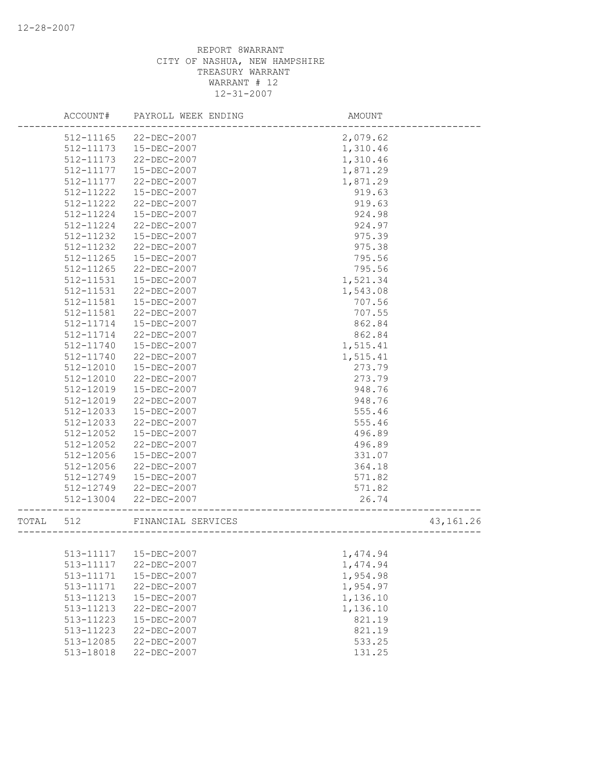|       | ACCOUNT#      | PAYROLL WEEK ENDING | AMOUNT                           |           |
|-------|---------------|---------------------|----------------------------------|-----------|
|       | 512-11165     | 22-DEC-2007         | 2,079.62                         |           |
|       | 512-11173     | 15-DEC-2007         | 1,310.46                         |           |
|       | 512-11173     | $22 - DEC - 2007$   | 1,310.46                         |           |
|       | 512-11177     | 15-DEC-2007         | 1,871.29                         |           |
|       | 512-11177     | 22-DEC-2007         | 1,871.29                         |           |
|       | 512-11222     | 15-DEC-2007         | 919.63                           |           |
|       | 512-11222     | 22-DEC-2007         | 919.63                           |           |
|       | 512-11224     | 15-DEC-2007         | 924.98                           |           |
|       | 512-11224     | 22-DEC-2007         | 924.97                           |           |
|       | 512-11232     | 15-DEC-2007         | 975.39                           |           |
|       | 512-11232     | 22-DEC-2007         | 975.38                           |           |
|       | $512 - 11265$ | $15 - DEC - 2007$   | 795.56                           |           |
|       | 512-11265     | 22-DEC-2007         | 795.56                           |           |
|       | 512-11531     | 15-DEC-2007         | 1,521.34                         |           |
|       | 512-11531     | 22-DEC-2007         | 1,543.08                         |           |
|       | 512-11581     | 15-DEC-2007         | 707.56                           |           |
|       | 512-11581     | 22-DEC-2007         | 707.55                           |           |
|       | 512-11714     | 15-DEC-2007         | 862.84                           |           |
|       | 512-11714     | 22-DEC-2007         | 862.84                           |           |
|       | 512-11740     | 15-DEC-2007         | 1,515.41                         |           |
|       | 512-11740     | $22 - DEC - 2007$   | 1,515.41                         |           |
|       | 512-12010     | 15-DEC-2007         | 273.79                           |           |
|       | 512-12010     | 22-DEC-2007         | 273.79                           |           |
|       | 512-12019     | 15-DEC-2007         | 948.76                           |           |
|       | 512-12019     | 22-DEC-2007         | 948.76                           |           |
|       | 512-12033     | 15-DEC-2007         | 555.46                           |           |
|       | 512-12033     | 22-DEC-2007         | 555.46                           |           |
|       | 512-12052     | 15-DEC-2007         | 496.89                           |           |
|       | 512-12052     | 22-DEC-2007         | 496.89                           |           |
|       | 512-12056     | 15-DEC-2007         | 331.07                           |           |
|       | 512-12056     | 22-DEC-2007         | 364.18                           |           |
|       | 512-12749     | 15-DEC-2007         | 571.82                           |           |
|       | 512-12749     | 22-DEC-2007         | 571.82                           |           |
|       | 512-13004     | 22-DEC-2007         | 26.74<br>----------------------- |           |
| TOTAL | 512           | FINANCIAL SERVICES  | __________________               | 43,161.26 |
|       |               |                     |                                  |           |
|       | 513-11117     | 15-DEC-2007         | 1,474.94                         |           |
|       | 513-11117     | 22-DEC-2007         | 1,474.94                         |           |
|       | 513-11171     | 15-DEC-2007         | 1,954.98                         |           |
|       | 513-11171     | 22-DEC-2007         | 1,954.97                         |           |
|       | 513-11213     | 15-DEC-2007         | 1,136.10                         |           |
|       | 513-11213     | 22-DEC-2007         | 1,136.10                         |           |
|       | 513-11223     | 15-DEC-2007         | 821.19                           |           |
|       | 513-11223     | 22-DEC-2007         | 821.19                           |           |
|       | 513-12085     | 22-DEC-2007         | 533.25                           |           |
|       | 513-18018     | 22-DEC-2007         | 131.25                           |           |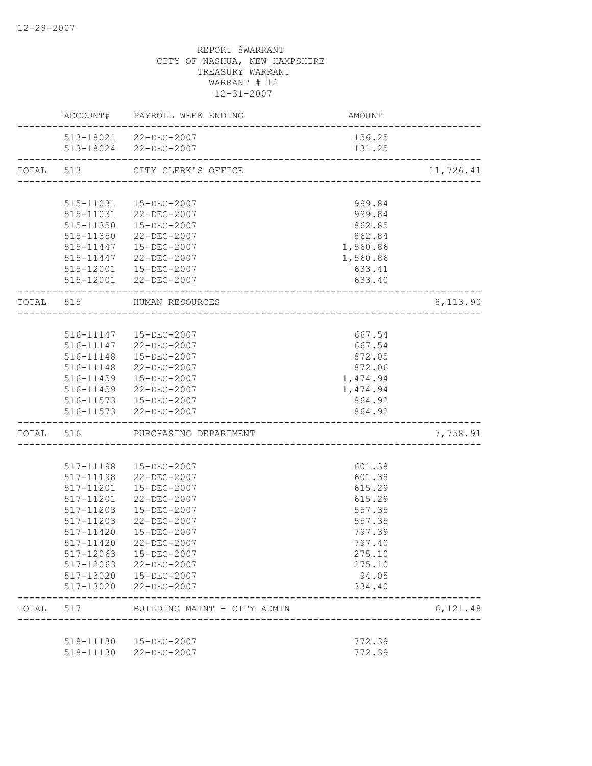|       |                        | ACCOUNT# PAYROLL WEEK ENDING                            | AMOUNT           |           |
|-------|------------------------|---------------------------------------------------------|------------------|-----------|
|       |                        | 513-18021 22-DEC-2007<br>513-18024 22-DEC-2007          | 156.25<br>131.25 |           |
|       |                        | TOTAL 513 CITY CLERK'S OFFICE                           |                  | 11,726.41 |
|       |                        |                                                         |                  |           |
|       |                        | 515-11031  15-DEC-2007                                  | 999.84           |           |
|       |                        | 515-11031 22-DEC-2007                                   | 999.84           |           |
|       |                        | 515-11350  15-DEC-2007                                  | 862.85           |           |
|       |                        | 515-11350 22-DEC-2007                                   | 862.84           |           |
|       |                        | 515-11447  15-DEC-2007                                  | 1,560.86         |           |
|       |                        | 515-11447 22-DEC-2007                                   | 1,560.86         |           |
|       |                        | 515-12001  15-DEC-2007                                  | 633.41           |           |
|       |                        | 515-12001 22-DEC-2007<br>-----------------------------  | 633.40           |           |
|       |                        | TOTAL 515 HUMAN RESOURCES<br>-------------------------- |                  | 8,113.90  |
|       |                        |                                                         |                  |           |
|       |                        | 516-11147  15-DEC-2007                                  | 667.54           |           |
|       |                        | 516-11147 22-DEC-2007                                   | 667.54           |           |
|       |                        | 516-11148  15-DEC-2007                                  | 872.05           |           |
|       |                        | 516-11148 22-DEC-2007                                   | 872.06           |           |
|       |                        | 516-11459  15-DEC-2007                                  | 1,474.94         |           |
|       |                        | 516-11459 22-DEC-2007                                   | 1,474.94         |           |
|       |                        | 516-11573  15-DEC-2007                                  | 864.92           |           |
|       |                        | 516-11573 22-DEC-2007                                   | 864.92           |           |
|       |                        | TOTAL 516 PURCHASING DEPARTMENT                         |                  | 7,758.91  |
|       |                        |                                                         |                  |           |
|       |                        | 517-11198  15-DEC-2007                                  | 601.38           |           |
|       |                        | 517-11198 22-DEC-2007                                   | 601.38           |           |
|       | 517-11201              | 15-DEC-2007                                             | 615.29           |           |
|       | 517-11201              | 22-DEC-2007                                             | 615.29           |           |
|       | 517-11203              | 15-DEC-2007                                             | 557.35           |           |
|       | 517-11203              | 22-DEC-2007                                             | 557.35           |           |
|       | 517-11420              | 15-DEC-2007                                             | 797.39           |           |
|       |                        | 517-11420 22-DEC-2007                                   | 797.40           |           |
|       | 517-12063              | 15-DEC-2007                                             | 275.10           |           |
|       | 517-12063              | 22-DEC-2007                                             | 275.10<br>94.05  |           |
|       | 517-13020<br>517-13020 | 15-DEC-2007<br>$22 - DEC - 2007$                        | 334.40           |           |
| TOTAL | 517                    | BUILDING MAINT - CITY ADMIN                             |                  | 6,121.48  |
|       |                        |                                                         |                  |           |
|       | 518-11130              | 15-DEC-2007                                             | 772.39           |           |
|       | 518-11130              | 22-DEC-2007                                             | 772.39           |           |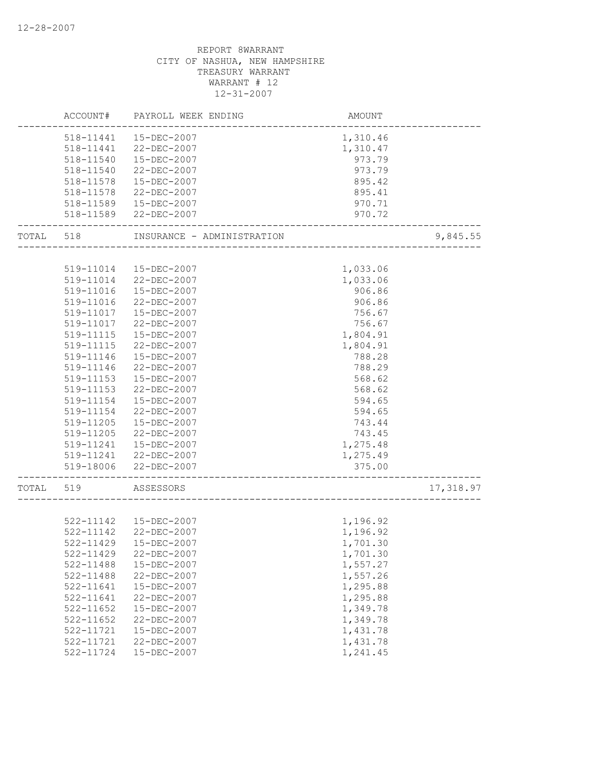|           | ACCOUNT#      | PAYROLL WEEK ENDING        | AMOUNT                                |           |
|-----------|---------------|----------------------------|---------------------------------------|-----------|
|           |               | 518-11441  15-DEC-2007     | 1,310.46                              |           |
|           | 518-11441     | 22-DEC-2007                | 1,310.47                              |           |
|           | 518-11540     | 15-DEC-2007                | 973.79                                |           |
|           | 518-11540     | 22-DEC-2007                | 973.79                                |           |
|           | 518-11578     | 15-DEC-2007                | 895.42                                |           |
|           | 518-11578     | 22-DEC-2007                | 895.41                                |           |
|           | 518-11589     | 15-DEC-2007                | 970.71                                |           |
|           |               | 518-11589 22-DEC-2007      | 970.72                                |           |
| TOTAL 518 |               | INSURANCE - ADMINISTRATION |                                       | 9,845.55  |
|           | 519-11014     | 15-DEC-2007                | 1,033.06                              |           |
|           | 519-11014     | 22-DEC-2007                | 1,033.06                              |           |
|           | 519-11016     | 15-DEC-2007                | 906.86                                |           |
|           | 519-11016     | 22-DEC-2007                | 906.86                                |           |
|           | 519-11017     | 15-DEC-2007                | 756.67                                |           |
|           | 519-11017     | 22-DEC-2007                | 756.67                                |           |
|           | 519-11115     | 15-DEC-2007                | 1,804.91                              |           |
|           | 519-11115     | 22-DEC-2007                | 1,804.91                              |           |
|           | 519-11146     | 15-DEC-2007                | 788.28                                |           |
|           | 519-11146     | 22-DEC-2007                | 788.29                                |           |
|           | 519-11153     | 15-DEC-2007                | 568.62                                |           |
|           | 519-11153     | 22-DEC-2007                | 568.62                                |           |
|           | 519-11154     | 15-DEC-2007                | 594.65                                |           |
|           | 519-11154     | 22-DEC-2007                | 594.65                                |           |
|           | 519-11205     | 15-DEC-2007                | 743.44                                |           |
|           | 519-11205     | 22-DEC-2007                | 743.45                                |           |
|           | 519-11241     | 15-DEC-2007                | 1,275.48                              |           |
|           |               | 519-11241 22-DEC-2007      | 1,275.49                              |           |
|           |               | 519-18006 22-DEC-2007      | 375.00<br>--------------------------- |           |
| TOTAL 519 |               | ASSESSORS                  |                                       | 17,318.97 |
|           |               |                            |                                       |           |
|           |               | 522-11142  15-DEC-2007     | 1,196.92                              |           |
|           |               | 522-11142 22-DEC-2007      | 1,196.92                              |           |
|           | 522-11429     | 15-DEC-2007                | 1,701.30                              |           |
|           | 522-11429     | 22-DEC-2007                | 1,701.30                              |           |
|           | 522-11488     | 15-DEC-2007                | 1,557.27                              |           |
|           | 522-11488     | 22-DEC-2007                | 1,557.26                              |           |
|           | 522-11641     | 15-DEC-2007                | 1,295.88                              |           |
|           | 522-11641     | 22-DEC-2007                | 1,295.88                              |           |
|           | $522 - 11652$ | 15-DEC-2007                | 1,349.78                              |           |
|           | 522-11652     | 22-DEC-2007                | 1,349.78                              |           |
|           | 522-11721     | 15-DEC-2007                | 1,431.78                              |           |
|           | 522-11721     | 22-DEC-2007                | 1,431.78                              |           |
|           | 522-11724     | 15-DEC-2007                | 1,241.45                              |           |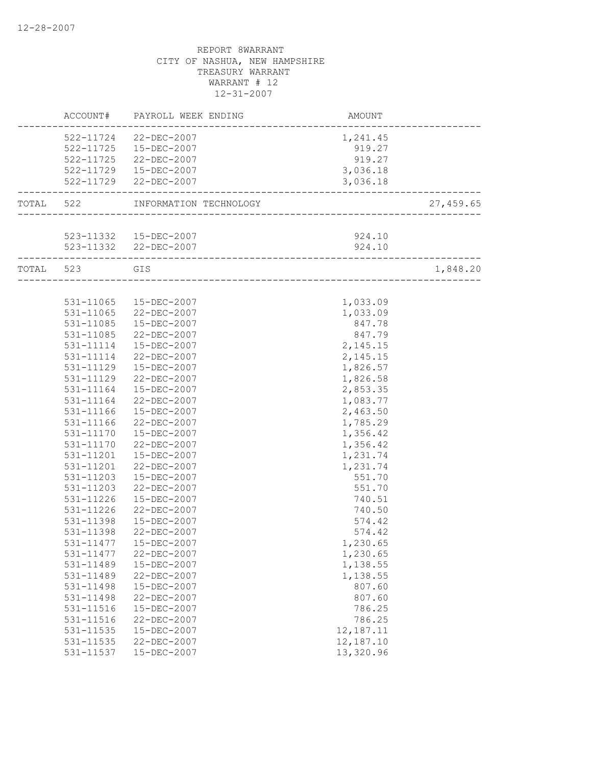|           | ACCOUNT#  | PAYROLL WEEK ENDING    | AMOUNT                     |           |
|-----------|-----------|------------------------|----------------------------|-----------|
|           |           | 522-11724 22-DEC-2007  | 1,241.45                   |           |
|           |           | 522-11725  15-DEC-2007 | 919.27                     |           |
|           |           | 522-11725 22-DEC-2007  | 919.27                     |           |
|           |           | 522-11729  15-DEC-2007 | 3,036.18                   |           |
|           |           | 522-11729 22-DEC-2007  | 3,036.18                   |           |
| TOTAL 522 |           | INFORMATION TECHNOLOGY |                            | 27,459.65 |
|           |           |                        |                            |           |
|           |           | 523-11332  15-DEC-2007 | 924.10                     |           |
|           |           | 523-11332 22-DEC-2007  | 924.10                     |           |
| TOTAL 523 |           | GIS                    |                            | 1,848.20  |
|           |           |                        | __________________________ |           |
|           | 531-11065 | 15-DEC-2007            | 1,033.09                   |           |
|           | 531-11065 | 22-DEC-2007            | 1,033.09                   |           |
|           | 531-11085 | 15-DEC-2007            | 847.78                     |           |
|           | 531-11085 | 22-DEC-2007            | 847.79                     |           |
|           |           | 531-11114  15-DEC-2007 | 2,145.15                   |           |
|           | 531-11114 | 22-DEC-2007            | 2,145.15                   |           |
|           | 531-11129 | 15-DEC-2007            | 1,826.57                   |           |
|           | 531-11129 | 22-DEC-2007            | 1,826.58                   |           |
|           | 531-11164 | 15-DEC-2007            | 2,853.35                   |           |
|           | 531-11164 | 22-DEC-2007            | 1,083.77                   |           |
|           | 531-11166 | 15-DEC-2007            | 2,463.50                   |           |
|           | 531-11166 | 22-DEC-2007            | 1,785.29                   |           |
|           | 531-11170 | 15-DEC-2007            | 1,356.42                   |           |
|           | 531-11170 | 22-DEC-2007            | 1,356.42                   |           |
|           | 531-11201 | 15-DEC-2007            | 1,231.74                   |           |
|           | 531-11201 | 22-DEC-2007            | 1,231.74                   |           |
|           | 531-11203 | 15-DEC-2007            | 551.70                     |           |
|           | 531-11203 | 22-DEC-2007            | 551.70                     |           |
|           | 531-11226 | 15-DEC-2007            | 740.51                     |           |
|           | 531-11226 | 22-DEC-2007            | 740.50                     |           |
|           | 531-11398 | 15-DEC-2007            | 574.42                     |           |
|           | 531-11398 | $22 - DEC - 2007$      | 574.42                     |           |
|           | 531-11477 | 15-DEC-2007            | 1,230.65                   |           |
|           | 531-11477 | 22-DEC-2007            | 1,230.65                   |           |
|           | 531-11489 | 15-DEC-2007            | 1,138.55                   |           |
|           | 531-11489 | 22-DEC-2007            | 1,138.55                   |           |
|           | 531-11498 | 15-DEC-2007            | 807.60                     |           |
|           | 531-11498 | 22-DEC-2007            | 807.60                     |           |
|           | 531-11516 | 15-DEC-2007            | 786.25                     |           |
|           | 531-11516 | 22-DEC-2007            | 786.25                     |           |
|           | 531-11535 | 15-DEC-2007            | 12,187.11                  |           |
|           | 531-11535 | 22-DEC-2007            | 12,187.10                  |           |
|           | 531-11537 | 15-DEC-2007            | 13,320.96                  |           |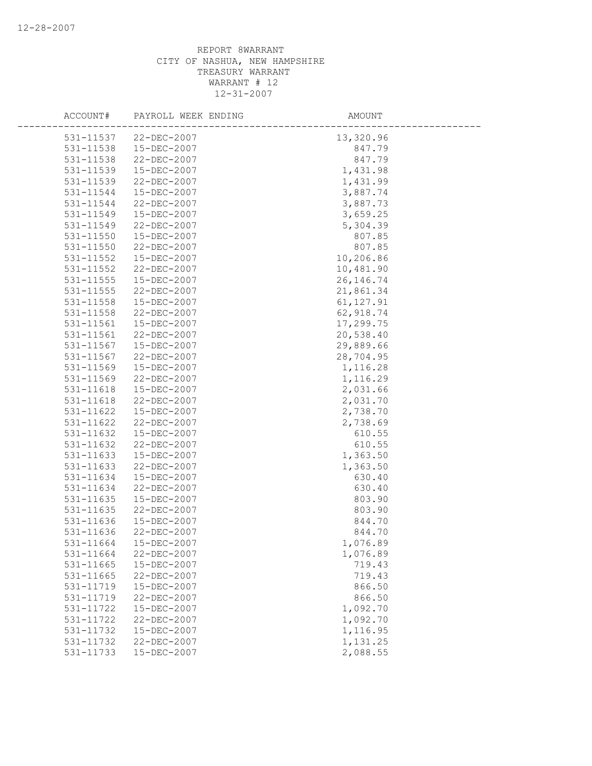| ACCOUNT#      | PAYROLL WEEK ENDING | AMOUNT     |  |
|---------------|---------------------|------------|--|
| 531-11537     | 22-DEC-2007         | 13,320.96  |  |
| 531-11538     | 15-DEC-2007         | 847.79     |  |
| 531-11538     | 22-DEC-2007         | 847.79     |  |
| 531-11539     | 15-DEC-2007         | 1,431.98   |  |
| 531-11539     | 22-DEC-2007         | 1,431.99   |  |
| 531-11544     | 15-DEC-2007         | 3,887.74   |  |
| 531-11544     | 22-DEC-2007         | 3,887.73   |  |
| 531-11549     | 15-DEC-2007         | 3,659.25   |  |
| 531-11549     | 22-DEC-2007         | 5,304.39   |  |
| $531 - 11550$ | 15-DEC-2007         | 807.85     |  |
| $531 - 11550$ | 22-DEC-2007         | 807.85     |  |
| 531-11552     | 15-DEC-2007         | 10,206.86  |  |
| 531-11552     | 22-DEC-2007         | 10,481.90  |  |
| 531-11555     | 15-DEC-2007         | 26, 146.74 |  |
| 531-11555     | 22-DEC-2007         | 21,861.34  |  |
| 531-11558     | 15-DEC-2007         | 61, 127.91 |  |
| 531-11558     | 22-DEC-2007         | 62, 918.74 |  |
| 531-11561     | 15-DEC-2007         | 17,299.75  |  |
| 531-11561     | $22 - DEC - 2007$   | 20,538.40  |  |
| 531-11567     | 15-DEC-2007         | 29,889.66  |  |
| 531-11567     | 22-DEC-2007         | 28,704.95  |  |
| 531-11569     | 15-DEC-2007         | 1,116.28   |  |
| 531-11569     | 22-DEC-2007         | 1,116.29   |  |
| 531-11618     | 15-DEC-2007         | 2,031.66   |  |
| 531-11618     | 22-DEC-2007         | 2,031.70   |  |
| 531-11622     | 15-DEC-2007         | 2,738.70   |  |
| 531-11622     | 22-DEC-2007         | 2,738.69   |  |
| 531-11632     | 15-DEC-2007         | 610.55     |  |
| 531-11632     | 22-DEC-2007         | 610.55     |  |
| 531-11633     | 15-DEC-2007         | 1,363.50   |  |
| 531-11633     | 22-DEC-2007         | 1,363.50   |  |
| 531-11634     | 15-DEC-2007         | 630.40     |  |
| 531-11634     | 22-DEC-2007         | 630.40     |  |
| 531-11635     | 15-DEC-2007         | 803.90     |  |
| 531-11635     | 22-DEC-2007         | 803.90     |  |
| 531-11636     | 15-DEC-2007         | 844.70     |  |
| 531-11636     | 22-DEC-2007         | 844.70     |  |
| 531-11664     | 15-DEC-2007         | 1,076.89   |  |
| 531-11664     | 22-DEC-2007         | 1,076.89   |  |
| 531-11665     | 15-DEC-2007         | 719.43     |  |
| 531-11665     | 22-DEC-2007         | 719.43     |  |
| 531-11719     | 15-DEC-2007         | 866.50     |  |
| 531-11719     | 22-DEC-2007         | 866.50     |  |
| 531-11722     | 15-DEC-2007         | 1,092.70   |  |
| 531-11722     | 22-DEC-2007         | 1,092.70   |  |
| 531-11732     | 15-DEC-2007         | 1,116.95   |  |
| 531-11732     | 22-DEC-2007         | 1,131.25   |  |
| 531-11733     | 15-DEC-2007         | 2,088.55   |  |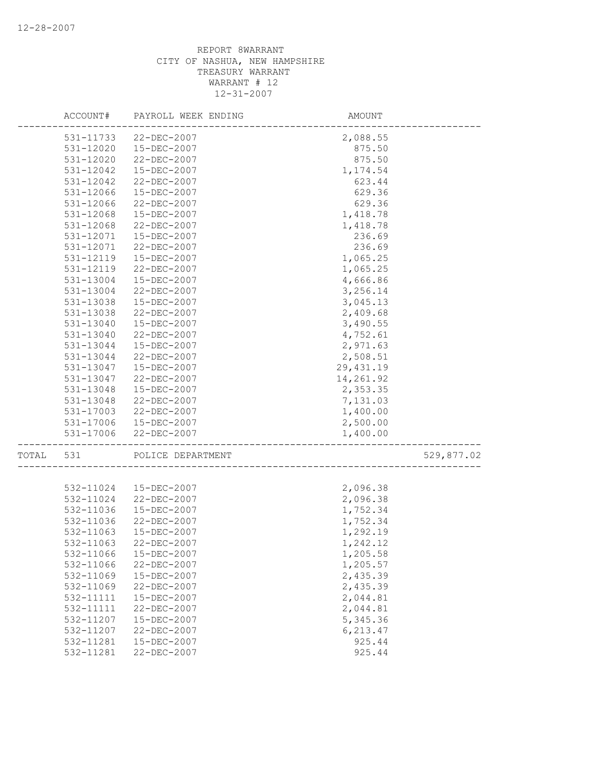|       | ACCOUNT#      | PAYROLL WEEK ENDING   | AMOUNT     |            |
|-------|---------------|-----------------------|------------|------------|
|       | 531-11733     | 22-DEC-2007           | 2,088.55   |            |
|       | 531-12020     | 15-DEC-2007           | 875.50     |            |
|       | 531-12020     | 22-DEC-2007           | 875.50     |            |
|       | 531-12042     | 15-DEC-2007           | 1,174.54   |            |
|       | 531-12042     | 22-DEC-2007           | 623.44     |            |
|       | 531-12066     | 15-DEC-2007           | 629.36     |            |
|       | 531-12066     | 22-DEC-2007           | 629.36     |            |
|       | 531-12068     | 15-DEC-2007           | 1,418.78   |            |
|       | 531-12068     | $22 - DEC - 2007$     | 1,418.78   |            |
|       | 531-12071     | 15-DEC-2007           | 236.69     |            |
|       | 531-12071     | 22-DEC-2007           | 236.69     |            |
|       | 531-12119     | 15-DEC-2007           | 1,065.25   |            |
|       | 531-12119     | 22-DEC-2007           | 1,065.25   |            |
|       | 531-13004     | 15-DEC-2007           | 4,666.86   |            |
|       | 531-13004     | 22-DEC-2007           | 3,256.14   |            |
|       | 531-13038     | 15-DEC-2007           | 3,045.13   |            |
|       | 531-13038     | 22-DEC-2007           | 2,409.68   |            |
|       | $531 - 13040$ | 15-DEC-2007           | 3,490.55   |            |
|       | 531-13040     | 22-DEC-2007           | 4,752.61   |            |
|       | 531-13044     | 15-DEC-2007           | 2,971.63   |            |
|       | 531-13044     | 22-DEC-2007           | 2,508.51   |            |
|       | 531-13047     | 15-DEC-2007           | 29, 431.19 |            |
|       | 531-13047     | 22-DEC-2007           | 14,261.92  |            |
|       | 531-13048     | 15-DEC-2007           | 2,353.35   |            |
|       | 531-13048     | 22-DEC-2007           | 7,131.03   |            |
|       | 531-17003     | 22-DEC-2007           | 1,400.00   |            |
|       |               | 531-17006 15-DEC-2007 | 2,500.00   |            |
|       | 531-17006     | 22-DEC-2007           | 1,400.00   |            |
| TOTAL | 531           | POLICE DEPARTMENT     |            | 529,877.02 |
|       |               |                       |            |            |
|       | 532-11024     | 15-DEC-2007           | 2,096.38   |            |
|       | 532-11024     | 22-DEC-2007           | 2,096.38   |            |
|       | 532-11036     | 15-DEC-2007           | 1,752.34   |            |
|       | 532-11036     | 22-DEC-2007           | 1,752.34   |            |
|       | 532-11063     | 15-DEC-2007           | 1,292.19   |            |
|       | 532-11063     | $22 - DEC - 2007$     | 1,242.12   |            |
|       | 532-11066     | 15-DEC-2007           | 1,205.58   |            |
|       | 532-11066     | 22-DEC-2007           | 1,205.57   |            |
|       | 532-11069     | 15-DEC-2007           | 2,435.39   |            |
|       | 532-11069     | 22-DEC-2007           | 2,435.39   |            |
|       | 532-11111     | 15-DEC-2007           | 2,044.81   |            |
|       | 532-11111     | 22-DEC-2007           | 2,044.81   |            |
|       | 532-11207     | 15-DEC-2007           | 5,345.36   |            |
|       | 532-11207     | 22-DEC-2007           | 6,213.47   |            |
|       | 532-11281     | $15 - DEC - 2007$     | 925.44     |            |
|       | 532-11281     | 22-DEC-2007           | 925.44     |            |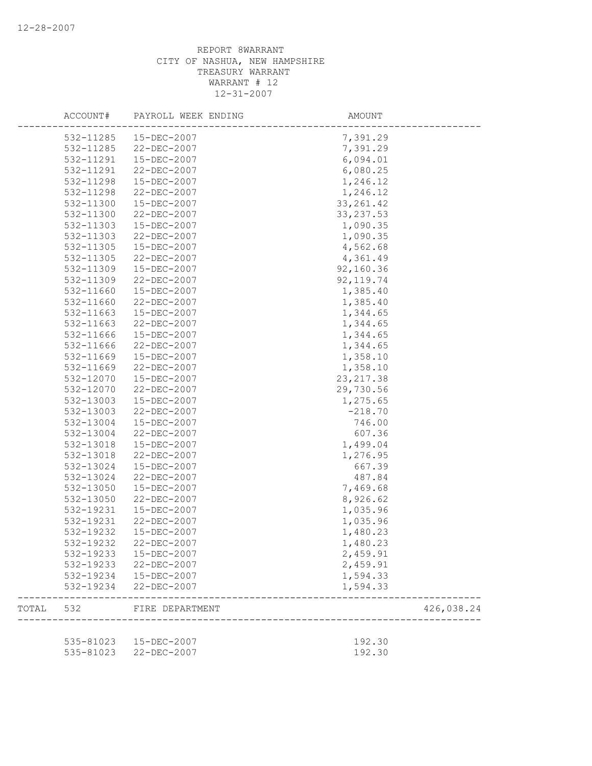|       | ACCOUNT#  | PAYROLL WEEK ENDING                             | AMOUNT             |            |
|-------|-----------|-------------------------------------------------|--------------------|------------|
|       | 532-11285 | 15-DEC-2007                                     | 7,391.29           |            |
|       | 532-11285 | 22-DEC-2007                                     | 7,391.29           |            |
|       | 532-11291 | 15-DEC-2007                                     | 6,094.01           |            |
|       | 532-11291 | $22 - DEC - 2007$                               | 6,080.25           |            |
|       | 532-11298 | 15-DEC-2007                                     | 1,246.12           |            |
|       | 532-11298 | 22-DEC-2007                                     | 1,246.12           |            |
|       | 532-11300 | 15-DEC-2007                                     | 33, 261.42         |            |
|       | 532-11300 | 22-DEC-2007                                     | 33, 237.53         |            |
|       | 532-11303 | 15-DEC-2007                                     | 1,090.35           |            |
|       | 532-11303 | 22-DEC-2007                                     | 1,090.35           |            |
|       | 532-11305 | 15-DEC-2007                                     | 4,562.68           |            |
|       | 532-11305 | 22-DEC-2007                                     | 4,361.49           |            |
|       | 532-11309 | 15-DEC-2007                                     | 92,160.36          |            |
|       | 532-11309 | 22-DEC-2007                                     | 92, 119.74         |            |
|       | 532-11660 | 15-DEC-2007                                     | 1,385.40           |            |
|       | 532-11660 | 22-DEC-2007                                     | 1,385.40           |            |
|       | 532-11663 | 15-DEC-2007                                     | 1,344.65           |            |
|       | 532-11663 | 22-DEC-2007                                     | 1,344.65           |            |
|       | 532-11666 | 15-DEC-2007                                     | 1,344.65           |            |
|       | 532-11666 | $22 - DEC - 2007$                               | 1,344.65           |            |
|       | 532-11669 | 15-DEC-2007                                     | 1,358.10           |            |
|       | 532-11669 | 22-DEC-2007                                     | 1,358.10           |            |
|       | 532-12070 | 15-DEC-2007                                     | 23, 217.38         |            |
|       | 532-12070 | 22-DEC-2007                                     | 29,730.56          |            |
|       | 532-13003 | 15-DEC-2007                                     | 1,275.65           |            |
|       | 532-13003 | 22-DEC-2007                                     | $-218.70$          |            |
|       | 532-13004 | 15-DEC-2007                                     | 746.00             |            |
|       | 532-13004 | 22-DEC-2007                                     | 607.36             |            |
|       | 532-13018 | 15-DEC-2007                                     | 1,499.04           |            |
|       | 532-13018 | 22-DEC-2007                                     | 1,276.95           |            |
|       | 532-13024 | 15-DEC-2007                                     | 667.39             |            |
|       | 532-13024 | 22-DEC-2007                                     | 487.84             |            |
|       | 532-13050 | 15-DEC-2007                                     | 7,469.68           |            |
|       | 532-13050 | 22-DEC-2007                                     | 8,926.62           |            |
|       | 532-19231 | 15-DEC-2007                                     | 1,035.96           |            |
|       | 532-19231 | 22-DEC-2007                                     | 1,035.96           |            |
|       | 532-19232 | 15-DEC-2007                                     | 1,480.23           |            |
|       | 532-19232 | 22-DEC-2007                                     | 1,480.23           |            |
|       | 532-19233 | 15-DEC-2007                                     | 2,459.91           |            |
|       |           | 532-19233 22-DEC-2007                           | 2,459.91           |            |
|       | 532-19234 | 15-DEC-2007                                     | 1,594.33           |            |
|       | 532-19234 | 22-DEC-2007                                     | 1,594.33           |            |
| TOTAL | 532       | FIRE DEPARTMENT                                 | ------------------ | 426,038.24 |
|       |           |                                                 |                    |            |
|       |           | 535-81023  15-DEC-2007<br>535-81023 22-DEC-2007 | 192.30<br>192.30   |            |
|       |           |                                                 |                    |            |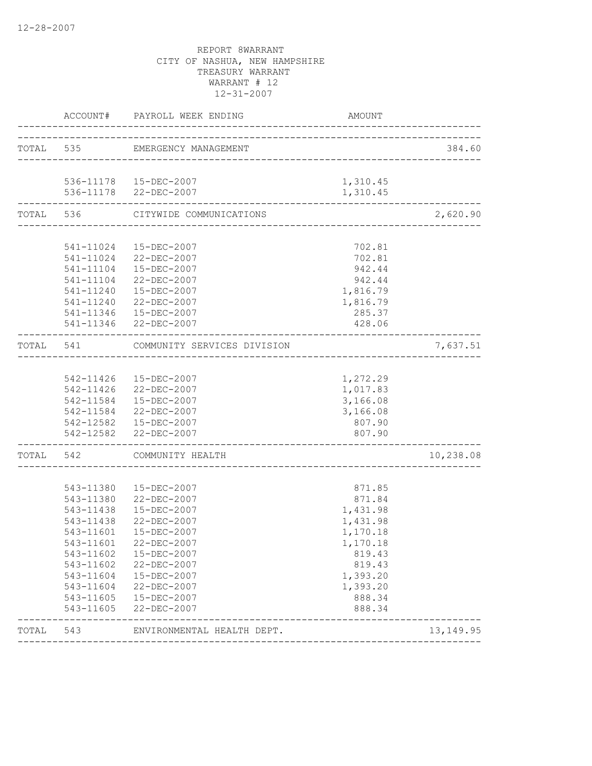|           | TOTAL 535 EMERGENCY MANAGEMENT<br>536-11178  15-DEC-2007<br>536-11178 22-DEC-2007<br>TOTAL 536 CITYWIDE COMMUNICATIONS | 1,310.45<br>1,310.45                                                                                                                                                                                                                                                                                                                                                                                                                                                                                                                                                                                                                                                                                                                                                                 | 384.60<br>2,620.90                                                                                                                                                                                         |
|-----------|------------------------------------------------------------------------------------------------------------------------|--------------------------------------------------------------------------------------------------------------------------------------------------------------------------------------------------------------------------------------------------------------------------------------------------------------------------------------------------------------------------------------------------------------------------------------------------------------------------------------------------------------------------------------------------------------------------------------------------------------------------------------------------------------------------------------------------------------------------------------------------------------------------------------|------------------------------------------------------------------------------------------------------------------------------------------------------------------------------------------------------------|
|           |                                                                                                                        |                                                                                                                                                                                                                                                                                                                                                                                                                                                                                                                                                                                                                                                                                                                                                                                      |                                                                                                                                                                                                            |
|           |                                                                                                                        |                                                                                                                                                                                                                                                                                                                                                                                                                                                                                                                                                                                                                                                                                                                                                                                      |                                                                                                                                                                                                            |
|           |                                                                                                                        |                                                                                                                                                                                                                                                                                                                                                                                                                                                                                                                                                                                                                                                                                                                                                                                      |                                                                                                                                                                                                            |
|           |                                                                                                                        |                                                                                                                                                                                                                                                                                                                                                                                                                                                                                                                                                                                                                                                                                                                                                                                      |                                                                                                                                                                                                            |
|           |                                                                                                                        |                                                                                                                                                                                                                                                                                                                                                                                                                                                                                                                                                                                                                                                                                                                                                                                      |                                                                                                                                                                                                            |
|           |                                                                                                                        |                                                                                                                                                                                                                                                                                                                                                                                                                                                                                                                                                                                                                                                                                                                                                                                      |                                                                                                                                                                                                            |
|           |                                                                                                                        |                                                                                                                                                                                                                                                                                                                                                                                                                                                                                                                                                                                                                                                                                                                                                                                      |                                                                                                                                                                                                            |
|           |                                                                                                                        |                                                                                                                                                                                                                                                                                                                                                                                                                                                                                                                                                                                                                                                                                                                                                                                      |                                                                                                                                                                                                            |
|           |                                                                                                                        |                                                                                                                                                                                                                                                                                                                                                                                                                                                                                                                                                                                                                                                                                                                                                                                      |                                                                                                                                                                                                            |
|           |                                                                                                                        |                                                                                                                                                                                                                                                                                                                                                                                                                                                                                                                                                                                                                                                                                                                                                                                      |                                                                                                                                                                                                            |
|           |                                                                                                                        |                                                                                                                                                                                                                                                                                                                                                                                                                                                                                                                                                                                                                                                                                                                                                                                      |                                                                                                                                                                                                            |
|           |                                                                                                                        |                                                                                                                                                                                                                                                                                                                                                                                                                                                                                                                                                                                                                                                                                                                                                                                      |                                                                                                                                                                                                            |
|           |                                                                                                                        | 428.06                                                                                                                                                                                                                                                                                                                                                                                                                                                                                                                                                                                                                                                                                                                                                                               |                                                                                                                                                                                                            |
|           |                                                                                                                        |                                                                                                                                                                                                                                                                                                                                                                                                                                                                                                                                                                                                                                                                                                                                                                                      | 7,637.51                                                                                                                                                                                                   |
|           |                                                                                                                        |                                                                                                                                                                                                                                                                                                                                                                                                                                                                                                                                                                                                                                                                                                                                                                                      |                                                                                                                                                                                                            |
|           |                                                                                                                        | 1,272.29                                                                                                                                                                                                                                                                                                                                                                                                                                                                                                                                                                                                                                                                                                                                                                             |                                                                                                                                                                                                            |
|           |                                                                                                                        | 1,017.83                                                                                                                                                                                                                                                                                                                                                                                                                                                                                                                                                                                                                                                                                                                                                                             |                                                                                                                                                                                                            |
|           |                                                                                                                        | 3,166.08                                                                                                                                                                                                                                                                                                                                                                                                                                                                                                                                                                                                                                                                                                                                                                             |                                                                                                                                                                                                            |
|           |                                                                                                                        | 3,166.08                                                                                                                                                                                                                                                                                                                                                                                                                                                                                                                                                                                                                                                                                                                                                                             |                                                                                                                                                                                                            |
|           |                                                                                                                        | 807.90                                                                                                                                                                                                                                                                                                                                                                                                                                                                                                                                                                                                                                                                                                                                                                               |                                                                                                                                                                                                            |
|           |                                                                                                                        |                                                                                                                                                                                                                                                                                                                                                                                                                                                                                                                                                                                                                                                                                                                                                                                      |                                                                                                                                                                                                            |
|           |                                                                                                                        |                                                                                                                                                                                                                                                                                                                                                                                                                                                                                                                                                                                                                                                                                                                                                                                      | 10,238.08                                                                                                                                                                                                  |
|           |                                                                                                                        |                                                                                                                                                                                                                                                                                                                                                                                                                                                                                                                                                                                                                                                                                                                                                                                      |                                                                                                                                                                                                            |
|           |                                                                                                                        |                                                                                                                                                                                                                                                                                                                                                                                                                                                                                                                                                                                                                                                                                                                                                                                      |                                                                                                                                                                                                            |
|           |                                                                                                                        |                                                                                                                                                                                                                                                                                                                                                                                                                                                                                                                                                                                                                                                                                                                                                                                      |                                                                                                                                                                                                            |
|           |                                                                                                                        |                                                                                                                                                                                                                                                                                                                                                                                                                                                                                                                                                                                                                                                                                                                                                                                      |                                                                                                                                                                                                            |
|           |                                                                                                                        |                                                                                                                                                                                                                                                                                                                                                                                                                                                                                                                                                                                                                                                                                                                                                                                      |                                                                                                                                                                                                            |
|           |                                                                                                                        |                                                                                                                                                                                                                                                                                                                                                                                                                                                                                                                                                                                                                                                                                                                                                                                      |                                                                                                                                                                                                            |
|           |                                                                                                                        |                                                                                                                                                                                                                                                                                                                                                                                                                                                                                                                                                                                                                                                                                                                                                                                      |                                                                                                                                                                                                            |
|           |                                                                                                                        |                                                                                                                                                                                                                                                                                                                                                                                                                                                                                                                                                                                                                                                                                                                                                                                      |                                                                                                                                                                                                            |
|           |                                                                                                                        |                                                                                                                                                                                                                                                                                                                                                                                                                                                                                                                                                                                                                                                                                                                                                                                      |                                                                                                                                                                                                            |
|           |                                                                                                                        |                                                                                                                                                                                                                                                                                                                                                                                                                                                                                                                                                                                                                                                                                                                                                                                      |                                                                                                                                                                                                            |
|           |                                                                                                                        |                                                                                                                                                                                                                                                                                                                                                                                                                                                                                                                                                                                                                                                                                                                                                                                      |                                                                                                                                                                                                            |
| 543-11605 |                                                                                                                        | 888.34                                                                                                                                                                                                                                                                                                                                                                                                                                                                                                                                                                                                                                                                                                                                                                               |                                                                                                                                                                                                            |
|           |                                                                                                                        |                                                                                                                                                                                                                                                                                                                                                                                                                                                                                                                                                                                                                                                                                                                                                                                      | 13, 149. 95                                                                                                                                                                                                |
|           | 543-11438<br>543-11438<br>543-11601<br>543-11602                                                                       | 541-11024  15-DEC-2007<br>541-11024 22-DEC-2007<br>541-11104  15-DEC-2007<br>541-11104 22-DEC-2007<br>541-11240  15-DEC-2007<br>541-11240 22-DEC-2007<br>541-11346  15-DEC-2007<br>541-11346 22-DEC-2007<br>TOTAL 541 COMMUNITY SERVICES DIVISION<br>542-11426  15-DEC-2007<br>542-11426 22-DEC-2007<br>542-11584  15-DEC-2007<br>542-11584 22-DEC-2007<br>542-12582  15-DEC-2007<br>542-12582 22-DEC-2007<br>__________________________<br>TOTAL 542 COMMUNITY HEALTH<br>543-11380  15-DEC-2007<br>543-11380 22-DEC-2007<br>15-DEC-2007<br>$22 - DEC - 2007$<br>15-DEC-2007<br>543-11601<br>22-DEC-2007<br>15-DEC-2007<br>543-11602 22-DEC-2007<br>543-11604  15-DEC-2007<br>543-11604 22-DEC-2007<br>543-11605  15-DEC-2007<br>22-DEC-2007<br>TOTAL 543 ENVIRONMENTAL HEALTH DEPT. | 702.81<br>702.81<br>942.44<br>942.44<br>1,816.79<br>1,816.79<br>285.37<br>807.90<br>871.85<br>871.84<br>1,431.98<br>1,431.98<br>1,170.18<br>1,170.18<br>819.43<br>819.43<br>1,393.20<br>1,393.20<br>888.34 |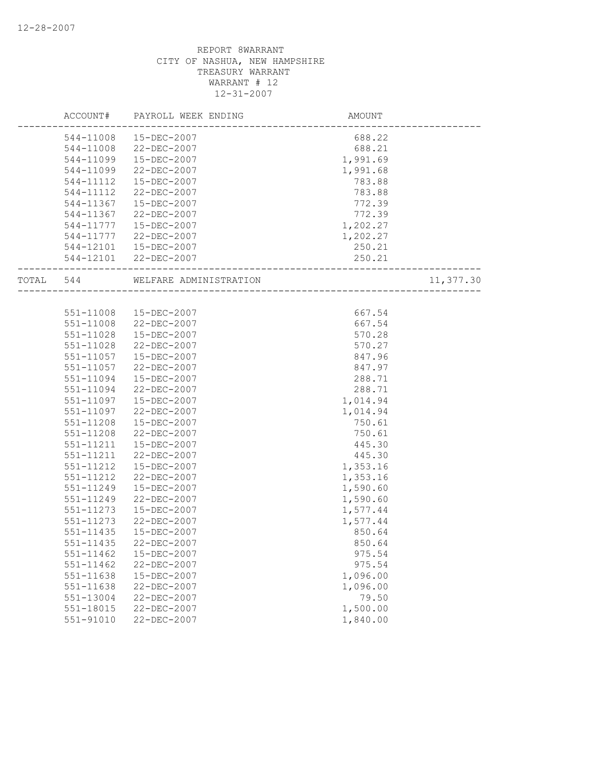|           | ACCOUNT#      | PAYROLL WEEK ENDING                                      | AMOUNT   |           |
|-----------|---------------|----------------------------------------------------------|----------|-----------|
|           | 544-11008     | 15-DEC-2007                                              | 688.22   |           |
|           | 544-11008     | 22-DEC-2007                                              | 688.21   |           |
|           | 544-11099     | 15-DEC-2007                                              | 1,991.69 |           |
|           | 544-11099     | 22-DEC-2007                                              | 1,991.68 |           |
|           | 544-11112     | 15-DEC-2007                                              | 783.88   |           |
|           | 544-11112     | 22-DEC-2007                                              | 783.88   |           |
|           | 544-11367     | 15-DEC-2007                                              | 772.39   |           |
|           | 544-11367     | 22-DEC-2007                                              | 772.39   |           |
|           | 544-11777     | 15-DEC-2007                                              | 1,202.27 |           |
|           | 544-11777     | 22-DEC-2007                                              | 1,202.27 |           |
|           |               | 544-12101  15-DEC-2007                                   | 250.21   |           |
|           |               | 544-12101 22-DEC-2007                                    | 250.21   |           |
| TOTAL 544 |               | WELFARE ADMINISTRATION<br>-----<br>--------------------- |          | 11,377.30 |
|           |               |                                                          |          |           |
|           | 551-11008     | 15-DEC-2007                                              | 667.54   |           |
|           | 551-11008     | 22-DEC-2007                                              | 667.54   |           |
|           | 551-11028     | 15-DEC-2007                                              | 570.28   |           |
|           | 551-11028     | 22-DEC-2007                                              | 570.27   |           |
|           | 551-11057     | 15-DEC-2007                                              | 847.96   |           |
|           | 551-11057     | 22-DEC-2007                                              | 847.97   |           |
|           | 551-11094     | 15-DEC-2007                                              | 288.71   |           |
|           | 551-11094     | 22-DEC-2007                                              | 288.71   |           |
|           | 551-11097     | 15-DEC-2007                                              | 1,014.94 |           |
|           | 551-11097     | 22-DEC-2007                                              | 1,014.94 |           |
|           | 551-11208     | 15-DEC-2007                                              | 750.61   |           |
|           | 551-11208     | 22-DEC-2007                                              | 750.61   |           |
|           | 551-11211     | 15-DEC-2007                                              | 445.30   |           |
|           | 551-11211     | 22-DEC-2007                                              | 445.30   |           |
|           | 551-11212     | 15-DEC-2007                                              | 1,353.16 |           |
|           | 551-11212     | 22-DEC-2007                                              | 1,353.16 |           |
|           | 551-11249     | 15-DEC-2007                                              | 1,590.60 |           |
|           | 551-11249     | 22-DEC-2007                                              | 1,590.60 |           |
|           | 551-11273     | 15-DEC-2007                                              | 1,577.44 |           |
|           | 551-11273     | 22-DEC-2007                                              | 1,577.44 |           |
|           | 551-11435     | $15 - DEC - 2007$                                        | 850.64   |           |
|           | 551-11435     | 22-DEC-2007                                              | 850.64   |           |
|           | 551-11462     | 15-DEC-2007                                              | 975.54   |           |
|           | 551-11462     | 22-DEC-2007                                              | 975.54   |           |
|           | 551-11638     | 15-DEC-2007                                              | 1,096.00 |           |
|           | 551-11638     | 22-DEC-2007                                              | 1,096.00 |           |
|           | $551 - 13004$ | 22-DEC-2007                                              | 79.50    |           |
|           | 551-18015     | 22-DEC-2007                                              | 1,500.00 |           |
|           | 551-91010     | 22-DEC-2007                                              | 1,840.00 |           |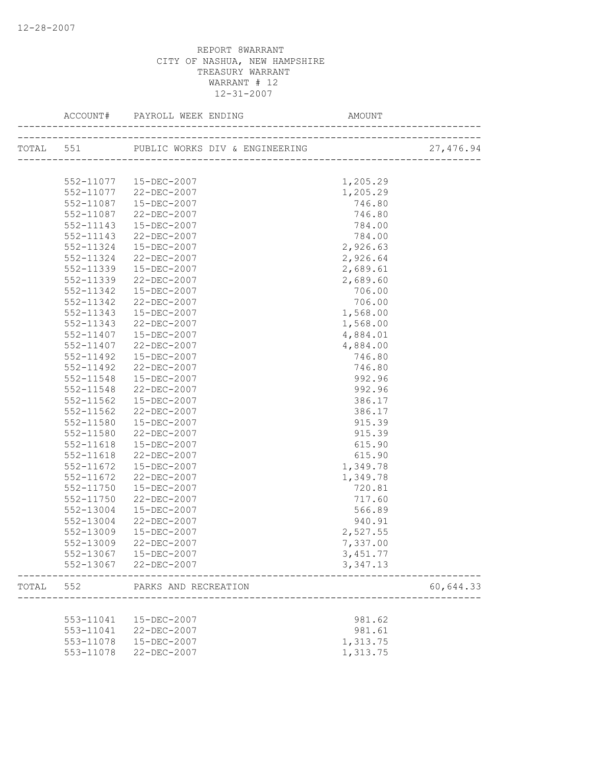|       |               |                        |          | 27,476.94 |
|-------|---------------|------------------------|----------|-----------|
|       |               |                        |          |           |
|       | 552-11077     | 15-DEC-2007            | 1,205.29 |           |
|       |               | 552-11077 22-DEC-2007  | 1,205.29 |           |
|       | 552-11087     | 15-DEC-2007            | 746.80   |           |
|       | 552-11087     | 22-DEC-2007            | 746.80   |           |
|       | 552-11143     | 15-DEC-2007            | 784.00   |           |
|       | 552-11143     | 22-DEC-2007            | 784.00   |           |
|       | 552-11324     | 15-DEC-2007            | 2,926.63 |           |
|       | 552-11324     | 22-DEC-2007            | 2,926.64 |           |
|       | 552-11339     | 15-DEC-2007            | 2,689.61 |           |
|       | 552-11339     | 22-DEC-2007            | 2,689.60 |           |
|       | 552-11342     | 15-DEC-2007            | 706.00   |           |
|       | 552-11342     | 22-DEC-2007            | 706.00   |           |
|       | 552-11343     | 15-DEC-2007            | 1,568.00 |           |
|       | 552-11343     | 22-DEC-2007            | 1,568.00 |           |
|       | 552-11407     | 15-DEC-2007            | 4,884.01 |           |
|       | 552-11407     | 22-DEC-2007            | 4,884.00 |           |
|       | 552-11492     | 15-DEC-2007            | 746.80   |           |
|       | 552-11492     | 22-DEC-2007            | 746.80   |           |
|       | 552-11548     | 15-DEC-2007            | 992.96   |           |
|       | 552-11548     | 22-DEC-2007            | 992.96   |           |
|       | 552-11562     | 15-DEC-2007            | 386.17   |           |
|       | 552-11562     | 22-DEC-2007            | 386.17   |           |
|       | 552-11580     | 15-DEC-2007            | 915.39   |           |
|       | 552-11580     | 22-DEC-2007            | 915.39   |           |
|       | 552-11618     | 15-DEC-2007            | 615.90   |           |
|       | $552 - 11618$ | 22-DEC-2007            | 615.90   |           |
|       | 552-11672     | 15-DEC-2007            | 1,349.78 |           |
|       | 552-11672     | 22-DEC-2007            | 1,349.78 |           |
|       | 552-11750     | 15-DEC-2007            | 720.81   |           |
|       | 552-11750     | 22-DEC-2007            | 717.60   |           |
|       | 552-13004     | 15-DEC-2007            | 566.89   |           |
|       | 552-13004     | 22-DEC-2007            | 940.91   |           |
|       | 552-13009     | 15-DEC-2007            | 2,527.55 |           |
|       | 552-13009     | 22-DEC-2007            | 7,337.00 |           |
|       |               | 552-13067  15-DEC-2007 | 3,451.77 |           |
|       |               | 552-13067 22-DEC-2007  | 3,347.13 |           |
| TOTAL | 552           | PARKS AND RECREATION   |          | 60,644.33 |
|       |               |                        |          |           |
|       | 553-11041     | 15-DEC-2007            | 981.62   |           |
|       | 553-11041     | 22-DEC-2007            | 981.61   |           |
|       | 553-11078     | 15-DEC-2007            | 1,313.75 |           |
|       | 553-11078     | $22 - DEC - 2007$      | 1,313.75 |           |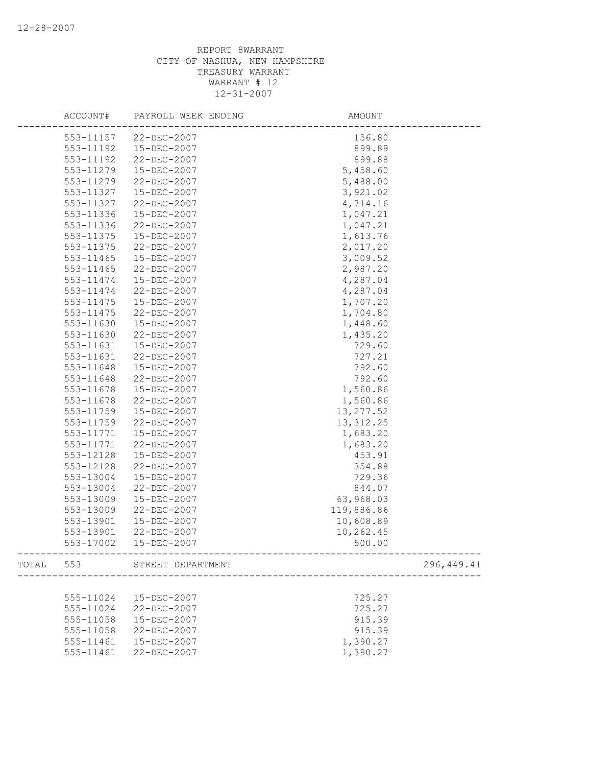| ACCOUNT#  | PAYROLL WEEK ENDING         | AMOUNT                                    |            |
|-----------|-----------------------------|-------------------------------------------|------------|
| 553-11157 | 22-DEC-2007                 | 156.80                                    |            |
| 553-11192 | 15-DEC-2007                 | 899.89                                    |            |
| 553-11192 | 22-DEC-2007                 | 899.88                                    |            |
| 553-11279 | 15-DEC-2007                 | 5,458.60                                  |            |
| 553-11279 | 22-DEC-2007                 | 5,488.00                                  |            |
| 553-11327 | 15-DEC-2007                 | 3,921.02                                  |            |
| 553-11327 | 22-DEC-2007                 | 4,714.16                                  |            |
| 553-11336 | 15-DEC-2007                 | 1,047.21                                  |            |
| 553-11336 | 22-DEC-2007                 | 1,047.21                                  |            |
| 553-11375 | 15-DEC-2007                 | 1,613.76                                  |            |
| 553-11375 | 22-DEC-2007                 | 2,017.20                                  |            |
| 553-11465 | 15-DEC-2007                 | 3,009.52                                  |            |
| 553-11465 | 22-DEC-2007                 | 2,987.20                                  |            |
| 553-11474 | 15-DEC-2007                 | 4,287.04                                  |            |
| 553-11474 | 22-DEC-2007                 | 4,287.04                                  |            |
| 553-11475 | 15-DEC-2007                 | 1,707.20                                  |            |
| 553-11475 | $22 - DEC - 2007$           | 1,704.80                                  |            |
| 553-11630 | 15-DEC-2007                 | 1,448.60                                  |            |
| 553-11630 | 22-DEC-2007                 | 1,435.20                                  |            |
| 553-11631 | 15-DEC-2007                 | 729.60                                    |            |
| 553-11631 | 22-DEC-2007                 | 727.21                                    |            |
| 553-11648 | 15-DEC-2007                 | 792.60                                    |            |
| 553-11648 | 22-DEC-2007                 | 792.60                                    |            |
| 553-11678 | 15-DEC-2007                 | 1,560.86                                  |            |
| 553-11678 | 22-DEC-2007                 | 1,560.86                                  |            |
| 553-11759 | 15-DEC-2007                 | 13, 277.52                                |            |
| 553-11759 | 22-DEC-2007                 | 13, 312.25                                |            |
| 553-11771 | 15-DEC-2007                 | 1,683.20                                  |            |
| 553-11771 | 22-DEC-2007                 | 1,683.20                                  |            |
| 553-12128 | 15-DEC-2007                 | 453.91                                    |            |
| 553-12128 | 22-DEC-2007                 | 354.88                                    |            |
| 553-13004 | 15-DEC-2007                 | 729.36                                    |            |
| 553-13004 | 22-DEC-2007                 | 844.07                                    |            |
| 553-13009 | 15-DEC-2007                 | 63,968.03                                 |            |
| 553-13009 | 22-DEC-2007                 | 119,886.86                                |            |
| 553-13901 | 15-DEC-2007                 | 10,608.89                                 |            |
| 553-13901 | $22 - DEC - 2007$           | 10,262.45                                 |            |
| 553-17002 | 15-DEC-2007                 | 500.00<br>------------------------------- |            |
|           | TOTAL 553 STREET DEPARTMENT |                                           | 296,449.41 |
|           |                             |                                           |            |
| 555-11024 | 15-DEC-2007                 | 725.27                                    |            |
| 555-11024 | 22-DEC-2007                 | 725.27                                    |            |
| 555-11058 | 15-DEC-2007                 | 915.39                                    |            |
| 555-11058 | 22-DEC-2007                 | 915.39                                    |            |
| 555-11461 | 15-DEC-2007                 | 1,390.27                                  |            |
| 555-11461 | 22-DEC-2007                 | 1,390.27                                  |            |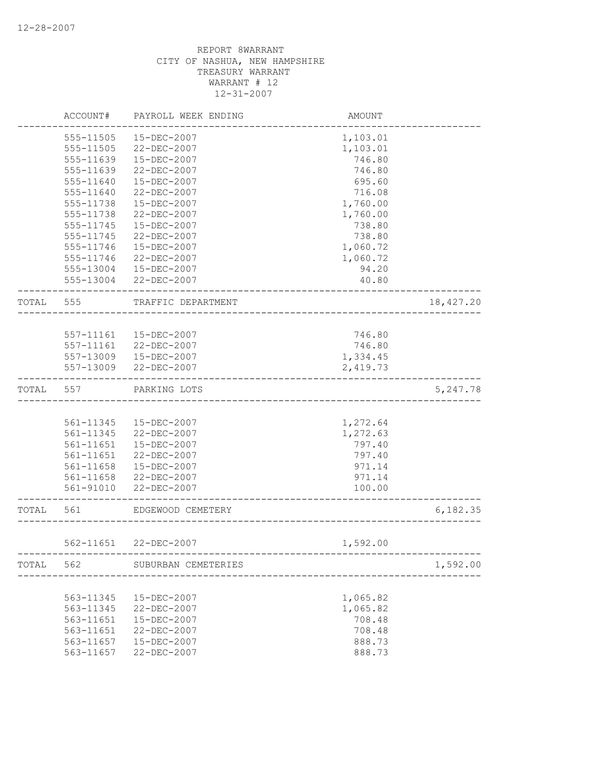|       | ACCOUNT#  | PAYROLL WEEK ENDING   | AMOUNT                     |           |
|-------|-----------|-----------------------|----------------------------|-----------|
|       | 555-11505 | 15-DEC-2007           | 1,103.01                   |           |
|       | 555-11505 | 22-DEC-2007           | 1,103.01                   |           |
|       | 555-11639 | 15-DEC-2007           | 746.80                     |           |
|       | 555-11639 | 22-DEC-2007           | 746.80                     |           |
|       | 555-11640 | 15-DEC-2007           | 695.60                     |           |
|       | 555-11640 | 22-DEC-2007           | 716.08                     |           |
|       | 555-11738 | 15-DEC-2007           | 1,760.00                   |           |
|       | 555-11738 | 22-DEC-2007           | 1,760.00                   |           |
|       | 555-11745 | $15 - DEC - 2007$     | 738.80                     |           |
|       | 555-11745 | 22-DEC-2007           | 738.80                     |           |
|       | 555-11746 | 15-DEC-2007           | 1,060.72                   |           |
|       | 555-11746 | 22-DEC-2007           | 1,060.72                   |           |
|       | 555-13004 | 15-DEC-2007           | 94.20                      |           |
|       | 555-13004 | 22-DEC-2007           | 40.80                      |           |
| TOTAL | 555       | TRAFFIC DEPARTMENT    |                            | 18,427.20 |
|       |           |                       |                            |           |
|       | 557-11161 | 15-DEC-2007           | 746.80                     |           |
|       | 557-11161 | 22-DEC-2007           | 746.80                     |           |
|       | 557-13009 | 15-DEC-2007           | 1,334.45                   |           |
|       | 557-13009 | 22-DEC-2007           | 2,419.73                   |           |
| TOTAL | 557       | PARKING LOTS          |                            | 5,247.78  |
|       |           |                       |                            |           |
|       | 561-11345 | 15-DEC-2007           | 1,272.64                   |           |
|       | 561-11345 | 22-DEC-2007           | 1,272.63                   |           |
|       | 561-11651 | 15-DEC-2007           | 797.40                     |           |
|       | 561-11651 | 22-DEC-2007           | 797.40                     |           |
|       | 561-11658 | 15-DEC-2007           | 971.14                     |           |
|       | 561-11658 | 22-DEC-2007           | 971.14                     |           |
|       | 561-91010 | 22-DEC-2007           | 100.00                     |           |
| TOTAL | 561       | EDGEWOOD CEMETERY     |                            | 6,182.35  |
|       |           |                       |                            |           |
|       |           | 562-11651 22-DEC-2007 | 1,592.00                   |           |
| TOTAL | 562       | SUBURBAN CEMETERIES   | __________________________ | 1,592.00  |
|       |           |                       |                            |           |
|       | 563-11345 | 15-DEC-2007           | 1,065.82                   |           |
|       | 563-11345 | 22-DEC-2007           | 1,065.82                   |           |
|       | 563-11651 | 15-DEC-2007           | 708.48                     |           |
|       | 563-11651 | 22-DEC-2007           | 708.48                     |           |
|       | 563-11657 | 15-DEC-2007           | 888.73                     |           |
|       | 563-11657 | 22-DEC-2007           | 888.73                     |           |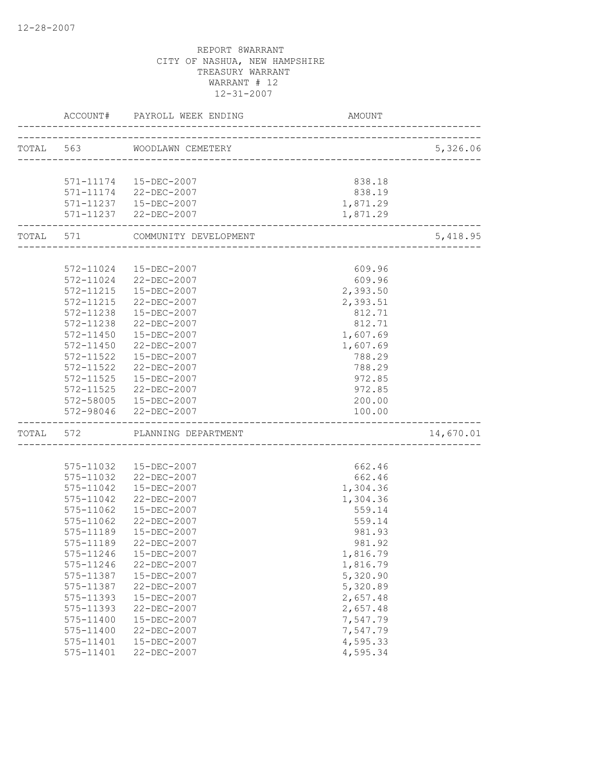|           |                    | ACCOUNT# PAYROLL WEEK ENDING    | AMOUNT                             |           |
|-----------|--------------------|---------------------------------|------------------------------------|-----------|
| TOTAL 563 |                    | WOODLAWN CEMETERY               |                                    | 5,326.06  |
|           |                    |                                 | ---------------------------------- |           |
|           |                    | 571-11174   15-DEC-2007         | 838.18                             |           |
|           |                    | 571-11174 22-DEC-2007           | 838.19                             |           |
|           |                    | 571-11237   15-DEC-2007         | 1,871.29                           |           |
|           |                    | 571-11237 22-DEC-2007           | 1,871.29                           |           |
|           | ------------------ | TOTAL 571 COMMUNITY DEVELOPMENT |                                    | 5,418.95  |
|           |                    |                                 | __________________________         |           |
|           |                    |                                 |                                    |           |
|           |                    | 572-11024  15-DEC-2007          | 609.96                             |           |
|           |                    | 572-11024 22-DEC-2007           | 609.96                             |           |
|           |                    | 572-11215  15-DEC-2007          | 2,393.50                           |           |
|           | 572-11215          | 22-DEC-2007                     | 2,393.51                           |           |
|           | 572-11238          | 15-DEC-2007                     | 812.71                             |           |
|           | 572-11238          | 22-DEC-2007                     | 812.71                             |           |
|           | 572-11450          | 15-DEC-2007                     | 1,607.69                           |           |
|           | 572-11450          | 22-DEC-2007                     | 1,607.69                           |           |
|           | 572-11522          | $15 - DEC - 2007$               | 788.29                             |           |
|           | 572-11522          | 22-DEC-2007                     | 788.29                             |           |
|           | 572-11525          | 15-DEC-2007                     | 972.85                             |           |
|           |                    | 572-11525 22-DEC-2007           | 972.85                             |           |
|           |                    | 572-58005  15-DEC-2007          | 200.00                             |           |
|           |                    | 572-98046 22-DEC-2007           | 100.00                             |           |
| TOTAL 572 |                    | PLANNING DEPARTMENT             |                                    | 14,670.01 |
|           |                    |                                 |                                    |           |
|           |                    | 575-11032  15-DEC-2007          | 662.46                             |           |
|           | 575-11032          | 22-DEC-2007                     | 662.46                             |           |
|           | 575-11042          | 15-DEC-2007                     | 1,304.36                           |           |
|           | 575-11042          | 22-DEC-2007                     | 1,304.36                           |           |
|           | 575-11062          | 15-DEC-2007                     | 559.14                             |           |
|           | 575-11062          | 22-DEC-2007                     | 559.14                             |           |
|           | 575-11189          | $15 - DEC - 2007$               | 981.93                             |           |
|           | 575-11189          | 22-DEC-2007                     | 981.92                             |           |
|           | 575-11246          | $15 - DEC - 2007$               | 1,816.79                           |           |
|           | 575-11246          | 22-DEC-2007                     | 1,816.79                           |           |
|           | 575-11387          | 15-DEC-2007                     | 5,320.90                           |           |
|           | 575-11387          | 22-DEC-2007                     | 5,320.89                           |           |
|           | 575-11393          | 15-DEC-2007                     | 2,657.48                           |           |
|           | 575-11393          | 22-DEC-2007                     | 2,657.48                           |           |
|           | 575-11400          | 15-DEC-2007                     | 7,547.79                           |           |
|           | 575-11400          | 22-DEC-2007                     | 7,547.79                           |           |
|           | 575-11401          | 15-DEC-2007                     | 4,595.33                           |           |
|           | 575-11401          | 22-DEC-2007                     | 4,595.34                           |           |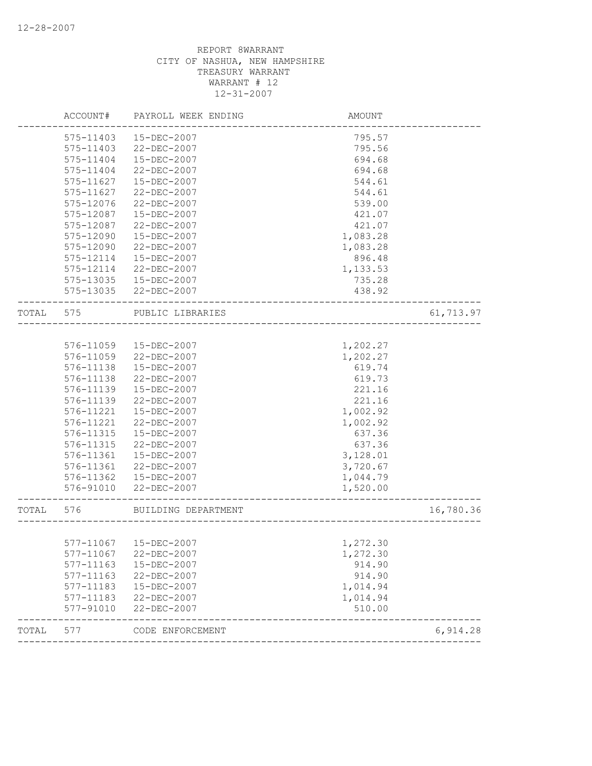|       | ACCOUNT#  | PAYROLL WEEK ENDING    | AMOUNT                               |           |
|-------|-----------|------------------------|--------------------------------------|-----------|
|       | 575-11403 | 15-DEC-2007            | 795.57                               |           |
|       | 575-11403 | 22-DEC-2007            | 795.56                               |           |
|       | 575-11404 | 15-DEC-2007            | 694.68                               |           |
|       | 575-11404 | 22-DEC-2007            | 694.68                               |           |
|       | 575-11627 | 15-DEC-2007            | 544.61                               |           |
|       | 575-11627 | 22-DEC-2007            | 544.61                               |           |
|       | 575-12076 | 22-DEC-2007            | 539.00                               |           |
|       | 575-12087 | 15-DEC-2007            | 421.07                               |           |
|       | 575-12087 | 22-DEC-2007            | 421.07                               |           |
|       | 575-12090 | $15 - DEC - 2007$      | 1,083.28                             |           |
|       | 575-12090 | 22-DEC-2007            | 1,083.28                             |           |
|       | 575-12114 | 15-DEC-2007            | 896.48                               |           |
|       | 575-12114 | 22-DEC-2007            | 1,133.53                             |           |
|       | 575-13035 | 15-DEC-2007            | 735.28                               |           |
|       | 575-13035 | 22-DEC-2007            | 438.92                               |           |
| TOTAL | 575       | PUBLIC LIBRARIES       | ____________________________         | 61,713.97 |
|       |           |                        |                                      |           |
|       | 576-11059 | 15-DEC-2007            | 1,202.27                             |           |
|       | 576-11059 | 22-DEC-2007            | 1,202.27                             |           |
|       | 576-11138 | 15-DEC-2007            | 619.74                               |           |
|       | 576-11138 | 22-DEC-2007            | 619.73                               |           |
|       | 576-11139 | 15-DEC-2007            | 221.16                               |           |
|       | 576-11139 | 22-DEC-2007            | 221.16                               |           |
|       | 576-11221 | 15-DEC-2007            | 1,002.92                             |           |
|       | 576-11221 | 22-DEC-2007            | 1,002.92                             |           |
|       | 576-11315 | 15-DEC-2007            | 637.36                               |           |
|       | 576-11315 | 22-DEC-2007            | 637.36                               |           |
|       | 576-11361 | 15-DEC-2007            | 3,128.01                             |           |
|       | 576-11361 | 22-DEC-2007            | 3,720.67                             |           |
|       | 576-11362 | 15-DEC-2007            | 1,044.79                             |           |
|       | 576-91010 | 22-DEC-2007            | 1,520.00                             |           |
| TOTAL | 576       | BUILDING DEPARTMENT    | ------------------------------------ | 16,780.36 |
|       |           |                        |                                      |           |
|       |           | 577-11067  15-DEC-2007 | 1,272.30                             |           |
|       | 577-11067 | 22-DEC-2007            | 1,272.30                             |           |
|       | 577-11163 | 15-DEC-2007            | 914.90                               |           |
|       | 577-11163 | 22-DEC-2007            | 914.90                               |           |
|       | 577-11183 | 15-DEC-2007            | 1,014.94                             |           |
|       | 577-11183 | 22-DEC-2007            | 1,014.94                             |           |
|       | 577-91010 | 22-DEC-2007            | 510.00                               |           |
| TOTAL | 577       | CODE ENFORCEMENT       |                                      | 6,914.28  |
|       |           |                        |                                      |           |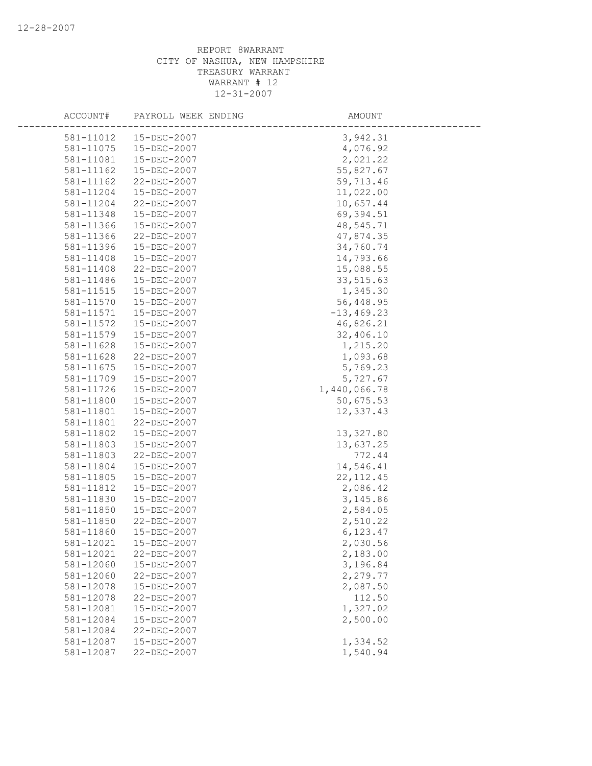| ACCOUNT#  | PAYROLL WEEK ENDING | AMOUNT        |  |
|-----------|---------------------|---------------|--|
| 581-11012 | 15-DEC-2007         | 3,942.31      |  |
| 581-11075 | 15-DEC-2007         | 4,076.92      |  |
| 581-11081 | 15-DEC-2007         | 2,021.22      |  |
| 581-11162 | 15-DEC-2007         | 55,827.67     |  |
| 581-11162 | 22-DEC-2007         | 59,713.46     |  |
| 581-11204 | 15-DEC-2007         | 11,022.00     |  |
| 581-11204 | 22-DEC-2007         | 10,657.44     |  |
| 581-11348 | 15-DEC-2007         | 69,394.51     |  |
| 581-11366 | 15-DEC-2007         | 48,545.71     |  |
| 581-11366 | 22-DEC-2007         | 47,874.35     |  |
| 581-11396 | 15-DEC-2007         | 34,760.74     |  |
| 581-11408 | 15-DEC-2007         | 14,793.66     |  |
| 581-11408 | 22-DEC-2007         | 15,088.55     |  |
| 581-11486 | 15-DEC-2007         | 33,515.63     |  |
| 581-11515 | 15-DEC-2007         | 1,345.30      |  |
| 581-11570 | 15-DEC-2007         | 56,448.95     |  |
| 581-11571 | 15-DEC-2007         | $-13, 469.23$ |  |
| 581-11572 | 15-DEC-2007         | 46,826.21     |  |
| 581-11579 | 15-DEC-2007         | 32,406.10     |  |
| 581-11628 | 15-DEC-2007         | 1,215.20      |  |
| 581-11628 | 22-DEC-2007         | 1,093.68      |  |
| 581-11675 | 15-DEC-2007         | 5,769.23      |  |
| 581-11709 | 15-DEC-2007         | 5,727.67      |  |
| 581-11726 | 15-DEC-2007         | 1,440,066.78  |  |
| 581-11800 | 15-DEC-2007         | 50,675.53     |  |
| 581-11801 | 15-DEC-2007         | 12,337.43     |  |
| 581-11801 | 22-DEC-2007         |               |  |
| 581-11802 | 15-DEC-2007         | 13,327.80     |  |
| 581-11803 | 15-DEC-2007         | 13,637.25     |  |
| 581-11803 | 22-DEC-2007         | 772.44        |  |
| 581-11804 | 15-DEC-2007         | 14,546.41     |  |
| 581-11805 | 15-DEC-2007         | 22, 112.45    |  |
| 581-11812 | 15-DEC-2007         | 2,086.42      |  |
| 581-11830 | 15-DEC-2007         | 3,145.86      |  |
| 581-11850 | 15-DEC-2007         | 2,584.05      |  |
| 581-11850 | 22-DEC-2007         | 2,510.22      |  |
| 581-11860 | 15-DEC-2007         | 6,123.47      |  |
| 581-12021 | 15-DEC-2007         | 2,030.56      |  |
| 581-12021 | 22-DEC-2007         | 2,183.00      |  |
| 581-12060 | 15-DEC-2007         | 3,196.84      |  |
| 581-12060 | 22-DEC-2007         | 2,279.77      |  |
| 581-12078 | 15-DEC-2007         | 2,087.50      |  |
| 581-12078 | 22-DEC-2007         | 112.50        |  |
| 581-12081 | 15-DEC-2007         | 1,327.02      |  |
| 581-12084 | 15-DEC-2007         | 2,500.00      |  |
| 581-12084 | 22-DEC-2007         |               |  |
| 581-12087 | 15-DEC-2007         | 1,334.52      |  |
| 581-12087 | 22-DEC-2007         | 1,540.94      |  |
|           |                     |               |  |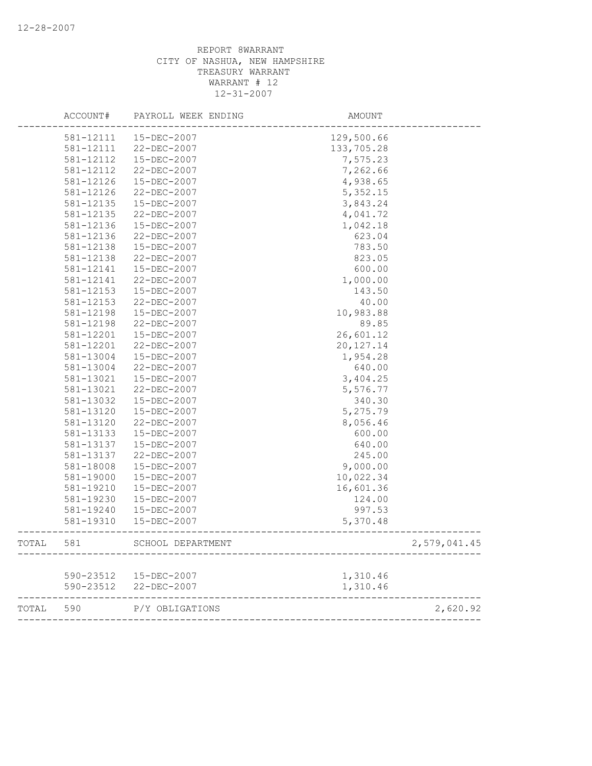|       | ACCOUNT#  | PAYROLL WEEK ENDING    | AMOUNT      |              |
|-------|-----------|------------------------|-------------|--------------|
|       | 581-12111 | 15-DEC-2007            | 129,500.66  |              |
|       | 581-12111 | 22-DEC-2007            | 133,705.28  |              |
|       | 581-12112 | 15-DEC-2007            | 7,575.23    |              |
|       | 581-12112 | $22 - DEC - 2007$      | 7,262.66    |              |
|       | 581-12126 | 15-DEC-2007            | 4,938.65    |              |
|       | 581-12126 | 22-DEC-2007            | 5,352.15    |              |
|       | 581-12135 | 15-DEC-2007            | 3,843.24    |              |
|       | 581-12135 | 22-DEC-2007            | 4,041.72    |              |
|       | 581-12136 | 15-DEC-2007            | 1,042.18    |              |
|       | 581-12136 | 22-DEC-2007            | 623.04      |              |
|       | 581-12138 | $15 - DEC - 2007$      | 783.50      |              |
|       | 581-12138 | 22-DEC-2007            | 823.05      |              |
|       | 581-12141 | 15-DEC-2007            | 600.00      |              |
|       | 581-12141 | 22-DEC-2007            | 1,000.00    |              |
|       | 581-12153 | 15-DEC-2007            | 143.50      |              |
|       | 581-12153 | 22-DEC-2007            | 40.00       |              |
|       | 581-12198 | 15-DEC-2007            | 10,983.88   |              |
|       | 581-12198 | $22 - DEC - 2007$      | 89.85       |              |
|       | 581-12201 | 15-DEC-2007            | 26,601.12   |              |
|       | 581-12201 | 22-DEC-2007            | 20, 127. 14 |              |
|       | 581-13004 | 15-DEC-2007            | 1,954.28    |              |
|       | 581-13004 | 22-DEC-2007            | 640.00      |              |
|       | 581-13021 | 15-DEC-2007            | 3,404.25    |              |
|       | 581-13021 | 22-DEC-2007            | 5,576.77    |              |
|       | 581-13032 | 15-DEC-2007            | 340.30      |              |
|       | 581-13120 | 15-DEC-2007            | 5,275.79    |              |
|       | 581-13120 | 22-DEC-2007            | 8,056.46    |              |
|       | 581-13133 | 15-DEC-2007            | 600.00      |              |
|       | 581-13137 | 15-DEC-2007            | 640.00      |              |
|       | 581-13137 | 22-DEC-2007            | 245.00      |              |
|       | 581-18008 | 15-DEC-2007            | 9,000.00    |              |
|       | 581-19000 | 15-DEC-2007            | 10,022.34   |              |
|       | 581-19210 | 15-DEC-2007            | 16,601.36   |              |
|       | 581-19230 | 15-DEC-2007            | 124.00      |              |
|       | 581-19240 | 15-DEC-2007            | 997.53      |              |
|       | 581-19310 | 15-DEC-2007            | 5,370.48    |              |
| TOTAL | 581       | SCHOOL DEPARTMENT      |             | 2,579,041.45 |
|       |           |                        |             |              |
|       |           | 590-23512  15-DEC-2007 | 1,310.46    |              |
|       |           | 590-23512 22-DEC-2007  | 1,310.46    |              |
| TOTAL | 590       | P/Y OBLIGATIONS        |             | 2,620.92     |
|       |           |                        |             |              |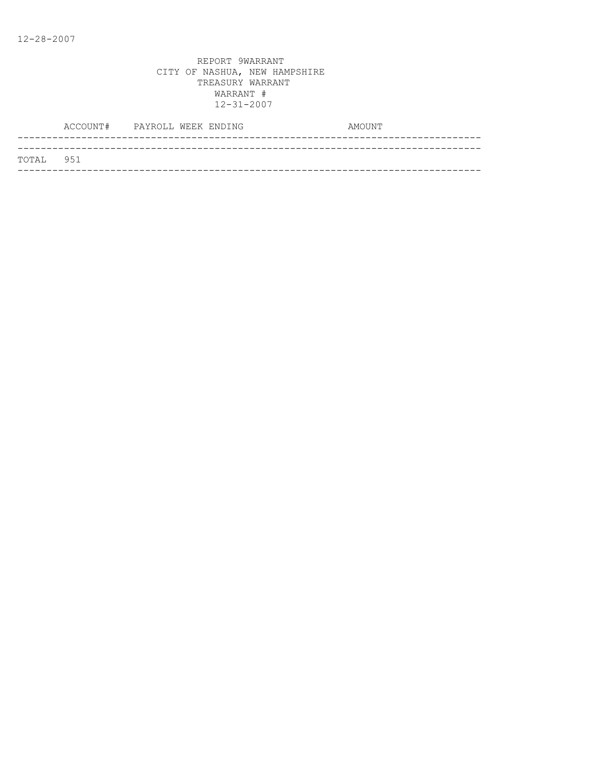|           | ACCOUNT# PAYROLL WEEK ENDING |  |  | AMOUNT |  |
|-----------|------------------------------|--|--|--------|--|
|           |                              |  |  |        |  |
| TOTAL 951 |                              |  |  |        |  |
|           |                              |  |  |        |  |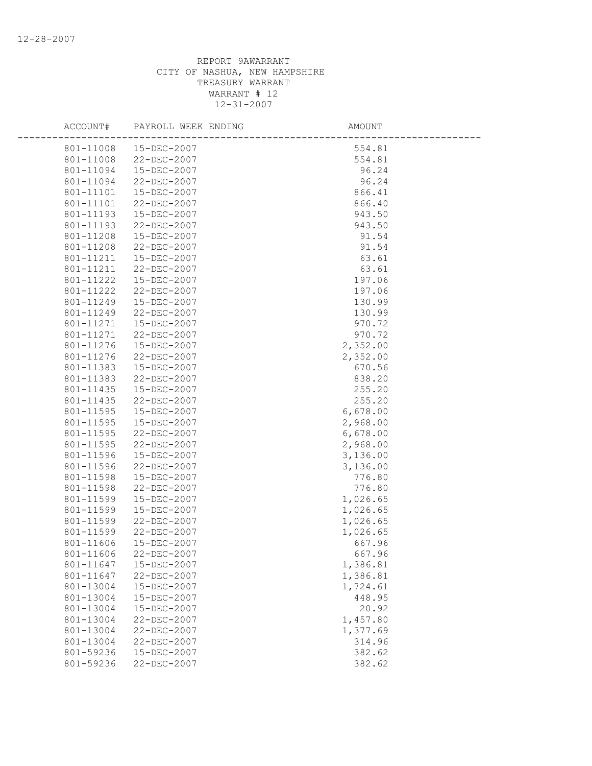| ACCOUNT#  | PAYROLL WEEK ENDING   | AMOUNT   |
|-----------|-----------------------|----------|
|           | 801-11008 15-DEC-2007 | 554.81   |
| 801-11008 | 22-DEC-2007           | 554.81   |
| 801-11094 | 15-DEC-2007           | 96.24    |
| 801-11094 | 22-DEC-2007           | 96.24    |
| 801-11101 | 15-DEC-2007           | 866.41   |
| 801-11101 | 22-DEC-2007           | 866.40   |
| 801-11193 | 15-DEC-2007           | 943.50   |
| 801-11193 | 22-DEC-2007           | 943.50   |
| 801-11208 | 15-DEC-2007           | 91.54    |
| 801-11208 | 22-DEC-2007           | 91.54    |
| 801-11211 | 15-DEC-2007           | 63.61    |
| 801-11211 | 22-DEC-2007           | 63.61    |
| 801-11222 | 15-DEC-2007           | 197.06   |
| 801-11222 | 22-DEC-2007           | 197.06   |
| 801-11249 | 15-DEC-2007           | 130.99   |
| 801-11249 | 22-DEC-2007           | 130.99   |
| 801-11271 | 15-DEC-2007           | 970.72   |
| 801-11271 | 22-DEC-2007           | 970.72   |
| 801-11276 | 15-DEC-2007           | 2,352.00 |
| 801-11276 | 22-DEC-2007           | 2,352.00 |
| 801-11383 | 15-DEC-2007           | 670.56   |
| 801-11383 | 22-DEC-2007           | 838.20   |
| 801-11435 | 15-DEC-2007           | 255.20   |
| 801-11435 | 22-DEC-2007           | 255.20   |
| 801-11595 | 15-DEC-2007           | 6,678.00 |
| 801-11595 | 15-DEC-2007           | 2,968.00 |
| 801-11595 | 22-DEC-2007           | 6,678.00 |
| 801-11595 | 22-DEC-2007           | 2,968.00 |
| 801-11596 | 15-DEC-2007           | 3,136.00 |
| 801-11596 | 22-DEC-2007           | 3,136.00 |
| 801-11598 | 15-DEC-2007           | 776.80   |
| 801-11598 | 22-DEC-2007           | 776.80   |
| 801-11599 | 15-DEC-2007           | 1,026.65 |
| 801-11599 | 15-DEC-2007           | 1,026.65 |
| 801-11599 | 22-DEC-2007           | 1,026.65 |
| 801-11599 | 22-DEC-2007           | 1,026.65 |
| 801-11606 | 15-DEC-2007           | 667.96   |
| 801-11606 | 22-DEC-2007           | 667.96   |
| 801-11647 | 15-DEC-2007           | 1,386.81 |
| 801-11647 | 22-DEC-2007           | 1,386.81 |
| 801-13004 | 15-DEC-2007           | 1,724.61 |
| 801-13004 | 15-DEC-2007           | 448.95   |
| 801-13004 | 15-DEC-2007           | 20.92    |
| 801-13004 | 22-DEC-2007           | 1,457.80 |
| 801-13004 | 22-DEC-2007           | 1,377.69 |
| 801-13004 | $22 - DEC - 2007$     | 314.96   |
| 801-59236 | 15-DEC-2007           | 382.62   |
| 801-59236 | 22-DEC-2007           | 382.62   |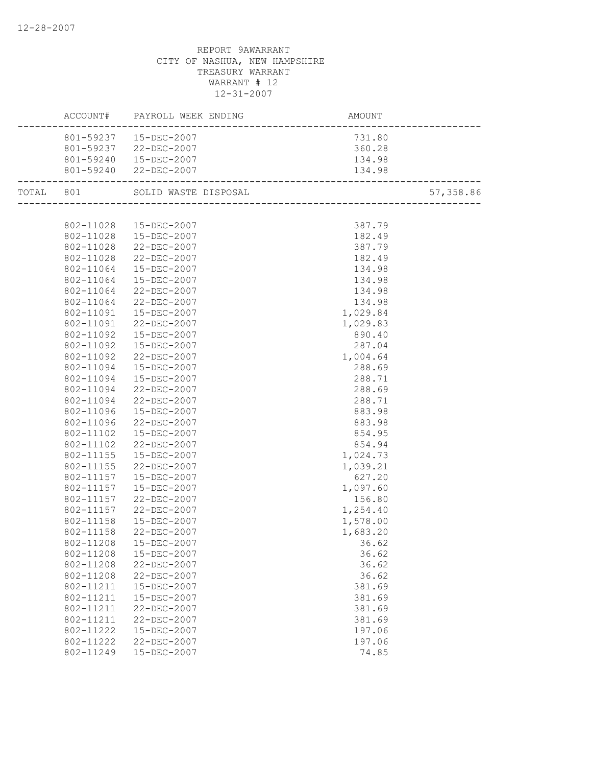|  |           | ACCOUNT# PAYROLL WEEK ENDING AMOUNT AMOUNT |          |           |
|--|-----------|--------------------------------------------|----------|-----------|
|  |           | 801-59237  15-DEC-2007                     | 731.80   |           |
|  |           | 801-59237 22-DEC-2007                      | 360.28   |           |
|  |           | 801-59240  15-DEC-2007                     | 134.98   |           |
|  |           | 801-59240 22-DEC-2007                      | 134.98   |           |
|  |           | TOTAL 801 SOLID WASTE DISPOSAL             |          | 57,358.86 |
|  |           |                                            |          |           |
|  |           | 802-11028 15-DEC-2007                      | 387.79   |           |
|  |           | 802-11028  15-DEC-2007                     | 182.49   |           |
|  |           | 802-11028 22-DEC-2007                      | 387.79   |           |
|  |           | 802-11028 22-DEC-2007                      | 182.49   |           |
|  | 802-11064 | 15-DEC-2007                                | 134.98   |           |
|  | 802-11064 | 15-DEC-2007                                | 134.98   |           |
|  | 802-11064 | 22-DEC-2007                                | 134.98   |           |
|  | 802-11064 | 22-DEC-2007                                | 134.98   |           |
|  | 802-11091 | 15-DEC-2007                                | 1,029.84 |           |
|  | 802-11091 | 22-DEC-2007                                | 1,029.83 |           |
|  | 802-11092 | 15-DEC-2007                                | 890.40   |           |
|  | 802-11092 | 15-DEC-2007                                | 287.04   |           |
|  | 802-11092 | 22-DEC-2007                                | 1,004.64 |           |
|  | 802-11094 | 15-DEC-2007                                | 288.69   |           |
|  | 802-11094 | 15-DEC-2007                                | 288.71   |           |
|  | 802-11094 | 22-DEC-2007                                | 288.69   |           |
|  | 802-11094 | 22-DEC-2007                                | 288.71   |           |
|  | 802-11096 | 15-DEC-2007                                | 883.98   |           |
|  | 802-11096 | 22-DEC-2007                                | 883.98   |           |
|  | 802-11102 | 15-DEC-2007                                | 854.95   |           |
|  | 802-11102 | 22-DEC-2007                                | 854.94   |           |
|  | 802-11155 | 15-DEC-2007                                | 1,024.73 |           |
|  | 802-11155 | 22-DEC-2007                                | 1,039.21 |           |
|  | 802-11157 | 15-DEC-2007                                | 627.20   |           |
|  | 802-11157 | 15-DEC-2007                                | 1,097.60 |           |
|  | 802-11157 | 22-DEC-2007                                | 156.80   |           |
|  |           | 802-11157 22-DEC-2007                      | 1,254.40 |           |
|  | 802-11158 | 15-DEC-2007                                | 1,578.00 |           |
|  | 802-11158 | 22-DEC-2007                                | 1,683.20 |           |
|  |           | 802-11208  15-DEC-2007                     | 36.62    |           |
|  | 802-11208 | $15 - DEC - 2007$                          | 36.62    |           |
|  | 802-11208 | 22-DEC-2007                                | 36.62    |           |
|  | 802-11208 | 22-DEC-2007                                | 36.62    |           |
|  | 802-11211 | 15-DEC-2007                                | 381.69   |           |
|  | 802-11211 | 15-DEC-2007                                | 381.69   |           |
|  | 802-11211 | 22-DEC-2007                                | 381.69   |           |
|  | 802-11211 | 22-DEC-2007                                | 381.69   |           |
|  | 802-11222 | 15-DEC-2007                                | 197.06   |           |
|  | 802-11222 | 22-DEC-2007                                | 197.06   |           |
|  | 802-11249 | 15-DEC-2007                                | 74.85    |           |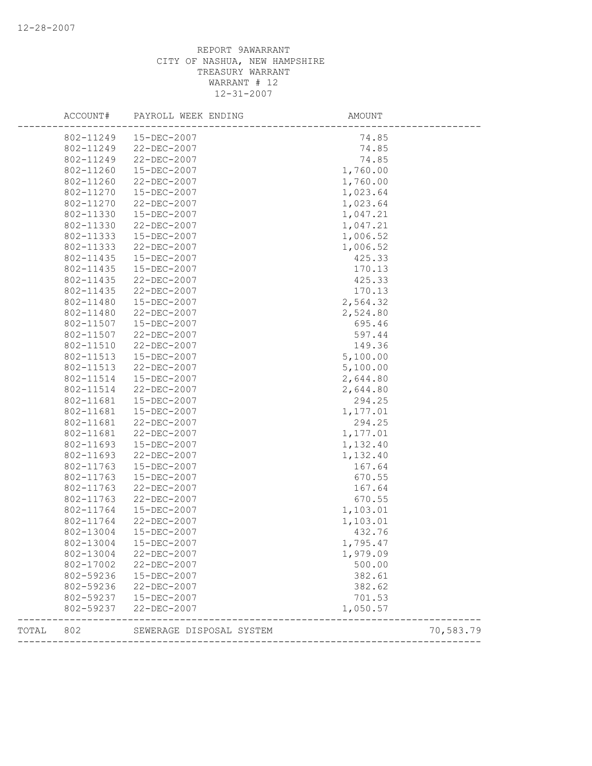|       | ACCOUNT#  | PAYROLL WEEK ENDING      | AMOUNT                                |           |
|-------|-----------|--------------------------|---------------------------------------|-----------|
|       | 802-11249 | 15-DEC-2007              | 74.85                                 |           |
|       | 802-11249 | 22-DEC-2007              | 74.85                                 |           |
|       | 802-11249 | 22-DEC-2007              | 74.85                                 |           |
|       | 802-11260 | 15-DEC-2007              | 1,760.00                              |           |
|       | 802-11260 | 22-DEC-2007              | 1,760.00                              |           |
|       | 802-11270 | 15-DEC-2007              | 1,023.64                              |           |
|       | 802-11270 | 22-DEC-2007              | 1,023.64                              |           |
|       | 802-11330 | 15-DEC-2007              | 1,047.21                              |           |
|       | 802-11330 | 22-DEC-2007              | 1,047.21                              |           |
|       | 802-11333 | 15-DEC-2007              | 1,006.52                              |           |
|       | 802-11333 | 22-DEC-2007              | 1,006.52                              |           |
|       | 802-11435 | 15-DEC-2007              | 425.33                                |           |
|       | 802-11435 | 15-DEC-2007              | 170.13                                |           |
|       | 802-11435 | 22-DEC-2007              | 425.33                                |           |
|       | 802-11435 | 22-DEC-2007              | 170.13                                |           |
|       | 802-11480 | 15-DEC-2007              | 2,564.32                              |           |
|       | 802-11480 | 22-DEC-2007              | 2,524.80                              |           |
|       | 802-11507 | 15-DEC-2007              | 695.46                                |           |
|       | 802-11507 | 22-DEC-2007              | 597.44                                |           |
|       | 802-11510 | 22-DEC-2007              | 149.36                                |           |
|       | 802-11513 | 15-DEC-2007              | 5,100.00                              |           |
|       | 802-11513 | $22 - DEC - 2007$        | 5,100.00                              |           |
|       | 802-11514 | 15-DEC-2007              | 2,644.80                              |           |
|       | 802-11514 | 22-DEC-2007              | 2,644.80                              |           |
|       | 802-11681 | 15-DEC-2007              | 294.25                                |           |
|       | 802-11681 | 15-DEC-2007              | 1,177.01                              |           |
|       | 802-11681 | 22-DEC-2007              | 294.25                                |           |
|       | 802-11681 | 22-DEC-2007              | 1,177.01                              |           |
|       | 802-11693 | 15-DEC-2007              | 1,132.40                              |           |
|       | 802-11693 | 22-DEC-2007              | 1,132.40                              |           |
|       | 802-11763 | 15-DEC-2007              | 167.64                                |           |
|       | 802-11763 | 15-DEC-2007              | 670.55                                |           |
|       | 802-11763 | 22-DEC-2007              | 167.64                                |           |
|       | 802-11763 | 22-DEC-2007              | 670.55                                |           |
|       | 802-11764 | 15-DEC-2007              | 1,103.01                              |           |
|       | 802-11764 | 22-DEC-2007              | 1,103.01                              |           |
|       | 802-13004 | 15-DEC-2007              | 432.76                                |           |
|       | 802-13004 | 15-DEC-2007              | 1,795.47                              |           |
|       | 802-13004 | 22-DEC-2007              | 1,979.09                              |           |
|       | 802-17002 | 22-DEC-2007              | 500.00                                |           |
|       | 802-59236 | 15-DEC-2007              | 382.61                                |           |
|       | 802-59236 | 22-DEC-2007              | 382.62                                |           |
|       | 802-59237 | 15-DEC-2007              | 701.53                                |           |
|       | 802-59237 | 22-DEC-2007              | 1,050.57                              |           |
| TOTAL | 802       | SEWERAGE DISPOSAL SYSTEM |                                       | 70,583.79 |
|       |           |                          | ------------------------------------- |           |